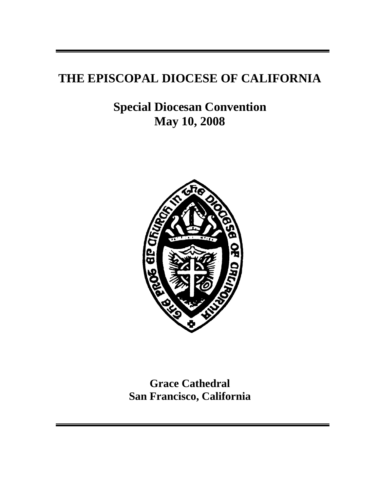# **THE EPISCOPAL DIOCESE OF CALIFORNIA**

**Special Diocesan Convention May 10, 2008**



**Grace Cathedral San Francisco, California**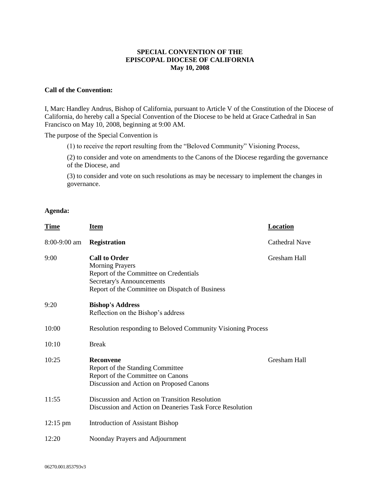### **SPECIAL CONVENTION OF THE EPISCOPAL DIOCESE OF CALIFORNIA May 10, 2008**

### **Call of the Convention:**

I, Marc Handley Andrus, Bishop of California, pursuant to Article V of the Constitution of the Diocese of California, do hereby call a Special Convention of the Diocese to be held at Grace Cathedral in San Francisco on May 10, 2008, beginning at 9:00 AM.

The purpose of the Special Convention is

(1) to receive the report resulting from the "Beloved Community" Visioning Process,

(2) to consider and vote on amendments to the Canons of the Diocese regarding the governance of the Diocese, and

(3) to consider and vote on such resolutions as may be necessary to implement the changes in governance.

### **Agenda:**

| <b>Time</b>        | <b>Item</b>                                                                                                                                                                     | <b>Location</b> |
|--------------------|---------------------------------------------------------------------------------------------------------------------------------------------------------------------------------|-----------------|
| 8:00-9:00 am       | <b>Registration</b>                                                                                                                                                             | Cathedral Nave  |
| 9:00               | <b>Call to Order</b><br><b>Morning Prayers</b><br>Report of the Committee on Credentials<br><b>Secretary's Announcements</b><br>Report of the Committee on Dispatch of Business | Gresham Hall    |
| 9:20               | <b>Bishop's Address</b><br>Reflection on the Bishop's address                                                                                                                   |                 |
| 10:00              | Resolution responding to Beloved Community Visioning Process                                                                                                                    |                 |
| 10:10              | <b>Break</b>                                                                                                                                                                    |                 |
| 10:25              | <b>Reconvene</b><br>Report of the Standing Committee<br>Report of the Committee on Canons<br>Discussion and Action on Proposed Canons                                           | Gresham Hall    |
| 11:55              | Discussion and Action on Transition Resolution<br>Discussion and Action on Deaneries Task Force Resolution                                                                      |                 |
| $12:15 \text{ pm}$ | Introduction of Assistant Bishop                                                                                                                                                |                 |
| 12:20              | Noonday Prayers and Adjournment                                                                                                                                                 |                 |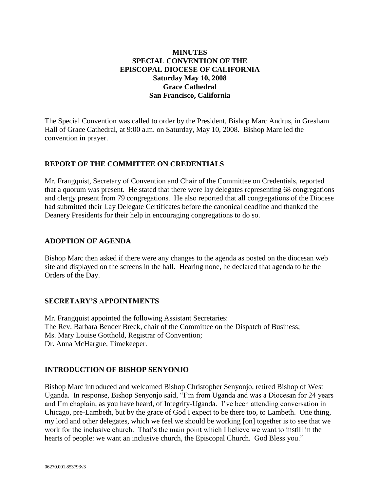# **MINUTES SPECIAL CONVENTION OF THE EPISCOPAL DIOCESE OF CALIFORNIA Saturday May 10, 2008 Grace Cathedral San Francisco, California**

The Special Convention was called to order by the President, Bishop Marc Andrus, in Gresham Hall of Grace Cathedral, at 9:00 a.m. on Saturday, May 10, 2008. Bishop Marc led the convention in prayer.

# **REPORT OF THE COMMITTEE ON CREDENTIALS**

Mr. Frangquist, Secretary of Convention and Chair of the Committee on Credentials, reported that a quorum was present. He stated that there were lay delegates representing 68 congregations and clergy present from 79 congregations. He also reported that all congregations of the Diocese had submitted their Lay Delegate Certificates before the canonical deadline and thanked the Deanery Presidents for their help in encouraging congregations to do so.

# **ADOPTION OF AGENDA**

Bishop Marc then asked if there were any changes to the agenda as posted on the diocesan web site and displayed on the screens in the hall. Hearing none, he declared that agenda to be the Orders of the Day.

### **SECRETARY'S APPOINTMENTS**

Mr. Frangquist appointed the following Assistant Secretaries: The Rev. Barbara Bender Breck, chair of the Committee on the Dispatch of Business; Ms. Mary Louise Gotthold, Registrar of Convention; Dr. Anna McHargue, Timekeeper.

### **INTRODUCTION OF BISHOP SENYONJO**

Bishop Marc introduced and welcomed Bishop Christopher Senyonjo, retired Bishop of West Uganda. In response, Bishop Senyonjo said, "I'm from Uganda and was a Diocesan for 24 years and I'm chaplain, as you have heard, of Integrity-Uganda. I've been attending conversation in Chicago, pre-Lambeth, but by the grace of God I expect to be there too, to Lambeth. One thing, my lord and other delegates, which we feel we should be working [on] together is to see that we work for the inclusive church. That's the main point which I believe we want to instill in the hearts of people: we want an inclusive church, the Episcopal Church. God Bless you."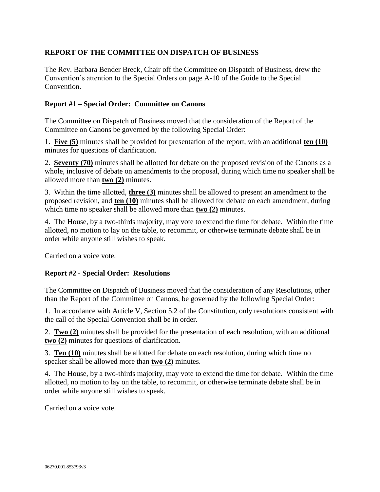# **REPORT OF THE COMMITTEE ON DISPATCH OF BUSINESS**

The Rev. Barbara Bender Breck, Chair off the Committee on Dispatch of Business, drew the Convention's attention to the Special Orders on page A-10 of the Guide to the Special Convention.

# **Report #1 – Special Order: Committee on Canons**

The Committee on Dispatch of Business moved that the consideration of the Report of the Committee on Canons be governed by the following Special Order:

1. **Five (5)** minutes shall be provided for presentation of the report, with an additional **ten (10)** minutes for questions of clarification.

2. **Seventy (70)** minutes shall be allotted for debate on the proposed revision of the Canons as a whole, inclusive of debate on amendments to the proposal, during which time no speaker shall be allowed more than **two (2)** minutes.

3. Within the time allotted, **three (3)** minutes shall be allowed to present an amendment to the proposed revision, and **ten (10)** minutes shall be allowed for debate on each amendment, during which time no speaker shall be allowed more than **two (2)** minutes.

4. The House, by a two-thirds majority, may vote to extend the time for debate. Within the time allotted, no motion to lay on the table, to recommit, or otherwise terminate debate shall be in order while anyone still wishes to speak.

Carried on a voice vote.

### **Report #2 - Special Order: Resolutions**

The Committee on Dispatch of Business moved that the consideration of any Resolutions, other than the Report of the Committee on Canons, be governed by the following Special Order:

1. In accordance with Article V, Section 5.2 of the Constitution, only resolutions consistent with the call of the Special Convention shall be in order.

2. **Two (2)** minutes shall be provided for the presentation of each resolution, with an additional **two (2)** minutes for questions of clarification.

3. **Ten (10)** minutes shall be allotted for debate on each resolution, during which time no speaker shall be allowed more than **two (2)** minutes.

4. The House, by a two-thirds majority, may vote to extend the time for debate. Within the time allotted, no motion to lay on the table, to recommit, or otherwise terminate debate shall be in order while anyone still wishes to speak.

Carried on a voice vote.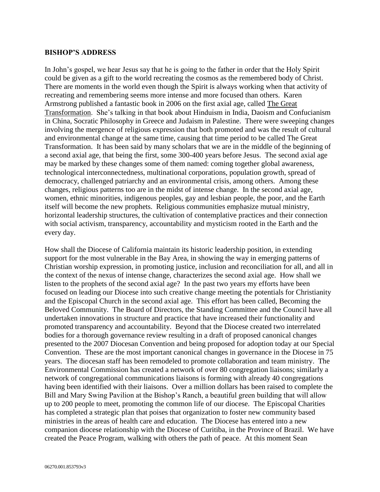### **BISHOP'S ADDRESS**

In John's gospel, we hear Jesus say that he is going to the father in order that the Holy Spirit could be given as a gift to the world recreating the cosmos as the remembered body of Christ. There are moments in the world even though the Spirit is always working when that activity of recreating and remembering seems more intense and more focused than others. Karen Armstrong published a fantastic book in 2006 on the first axial age, called The Great Transformation. She's talking in that book about Hinduism in India, Daoism and Confucianism in China, Socratic Philosophy in Greece and Judaism in Palestine. There were sweeping changes involving the mergence of religious expression that both promoted and was the result of cultural and environmental change at the same time, causing that time period to be called The Great Transformation. It has been said by many scholars that we are in the middle of the beginning of a second axial age, that being the first, some 300-400 years before Jesus. The second axial age may be marked by these changes some of them named: coming together global awareness, technological interconnectedness, multinational corporations, population growth, spread of democracy, challenged patriarchy and an environmental crisis, among others. Among these changes, religious patterns too are in the midst of intense change. In the second axial age, women, ethnic minorities, indigenous peoples, gay and lesbian people, the poor, and the Earth itself will become the new prophets. Religious communities emphasize mutual ministry, horizontal leadership structures, the cultivation of contemplative practices and their connection with social activism, transparency, accountability and mysticism rooted in the Earth and the every day.

How shall the Diocese of California maintain its historic leadership position, in extending support for the most vulnerable in the Bay Area, in showing the way in emerging patterns of Christian worship expression, in promoting justice, inclusion and reconciliation for all, and all in the context of the nexus of intense change, characterizes the second axial age. How shall we listen to the prophets of the second axial age? In the past two years my efforts have been focused on leading our Diocese into such creative change meeting the potentials for Christianity and the Episcopal Church in the second axial age. This effort has been called, Becoming the Beloved Community. The Board of Directors, the Standing Committee and the Council have all undertaken innovations in structure and practice that have increased their functionality and promoted transparency and accountability. Beyond that the Diocese created two interrelated bodies for a thorough governance review resulting in a draft of proposed canonical changes presented to the 2007 Diocesan Convention and being proposed for adoption today at our Special Convention. These are the most important canonical changes in governance in the Diocese in 75 years. The diocesan staff has been remodeled to promote collaboration and team ministry. The Environmental Commission has created a network of over 80 congregation liaisons; similarly a network of congregational communications liaisons is forming with already 40 congregations having been identified with their liaisons. Over a million dollars has been raised to complete the Bill and Mary Swing Pavilion at the Bishop's Ranch, a beautiful green building that will allow up to 200 people to meet, promoting the common life of our diocese. The Episcopal Charities has completed a strategic plan that poises that organization to foster new community based ministries in the areas of health care and education. The Diocese has entered into a new companion diocese relationship with the Diocese of Curitiba, in the Province of Brazil. We have created the Peace Program, walking with others the path of peace. At this moment Sean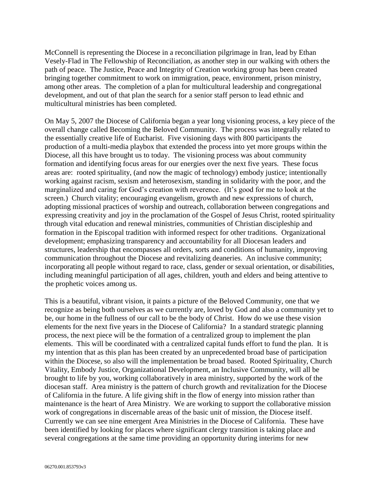McConnell is representing the Diocese in a reconciliation pilgrimage in Iran, lead by Ethan Vesely-Flad in The Fellowship of Reconciliation, as another step in our walking with others the path of peace. The Justice, Peace and Integrity of Creation working group has been created bringing together commitment to work on immigration, peace, environment, prison ministry, among other areas. The completion of a plan for multicultural leadership and congregational development, and out of that plan the search for a senior staff person to lead ethnic and multicultural ministries has been completed.

On May 5, 2007 the Diocese of California began a year long visioning process, a key piece of the overall change called Becoming the Beloved Community. The process was integrally related to the essentially creative life of Eucharist. Five visioning days with 800 participants the production of a multi-media playbox that extended the process into yet more groups within the Diocese, all this have brought us to today. The visioning process was about community formation and identifying focus areas for our energies over the next five years. These focus areas are: rooted spirituality, (and now the magic of technology) embody justice; intentionally working against racism, sexism and heterosexism, standing in solidarity with the poor, and the marginalized and caring for God's creation with reverence. (It's good for me to look at the screen.) Church vitality; encouraging evangelism, growth and new expressions of church, adopting missional practices of worship and outreach, collaboration between congregations and expressing creativity and joy in the proclamation of the Gospel of Jesus Christ, rooted spirituality through vital education and renewal ministries, communities of Christian discipleship and formation in the Episcopal tradition with informed respect for other traditions. Organizational development; emphasizing transparency and accountability for all Diocesan leaders and structures, leadership that encompasses all orders, sorts and conditions of humanity, improving communication throughout the Diocese and revitalizing deaneries. An inclusive community; incorporating all people without regard to race, class, gender or sexual orientation, or disabilities, including meaningful participation of all ages, children, youth and elders and being attentive to the prophetic voices among us.

This is a beautiful, vibrant vision, it paints a picture of the Beloved Community, one that we recognize as being both ourselves as we currently are, loved by God and also a community yet to be, our home in the fullness of our call to be the body of Christ. How do we use these vision elements for the next five years in the Diocese of California? In a standard strategic planning process, the next piece will be the formation of a centralized group to implement the plan elements. This will be coordinated with a centralized capital funds effort to fund the plan. It is my intention that as this plan has been created by an unprecedented broad base of participation within the Diocese, so also will the implementation be broad based. Rooted Spirituality, Church Vitality, Embody Justice, Organizational Development, an Inclusive Community, will all be brought to life by you, working collaboratively in area ministry, supported by the work of the diocesan staff. Area ministry is the pattern of church growth and revitalization for the Diocese of California in the future. A life giving shift in the flow of energy into mission rather than maintenance is the heart of Area Ministry. We are working to support the collaborative mission work of congregations in discernable areas of the basic unit of mission, the Diocese itself. Currently we can see nine emergent Area Ministries in the Diocese of California. These have been identified by looking for places where significant clergy transition is taking place and several congregations at the same time providing an opportunity during interims for new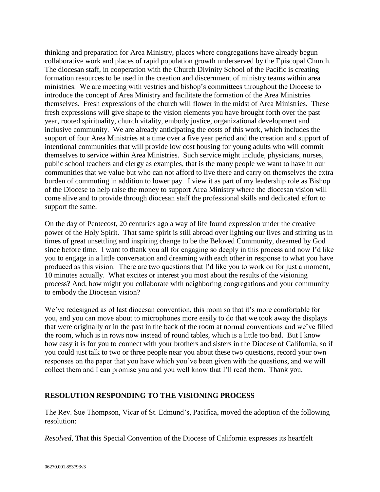thinking and preparation for Area Ministry, places where congregations have already begun collaborative work and places of rapid population growth underserved by the Episcopal Church. The diocesan staff, in cooperation with the Church Divinity School of the Pacific is creating formation resources to be used in the creation and discernment of ministry teams within area ministries. We are meeting with vestries and bishop's committees throughout the Diocese to introduce the concept of Area Ministry and facilitate the formation of the Area Ministries themselves. Fresh expressions of the church will flower in the midst of Area Ministries. These fresh expressions will give shape to the vision elements you have brought forth over the past year, rooted spirituality, church vitality, embody justice, organizational development and inclusive community. We are already anticipating the costs of this work, which includes the support of four Area Ministries at a time over a five year period and the creation and support of intentional communities that will provide low cost housing for young adults who will commit themselves to service within Area Ministries. Such service might include, physicians, nurses, public school teachers and clergy as examples, that is the many people we want to have in our communities that we value but who can not afford to live there and carry on themselves the extra burden of commuting in addition to lower pay. I view it as part of my leadership role as Bishop of the Diocese to help raise the money to support Area Ministry where the diocesan vision will come alive and to provide through diocesan staff the professional skills and dedicated effort to support the same.

On the day of Pentecost, 20 centuries ago a way of life found expression under the creative power of the Holy Spirit. That same spirit is still abroad over lighting our lives and stirring us in times of great unsettling and inspiring change to be the Beloved Community, dreamed by God since before time. I want to thank you all for engaging so deeply in this process and now I'd like you to engage in a little conversation and dreaming with each other in response to what you have produced as this vision. There are two questions that I'd like you to work on for just a moment, 10 minutes actually. What excites or interest you most about the results of the visioning process? And, how might you collaborate with neighboring congregations and your community to embody the Diocesan vision?

We've redesigned as of last diocesan convention, this room so that it's more comfortable for you, and you can move about to microphones more easily to do that we took away the displays that were originally or in the past in the back of the room at normal conventions and we've filled the room, which is in rows now instead of round tables, which is a little too bad. But I know how easy it is for you to connect with your brothers and sisters in the Diocese of California, so if you could just talk to two or three people near you about these two questions, record your own responses on the paper that you have which you've been given with the questions, and we will collect them and I can promise you and you well know that I'll read them. Thank you.

# **RESOLUTION RESPONDING TO THE VISIONING PROCESS**

The Rev. Sue Thompson, Vicar of St. Edmund's, Pacifica, moved the adoption of the following resolution:

*Resolved*, That this Special Convention of the Diocese of California expresses its heartfelt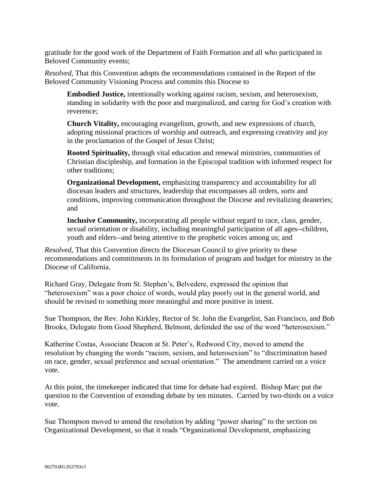gratitude for the good work of the Department of Faith Formation and all who participated in Beloved Community events;

*Resolved*, That this Convention adopts the recommendations contained in the Report of the Beloved Community Visioning Process and commits this Diocese to

**Embodied Justice,** intentionally working against racism, sexism, and heterosexism, standing in solidarity with the poor and marginalized, and caring for God's creation with reverence;

**Church Vitality,** encouraging evangelism, growth, and new expressions of church, adopting missional practices of worship and outreach, and expressing creativity and joy in the proclamation of the Gospel of Jesus Christ;

**Rooted Spirituality,** through vital education and renewal ministries, communities of Christian discipleship, and formation in the Episcopal tradition with informed respect for other traditions;

**Organizational Development,** emphasizing transparency and accountability for all diocesan leaders and structures, leadership that encompasses all orders, sorts and conditions, improving communication throughout the Diocese and revitalizing deaneries; and

**Inclusive Community,** incorporating all people without regard to race, class, gender, sexual orientation or disability, including meaningful participation of all ages--children, youth and elders--and being attentive to the prophetic voices among us; and

*Resolved*, That this Convention directs the Diocesan Council to give priority to these recommendations and commitments in its formulation of program and budget for ministry in the Diocese of California.

Richard Gray, Delegate from St. Stephen's, Belvedere, expressed the opinion that "heterosexism" was a poor choice of words, would play poorly out in the general world, and should be revised to something more meaningful and more positive in intent.

Sue Thompson, the Rev. John Kirkley, Rector of St. John the Evangelist, San Francisco, and Bob Brooks, Delegate from Good Shepherd, Belmont, defended the use of the word "heterosexism."

Katherine Costas, Associate Deacon at St. Peter's, Redwood City, moved to amend the resolution by changing the words "racism, sexism, and heterosexism" to "discrimination based on race, gender, sexual preference and sexual orientation." The amendment carried on a voice vote.

At this point, the timekeeper indicated that time for debate had expired. Bishop Marc put the question to the Convention of extending debate by ten minutes. Carried by two-thirds on a voice vote.

Sue Thompson moved to amend the resolution by adding "power sharing" to the section on Organizational Development, so that it reads "Organizational Development, emphasizing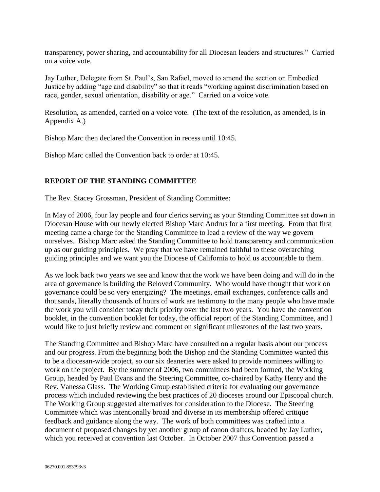transparency, power sharing, and accountability for all Diocesan leaders and structures." Carried on a voice vote.

Jay Luther, Delegate from St. Paul's, San Rafael, moved to amend the section on Embodied Justice by adding "age and disability" so that it reads "working against discrimination based on race, gender, sexual orientation, disability or age." Carried on a voice vote.

Resolution, as amended, carried on a voice vote. (The text of the resolution, as amended, is in Appendix A.)

Bishop Marc then declared the Convention in recess until 10:45.

Bishop Marc called the Convention back to order at 10:45.

# **REPORT OF THE STANDING COMMITTEE**

The Rev. Stacey Grossman, President of Standing Committee:

In May of 2006, four lay people and four clerics serving as your Standing Committee sat down in Diocesan House with our newly elected Bishop Marc Andrus for a first meeting. From that first meeting came a charge for the Standing Committee to lead a review of the way we govern ourselves. Bishop Marc asked the Standing Committee to hold transparency and communication up as our guiding principles. We pray that we have remained faithful to these overarching guiding principles and we want you the Diocese of California to hold us accountable to them.

As we look back two years we see and know that the work we have been doing and will do in the area of governance is building the Beloved Community. Who would have thought that work on governance could be so very energizing? The meetings, email exchanges, conference calls and thousands, literally thousands of hours of work are testimony to the many people who have made the work you will consider today their priority over the last two years. You have the convention booklet, in the convention booklet for today, the official report of the Standing Committee, and I would like to just briefly review and comment on significant milestones of the last two years.

The Standing Committee and Bishop Marc have consulted on a regular basis about our process and our progress. From the beginning both the Bishop and the Standing Committee wanted this to be a diocesan-wide project, so our six deaneries were asked to provide nominees willing to work on the project. By the summer of 2006, two committees had been formed, the Working Group, headed by Paul Evans and the Steering Committee, co-chaired by Kathy Henry and the Rev. Vanessa Glass. The Working Group established criteria for evaluating our governance process which included reviewing the best practices of 20 dioceses around our Episcopal church. The Working Group suggested alternatives for consideration to the Diocese. The Steering Committee which was intentionally broad and diverse in its membership offered critique feedback and guidance along the way. The work of both committees was crafted into a document of proposed changes by yet another group of canon drafters, headed by Jay Luther, which you received at convention last October. In October 2007 this Convention passed a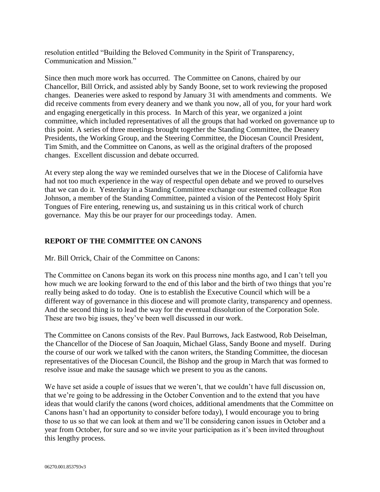resolution entitled "Building the Beloved Community in the Spirit of Transparency, Communication and Mission."

Since then much more work has occurred. The Committee on Canons, chaired by our Chancellor, Bill Orrick, and assisted ably by Sandy Boone, set to work reviewing the proposed changes. Deaneries were asked to respond by January 31 with amendments and comments. We did receive comments from every deanery and we thank you now, all of you, for your hard work and engaging energetically in this process. In March of this year, we organized a joint committee, which included representatives of all the groups that had worked on governance up to this point. A series of three meetings brought together the Standing Committee, the Deanery Presidents, the Working Group, and the Steering Committee, the Diocesan Council President, Tim Smith, and the Committee on Canons, as well as the original drafters of the proposed changes. Excellent discussion and debate occurred.

At every step along the way we reminded ourselves that we in the Diocese of California have had not too much experience in the way of respectful open debate and we proved to ourselves that we can do it. Yesterday in a Standing Committee exchange our esteemed colleague Ron Johnson, a member of the Standing Committee, painted a vision of the Pentecost Holy Spirit Tongues of Fire entering, renewing us, and sustaining us in this critical work of church governance. May this be our prayer for our proceedings today. Amen.

# **REPORT OF THE COMMITTEE ON CANONS**

Mr. Bill Orrick, Chair of the Committee on Canons:

The Committee on Canons began its work on this process nine months ago, and I can't tell you how much we are looking forward to the end of this labor and the birth of two things that you're really being asked to do today. One is to establish the Executive Council which will be a different way of governance in this diocese and will promote clarity, transparency and openness. And the second thing is to lead the way for the eventual dissolution of the Corporation Sole. These are two big issues, they've been well discussed in our work.

The Committee on Canons consists of the Rev. Paul Burrows, Jack Eastwood, Rob Deiselman, the Chancellor of the Diocese of San Joaquin, Michael Glass, Sandy Boone and myself. During the course of our work we talked with the canon writers, the Standing Committee, the diocesan representatives of the Diocesan Council, the Bishop and the group in March that was formed to resolve issue and make the sausage which we present to you as the canons.

We have set aside a couple of issues that we weren't, that we couldn't have full discussion on, that we're going to be addressing in the October Convention and to the extend that you have ideas that would clarify the canons (word choices, additional amendments that the Committee on Canons hasn't had an opportunity to consider before today), I would encourage you to bring those to us so that we can look at them and we'll be considering canon issues in October and a year from October, for sure and so we invite your participation as it's been invited throughout this lengthy process.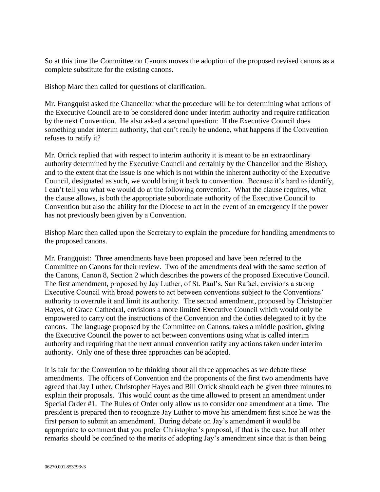So at this time the Committee on Canons moves the adoption of the proposed revised canons as a complete substitute for the existing canons.

Bishop Marc then called for questions of clarification.

Mr. Frangquist asked the Chancellor what the procedure will be for determining what actions of the Executive Council are to be considered done under interim authority and require ratification by the next Convention. He also asked a second question: If the Executive Council does something under interim authority, that can't really be undone, what happens if the Convention refuses to ratify it?

Mr. Orrick replied that with respect to interim authority it is meant to be an extraordinary authority determined by the Executive Council and certainly by the Chancellor and the Bishop, and to the extent that the issue is one which is not within the inherent authority of the Executive Council, designated as such, we would bring it back to convention. Because it's hard to identify, I can't tell you what we would do at the following convention. What the clause requires, what the clause allows, is both the appropriate subordinate authority of the Executive Council to Convention but also the ability for the Diocese to act in the event of an emergency if the power has not previously been given by a Convention.

Bishop Marc then called upon the Secretary to explain the procedure for handling amendments to the proposed canons.

Mr. Frangquist: Three amendments have been proposed and have been referred to the Committee on Canons for their review. Two of the amendments deal with the same section of the Canons, Canon 8, Section 2 which describes the powers of the proposed Executive Council. The first amendment, proposed by Jay Luther, of St. Paul's, San Rafael, envisions a strong Executive Council with broad powers to act between conventions subject to the Conventions' authority to overrule it and limit its authority. The second amendment, proposed by Christopher Hayes, of Grace Cathedral, envisions a more limited Executive Council which would only be empowered to carry out the instructions of the Convention and the duties delegated to it by the canons. The language proposed by the Committee on Canons, takes a middle position, giving the Executive Council the power to act between conventions using what is called interim authority and requiring that the next annual convention ratify any actions taken under interim authority. Only one of these three approaches can be adopted.

It is fair for the Convention to be thinking about all three approaches as we debate these amendments. The officers of Convention and the proponents of the first two amendments have agreed that Jay Luther, Christopher Hayes and Bill Orrick should each be given three minutes to explain their proposals. This would count as the time allowed to present an amendment under Special Order #1. The Rules of Order only allow us to consider one amendment at a time. The president is prepared then to recognize Jay Luther to move his amendment first since he was the first person to submit an amendment. During debate on Jay's amendment it would be appropriate to comment that you prefer Christopher's proposal, if that is the case, but all other remarks should be confined to the merits of adopting Jay's amendment since that is then being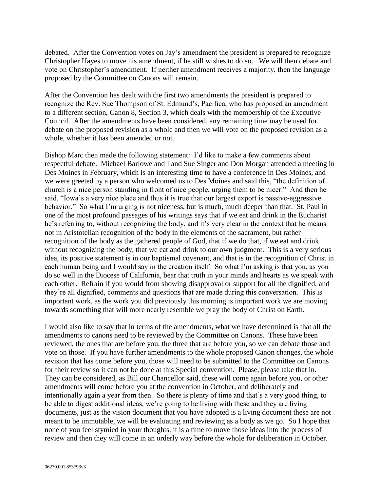debated. After the Convention votes on Jay's amendment the president is prepared to recognize Christopher Hayes to move his amendment, if he still wishes to do so. We will then debate and vote on Christopher's amendment. If neither amendment receives a majority, then the language proposed by the Committee on Canons will remain.

After the Convention has dealt with the first two amendments the president is prepared to recognize the Rev. Sue Thompson of St. Edmund's, Pacifica, who has proposed an amendment to a different section, Canon 8, Section 3, which deals with the membership of the Executive Council. After the amendments have been considered, any remaining time may be used for debate on the proposed revision as a whole and then we will vote on the proposed revision as a whole, whether it has been amended or not.

Bishop Marc then made the following statement: I'd like to make a few comments about respectful debate. Michael Barlowe and I and Sue Singer and Don Morgan attended a meeting in Des Moines in February, which is an interesting time to have a conference in Des Moines, and we were greeted by a person who welcomed us to Des Moines and said this, "the definition of church is a nice person standing in front of nice people, urging them to be nicer." And then he said, "Iowa's a very nice place and thus it is true that our largest export is passive-aggressive behavior." So what I'm urging is not niceness, but is much, much deeper than that. St. Paul in one of the most profound passages of his writings says that if we eat and drink in the Eucharist he's referring to, without recognizing the body, and it's very clear in the context that he means not in Aristotelian recognition of the body in the elements of the sacrament, but rather recognition of the body as the gathered people of God, that if we do that, if we eat and drink without recognizing the body, that we eat and drink to our own judgment. This is a very serious idea, its positive statement is in our baptismal covenant, and that is in the recognition of Christ in each human being and I would say in the creation itself. So what I'm asking is that you, as you do so well in the Diocese of California, bear that truth in your minds and hearts as we speak with each other. Refrain if you would from showing disapproval or support for all the dignified, and they're all dignified, comments and questions that are made during this conversation. This is important work, as the work you did previously this morning is important work we are moving towards something that will more nearly resemble we pray the body of Christ on Earth.

I would also like to say that in terms of the amendments, what we have determined is that all the amendments to canons need to be reviewed by the Committee on Canons. These have been reviewed, the ones that are before you, the three that are before you, so we can debate those and vote on those. If you have further amendments to the whole proposed Canon changes, the whole revision that has come before you, those will need to be submitted to the Committee on Canons for their review so it can not be done at this Special convention. Please, please take that in. They can be considered, as Bill our Chancellor said, these will come again before you, or other amendments will come before you at the convention in October, and deliberately and intentionally again a year from then. So there is plenty of time and that's a very good thing, to be able to digest additional ideas, we're going to be living with these and they are living documents, just as the vision document that you have adopted is a living document these are not meant to be immutable, we will be evaluating and reviewing as a body as we go. So I hope that none of you feel stymied in your thoughts, it is a time to move those ideas into the process of review and then they will come in an orderly way before the whole for deliberation in October.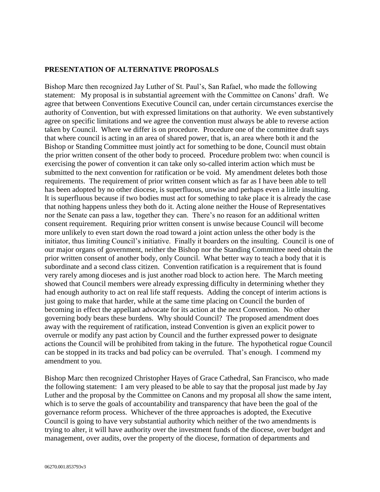### **PRESENTATION OF ALTERNATIVE PROPOSALS**

Bishop Marc then recognized Jay Luther of St. Paul's, San Rafael, who made the following statement: My proposal is in substantial agreement with the Committee on Canons' draft. We agree that between Conventions Executive Council can, under certain circumstances exercise the authority of Convention, but with expressed limitations on that authority. We even substantively agree on specific limitations and we agree the convention must always be able to reverse action taken by Council. Where we differ is on procedure. Procedure one of the committee draft says that where council is acting in an area of shared power, that is, an area where both it and the Bishop or Standing Committee must jointly act for something to be done, Council must obtain the prior written consent of the other body to proceed. Procedure problem two: when council is exercising the power of convention it can take only so-called interim action which must be submitted to the next convention for ratification or be void. My amendment deletes both those requirements. The requirement of prior written consent which as far as I have been able to tell has been adopted by no other diocese, is superfluous, unwise and perhaps even a little insulting. It is superfluous because if two bodies must act for something to take place it is already the case that nothing happens unless they both do it. Acting alone neither the House of Representatives nor the Senate can pass a law, together they can. There's no reason for an additional written consent requirement. Requiring prior written consent is unwise because Council will become more unlikely to even start down the road toward a joint action unless the other body is the initiator, thus limiting Council's initiative. Finally it boarders on the insulting. Council is one of our major organs of government, neither the Bishop nor the Standing Committee need obtain the prior written consent of another body, only Council. What better way to teach a body that it is subordinate and a second class citizen. Convention ratification is a requirement that is found very rarely among dioceses and is just another road block to action here. The March meeting showed that Council members were already expressing difficulty in determining whether they had enough authority to act on real life staff requests. Adding the concept of interim actions is just going to make that harder, while at the same time placing on Council the burden of becoming in effect the appellant advocate for its action at the next Convention. No other governing body bears these burdens. Why should Council? The proposed amendment does away with the requirement of ratification, instead Convention is given an explicit power to overrule or modify any past action by Council and the further expressed power to designate actions the Council will be prohibited from taking in the future. The hypothetical rogue Council can be stopped in its tracks and bad policy can be overruled. That's enough. I commend my amendment to you.

Bishop Marc then recognized Christopher Hayes of Grace Cathedral, San Francisco, who made the following statement: I am very pleased to be able to say that the proposal just made by Jay Luther and the proposal by the Committee on Canons and my proposal all show the same intent, which is to serve the goals of accountability and transparency that have been the goal of the governance reform process. Whichever of the three approaches is adopted, the Executive Council is going to have very substantial authority which neither of the two amendments is trying to alter, it will have authority over the investment funds of the diocese, over budget and management, over audits, over the property of the diocese, formation of departments and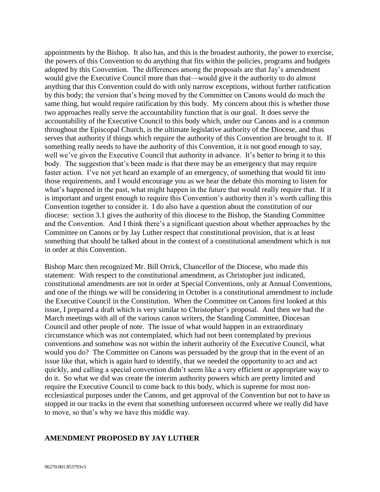appointments by the Bishop. It also has, and this is the broadest authority, the power to exercise, the powers of this Convention to do anything that fits within the policies, programs and budgets adopted by this Convention. The differences among the proposals are that Jay's amendment would give the Executive Council more than that—would give it the authority to do almost anything that this Convention could do with only narrow exceptions, without further ratification by this body; the version that's being moved by the Committee on Canons would do much the same thing, but would require ratification by this body. My concern about this is whether those two approaches really serve the accountability function that is our goal. It does serve the accountability of the Executive Council to this body which, under our Canons and is a common throughout the Episcopal Church, is the ultimate legislative authority of the Diocese, and thus serves that authority if things which require the authority of this Convention are brought to it. If something really needs to have the authority of this Convention, it is not good enough to say, well we've given the Executive Council that authority in advance. It's better to bring it to this body. The suggestion that's been made is that there may be an emergency that may require faster action. I've not yet heard an example of an emergency, of something that would fit into those requirements, and I would encourage you as we hear the debate this morning to listen for what's happened in the past, what might happen in the future that would really require that. If it is important and urgent enough to require this Convention's authority then it's worth calling this Convention together to consider it. I do also have a question about the constitution of our diocese: section 3.1 gives the authority of this diocese to the Bishop, the Standing Committee and the Convention. And I think there's a significant question about whether approaches by the Committee on Canons or by Jay Luther respect that constitutional provision, that is at least something that should be talked about in the context of a constitutional amendment which is not in order at this Convention.

Bishop Marc then recognized Mr. Bill Orrick, Chancellor of the Diocese, who made this statement: With respect to the constitutional amendment, as Christopher just indicated, constitutional amendments are not in order at Special Conventions, only at Annual Conventions, and one of the things we will be considering in October is a constitutional amendment to include the Executive Council in the Constitution. When the Committee on Canons first looked at this issue, I prepared a draft which is very similar to Christopher's proposal. And then we had the March meetings with all of the various canon writers, the Standing Committee, Diocesan Council and other people of note. The issue of what would happen in an extraordinary circumstance which was not contemplated, which had not been contemplated by previous conventions and somehow was not within the inherit authority of the Executive Council, what would you do? The Committee on Canons was persuaded by the group that in the event of an issue like that, which is again hard to identify, that we needed the opportunity to act and act quickly, and calling a special convention didn't seem like a very efficient or appropriate way to do it. So what we did was create the interim authority powers which are pretty limited and require the Executive Council to come back to this body, which is supreme for most nonecclesiastical purposes under the Canons, and get approval of the Convention but not to have us stopped in our tracks in the event that something unforeseen occurred where we really did have to move, so that's why we have this middle way.

### **AMENDMENT PROPOSED BY JAY LUTHER**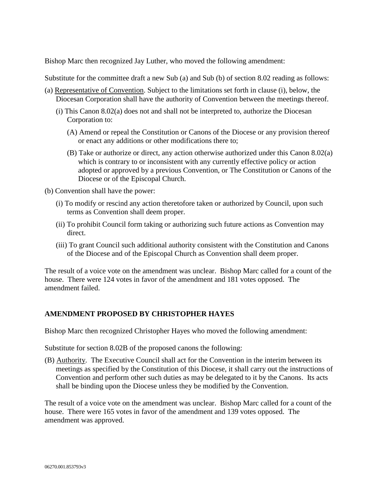Bishop Marc then recognized Jay Luther, who moved the following amendment:

Substitute for the committee draft a new Sub (a) and Sub (b) of section 8.02 reading as follows:

- (a) Representative of Convention. Subject to the limitations set forth in clause (i), below, the Diocesan Corporation shall have the authority of Convention between the meetings thereof.
	- (i) This Canon 8.02(a) does not and shall not be interpreted to, authorize the Diocesan Corporation to:
		- (A) Amend or repeal the Constitution or Canons of the Diocese or any provision thereof or enact any additions or other modifications there to;
		- (B) Take or authorize or direct, any action otherwise authorized under this Canon 8.02(a) which is contrary to or inconsistent with any currently effective policy or action adopted or approved by a previous Convention, or The Constitution or Canons of the Diocese or of the Episcopal Church.

(b) Convention shall have the power:

- (i) To modify or rescind any action theretofore taken or authorized by Council, upon such terms as Convention shall deem proper.
- (ii) To prohibit Council form taking or authorizing such future actions as Convention may direct.
- (iii) To grant Council such additional authority consistent with the Constitution and Canons of the Diocese and of the Episcopal Church as Convention shall deem proper.

The result of a voice vote on the amendment was unclear. Bishop Marc called for a count of the house. There were 124 votes in favor of the amendment and 181 votes opposed. The amendment failed.

# **AMENDMENT PROPOSED BY CHRISTOPHER HAYES**

Bishop Marc then recognized Christopher Hayes who moved the following amendment:

Substitute for section 8.02B of the proposed canons the following:

(B) Authority. The Executive Council shall act for the Convention in the interim between its meetings as specified by the Constitution of this Diocese, it shall carry out the instructions of Convention and perform other such duties as may be delegated to it by the Canons. Its acts shall be binding upon the Diocese unless they be modified by the Convention.

The result of a voice vote on the amendment was unclear. Bishop Marc called for a count of the house. There were 165 votes in favor of the amendment and 139 votes opposed. The amendment was approved.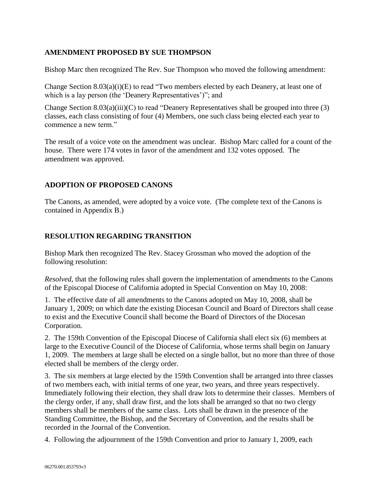# **AMENDMENT PROPOSED BY SUE THOMPSON**

Bishop Marc then recognized The Rev. Sue Thompson who moved the following amendment:

Change Section  $8.03(a)(i)(E)$  to read "Two members elected by each Deanery, at least one of which is a lay person (the 'Deanery Representatives')"; and

Change Section  $8.03(a)(iii)(C)$  to read "Deanery Representatives shall be grouped into three (3) classes, each class consisting of four (4) Members, one such class being elected each year to commence a new term."

The result of a voice vote on the amendment was unclear. Bishop Marc called for a count of the house. There were 174 votes in favor of the amendment and 132 votes opposed. The amendment was approved.

# **ADOPTION OF PROPOSED CANONS**

The Canons, as amended, were adopted by a voice vote. (The complete text of the Canons is contained in Appendix B.)

# **RESOLUTION REGARDING TRANSITION**

Bishop Mark then recognized The Rev. Stacey Grossman who moved the adoption of the following resolution:

*Resolved,* that the following rules shall govern the implementation of amendments to the Canons of the Episcopal Diocese of California adopted in Special Convention on May 10, 2008:

1. The effective date of all amendments to the Canons adopted on May 10, 2008, shall be January 1, 2009; on which date the existing Diocesan Council and Board of Directors shall cease to exist and the Executive Council shall become the Board of Directors of the Diocesan Corporation.

2. The 159th Convention of the Episcopal Diocese of California shall elect six (6) members at large to the Executive Council of the Diocese of California, whose terms shall begin on January 1, 2009. The members at large shall be elected on a single ballot, but no more than three of those elected shall be members of the clergy order.

3. The six members at large elected by the 159th Convention shall be arranged into three classes of two members each, with initial terms of one year, two years, and three years respectively. Immediately following their election, they shall draw lots to determine their classes. Members of the clergy order, if any, shall draw first, and the lots shall be arranged so that no two clergy members shall be members of the same class. Lots shall be drawn in the presence of the Standing Committee, the Bishop, and the Secretary of Convention, and the results shall be recorded in the Journal of the Convention.

4. Following the adjournment of the 159th Convention and prior to January 1, 2009, each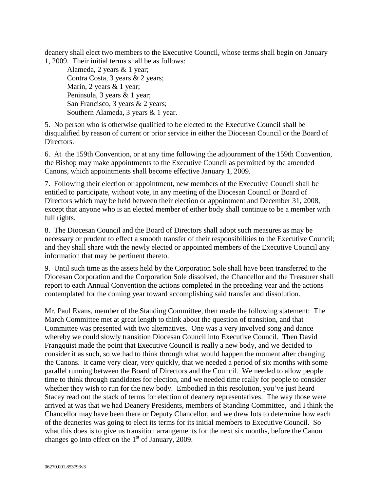deanery shall elect two members to the Executive Council, whose terms shall begin on January 1, 2009. Their initial terms shall be as follows:

Alameda, 2 years & 1 year; Contra Costa, 3 years & 2 years; Marin, 2 years & 1 year; Peninsula, 3 years & 1 year; San Francisco, 3 years & 2 years; Southern Alameda, 3 years & 1 year.

5. No person who is otherwise qualified to be elected to the Executive Council shall be disqualified by reason of current or prior service in either the Diocesan Council or the Board of Directors.

6. At the 159th Convention, or at any time following the adjournment of the 159th Convention, the Bishop may make appointments to the Executive Council as permitted by the amended Canons, which appointments shall become effective January 1, 2009.

7. Following their election or appointment, new members of the Executive Council shall be entitled to participate, without vote, in any meeting of the Diocesan Council or Board of Directors which may be held between their election or appointment and December 31, 2008, except that anyone who is an elected member of either body shall continue to be a member with full rights.

8. The Diocesan Council and the Board of Directors shall adopt such measures as may be necessary or prudent to effect a smooth transfer of their responsibilities to the Executive Council; and they shall share with the newly elected or appointed members of the Executive Council any information that may be pertinent thereto.

9. Until such time as the assets held by the Corporation Sole shall have been transferred to the Diocesan Corporation and the Corporation Sole dissolved, the Chancellor and the Treasurer shall report to each Annual Convention the actions completed in the preceding year and the actions contemplated for the coming year toward accomplishing said transfer and dissolution.

Mr. Paul Evans, member of the Standing Committee, then made the following statement: The March Committee met at great length to think about the question of transition, and that Committee was presented with two alternatives. One was a very involved song and dance whereby we could slowly transition Diocesan Council into Executive Council. Then David Frangquist made the point that Executive Council is really a new body, and we decided to consider it as such, so we had to think through what would happen the moment after changing the Canons. It came very clear, very quickly, that we needed a period of six months with some parallel running between the Board of Directors and the Council. We needed to allow people time to think through candidates for election, and we needed time really for people to consider whether they wish to run for the new body. Embodied in this resolution, you've just heard Stacey read out the stack of terms for election of deanery representatives. The way those were arrived at was that we had Deanery Presidents, members of Standing Committee, and I think the Chancellor may have been there or Deputy Chancellor, and we drew lots to determine how each of the deaneries was going to elect its terms for its initial members to Executive Council. So what this does is to give us transition arrangements for the next six months, before the Canon changes go into effect on the  $1<sup>st</sup>$  of January, 2009.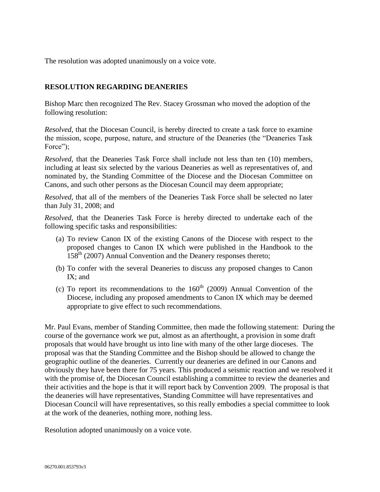The resolution was adopted unanimously on a voice vote.

# **RESOLUTION REGARDING DEANERIES**

Bishop Marc then recognized The Rev. Stacey Grossman who moved the adoption of the following resolution:

*Resolved,* that the Diocesan Council, is hereby directed to create a task force to examine the mission, scope, purpose, nature, and structure of the Deaneries (the "Deaneries Task Force");

*Resolved,* that the Deaneries Task Force shall include not less than ten (10) members, including at least six selected by the various Deaneries as well as representatives of, and nominated by, the Standing Committee of the Diocese and the Diocesan Committee on Canons, and such other persons as the Diocesan Council may deem appropriate;

*Resolved,* that all of the members of the Deaneries Task Force shall be selected no later than July 31, 2008; and

*Resolved,* that the Deaneries Task Force is hereby directed to undertake each of the following specific tasks and responsibilities:

- (a) To review Canon IX of the existing Canons of the Diocese with respect to the proposed changes to Canon IX which were published in the Handbook to the 158<sup>th</sup> (2007) Annual Convention and the Deanery responses thereto;
- (b) To confer with the several Deaneries to discuss any proposed changes to Canon IX; and
- (c) To report its recommendations to the  $160<sup>th</sup>$  (2009) Annual Convention of the Diocese, including any proposed amendments to Canon IX which may be deemed appropriate to give effect to such recommendations.

Mr. Paul Evans, member of Standing Committee, then made the following statement: During the course of the governance work we put, almost as an afterthought, a provision in some draft proposals that would have brought us into line with many of the other large dioceses. The proposal was that the Standing Committee and the Bishop should be allowed to change the geographic outline of the deaneries. Currently our deaneries are defined in our Canons and obviously they have been there for 75 years. This produced a seismic reaction and we resolved it with the promise of, the Diocesan Council establishing a committee to review the deaneries and their activities and the hope is that it will report back by Convention 2009. The proposal is that the deaneries will have representatives, Standing Committee will have representatives and Diocesan Council will have representatives, so this really embodies a special committee to look at the work of the deaneries, nothing more, nothing less.

Resolution adopted unanimously on a voice vote.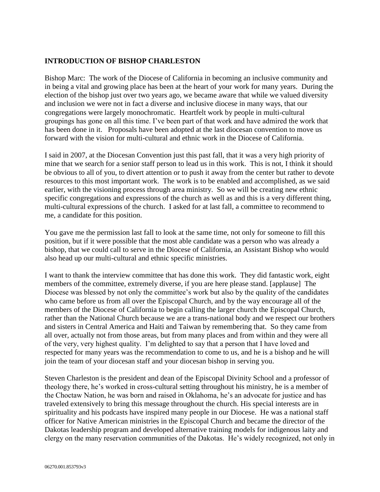### **INTRODUCTION OF BISHOP CHARLESTON**

Bishop Marc: The work of the Diocese of California in becoming an inclusive community and in being a vital and growing place has been at the heart of your work for many years. During the election of the bishop just over two years ago, we became aware that while we valued diversity and inclusion we were not in fact a diverse and inclusive diocese in many ways, that our congregations were largely monochromatic. Heartfelt work by people in multi-cultural groupings has gone on all this time. I've been part of that work and have admired the work that has been done in it. Proposals have been adopted at the last diocesan convention to move us forward with the vision for multi-cultural and ethnic work in the Diocese of California.

I said in 2007, at the Diocesan Convention just this past fall, that it was a very high priority of mine that we search for a senior staff person to lead us in this work. This is not, I think it should be obvious to all of you, to divert attention or to push it away from the center but rather to devote resources to this most important work. The work is to be enabled and accomplished, as we said earlier, with the visioning process through area ministry. So we will be creating new ethnic specific congregations and expressions of the church as well as and this is a very different thing, multi-cultural expressions of the church. I asked for at last fall, a committee to recommend to me, a candidate for this position.

You gave me the permission last fall to look at the same time, not only for someone to fill this position, but if it were possible that the most able candidate was a person who was already a bishop, that we could call to serve in the Diocese of California, an Assistant Bishop who would also head up our multi-cultural and ethnic specific ministries.

I want to thank the interview committee that has done this work. They did fantastic work, eight members of the committee, extremely diverse, if you are here please stand. [applause] The Diocese was blessed by not only the committee's work but also by the quality of the candidates who came before us from all over the Episcopal Church, and by the way encourage all of the members of the Diocese of California to begin calling the larger church the Episcopal Church, rather than the National Church because we are a trans-national body and we respect our brothers and sisters in Central America and Haiti and Taiwan by remembering that. So they came from all over, actually not from those areas, but from many places and from within and they were all of the very, very highest quality. I'm delighted to say that a person that I have loved and respected for many years was the recommendation to come to us, and he is a bishop and he will join the team of your diocesan staff and your diocesan bishop in serving you.

Steven Charleston is the president and dean of the Episcopal Divinity School and a professor of theology there, he's worked in cross-cultural setting throughout his ministry, he is a member of the Choctaw Nation, he was born and raised in Oklahoma, he's an advocate for justice and has traveled extensively to bring this message throughout the church. His special interests are in spirituality and his podcasts have inspired many people in our Diocese. He was a national staff officer for Native American ministries in the Episcopal Church and became the director of the Dakotas leadership program and developed alternative training models for indigenous laity and clergy on the many reservation communities of the Dakotas. He's widely recognized, not only in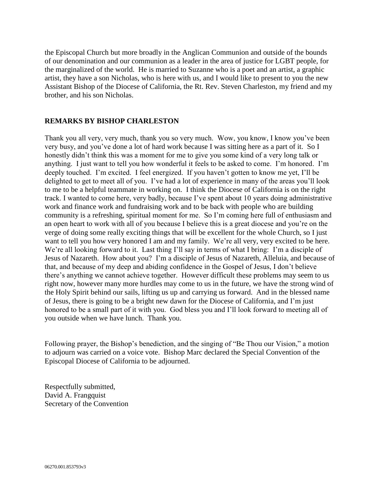the Episcopal Church but more broadly in the Anglican Communion and outside of the bounds of our denomination and our communion as a leader in the area of justice for LGBT people, for the marginalized of the world. He is married to Suzanne who is a poet and an artist, a graphic artist, they have a son Nicholas, who is here with us, and I would like to present to you the new Assistant Bishop of the Diocese of California, the Rt. Rev. Steven Charleston, my friend and my brother, and his son Nicholas.

### **REMARKS BY BISHOP CHARLESTON**

Thank you all very, very much, thank you so very much. Wow, you know, I know you've been very busy, and you've done a lot of hard work because I was sitting here as a part of it. So I honestly didn't think this was a moment for me to give you some kind of a very long talk or anything. I just want to tell you how wonderful it feels to be asked to come. I'm honored. I'm deeply touched. I'm excited. I feel energized. If you haven't gotten to know me yet, I'll be delighted to get to meet all of you. I've had a lot of experience in many of the areas you'll look to me to be a helpful teammate in working on. I think the Diocese of California is on the right track. I wanted to come here, very badly, because I've spent about 10 years doing administrative work and finance work and fundraising work and to be back with people who are building community is a refreshing, spiritual moment for me. So I'm coming here full of enthusiasm and an open heart to work with all of you because I believe this is a great diocese and you're on the verge of doing some really exciting things that will be excellent for the whole Church, so I just want to tell you how very honored I am and my family. We're all very, very excited to be here. We're all looking forward to it. Last thing I'll say in terms of what I bring: I'm a disciple of Jesus of Nazareth. How about you? I'm a disciple of Jesus of Nazareth, Alleluia, and because of that, and because of my deep and abiding confidence in the Gospel of Jesus, I don't believe there's anything we cannot achieve together. However difficult these problems may seem to us right now, however many more hurdles may come to us in the future, we have the strong wind of the Holy Spirit behind our sails, lifting us up and carrying us forward. And in the blessed name of Jesus, there is going to be a bright new dawn for the Diocese of California, and I'm just honored to be a small part of it with you. God bless you and I'll look forward to meeting all of you outside when we have lunch. Thank you.

Following prayer, the Bishop's benediction, and the singing of "Be Thou our Vision," a motion to adjourn was carried on a voice vote. Bishop Marc declared the Special Convention of the Episcopal Diocese of California to be adjourned.

Respectfully submitted, David A. Frangquist Secretary of the Convention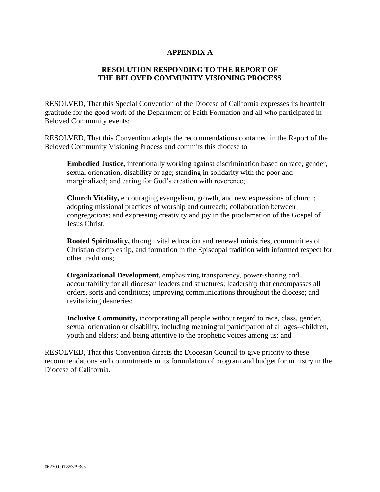### **APPENDIX A**

# **RESOLUTION RESPONDING TO THE REPORT OF THE BELOVED COMMUNITY VISIONING PROCESS**

RESOLVED, That this Special Convention of the Diocese of California expresses its heartfelt gratitude for the good work of the Department of Faith Formation and all who participated in Beloved Community events;

RESOLVED, That this Convention adopts the recommendations contained in the Report of the Beloved Community Visioning Process and commits this diocese to

**Embodied Justice,** intentionally working against discrimination based on race, gender, sexual orientation, disability or age; standing in solidarity with the poor and marginalized; and caring for God's creation with reverence;

**Church Vitality,** encouraging evangelism, growth, and new expressions of church; adopting missional practices of worship and outreach; collaboration between congregations; and expressing creativity and joy in the proclamation of the Gospel of Jesus Christ;

**Rooted Spirituality,** through vital education and renewal ministries, communities of Christian discipleship, and formation in the Episcopal tradition with informed respect for other traditions;

**Organizational Development,** emphasizing transparency, power-sharing and accountability for all diocesan leaders and structures; leadership that encompasses all orders, sorts and conditions; improving communications throughout the diocese; and revitalizing deaneries;

**Inclusive Community,** incorporating all people without regard to race, class, gender, sexual orientation or disability, including meaningful participation of all ages--children, youth and elders; and being attentive to the prophetic voices among us; and

RESOLVED, That this Convention directs the Diocesan Council to give priority to these recommendations and commitments in its formulation of program and budget for ministry in the Diocese of California.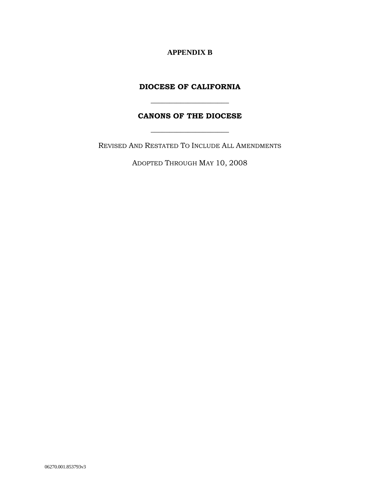# **APPENDIX B**

# **DIOCESE OF CALIFORNIA**

 $\overline{\phantom{a}}$  , where  $\overline{\phantom{a}}$  , where  $\overline{\phantom{a}}$  , where  $\overline{\phantom{a}}$ 

# **CANONS OF THE DIOCESE**

 $\overline{\phantom{a}}$  , where  $\overline{\phantom{a}}$ 

REVISED AND RESTATED TO INCLUDE ALL AMENDMENTS

ADOPTED THROUGH MAY 10, 2008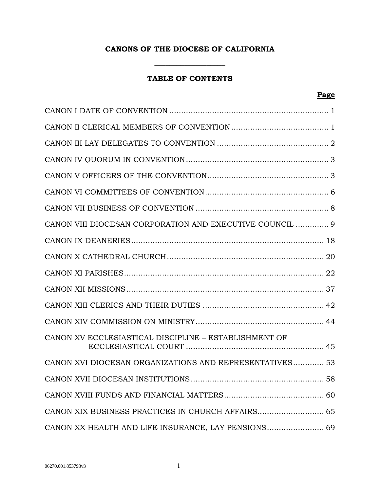# **CANONS OF THE DIOCESE OF CALIFORNIA**

\_\_\_\_\_\_\_\_\_\_\_\_\_\_\_\_\_\_\_

# **TABLE OF CONTENTS**

# **Page**

| CANON VIII DIOCESAN CORPORATION AND EXECUTIVE COUNCIL  9 |
|----------------------------------------------------------|
|                                                          |
|                                                          |
|                                                          |
|                                                          |
|                                                          |
|                                                          |
| CANON XV ECCLESIASTICAL DISCIPLINE - ESTABLISHMENT OF    |
| CANON XVI DIOCESAN ORGANIZATIONS AND REPRESENTATIVES 53  |
|                                                          |
|                                                          |
|                                                          |
| CANON XX HEALTH AND LIFE INSURANCE, LAY PENSIONS 69      |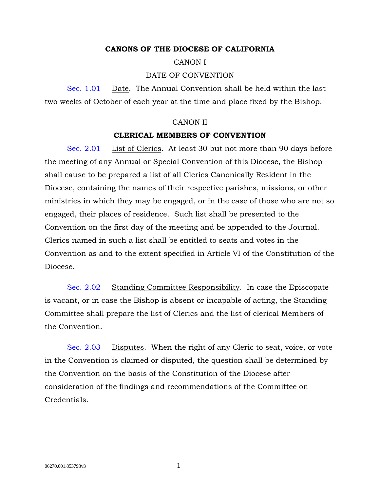### **CANONS OF THE DIOCESE OF CALIFORNIA**

### CANON I

### DATE OF CONVENTION

Sec. 1.01 Date. The Annual Convention shall be held within the last two weeks of October of each year at the time and place fixed by the Bishop.

#### CANON II

### **CLERICAL MEMBERS OF CONVENTION**

Sec. 2.01 List of Clerics. At least 30 but not more than 90 days before the meeting of any Annual or Special Convention of this Diocese, the Bishop shall cause to be prepared a list of all Clerics Canonically Resident in the Diocese, containing the names of their respective parishes, missions, or other ministries in which they may be engaged, or in the case of those who are not so engaged, their places of residence. Such list shall be presented to the Convention on the first day of the meeting and be appended to the Journal. Clerics named in such a list shall be entitled to seats and votes in the Convention as and to the extent specified in Article VI of the Constitution of the Diocese.

Sec. 2.02 Standing Committee Responsibility. In case the Episcopate is vacant, or in case the Bishop is absent or incapable of acting, the Standing Committee shall prepare the list of Clerics and the list of clerical Members of the Convention.

Sec. 2.03 Disputes. When the right of any Cleric to seat, voice, or vote in the Convention is claimed or disputed, the question shall be determined by the Convention on the basis of the Constitution of the Diocese after consideration of the findings and recommendations of the Committee on Credentials.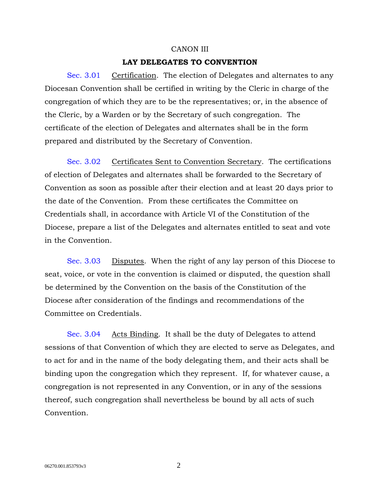#### CANON III

### **LAY DELEGATES TO CONVENTION**

Sec. 3.01 Certification. The election of Delegates and alternates to any Diocesan Convention shall be certified in writing by the Cleric in charge of the congregation of which they are to be the representatives; or, in the absence of the Cleric, by a Warden or by the Secretary of such congregation. The certificate of the election of Delegates and alternates shall be in the form prepared and distributed by the Secretary of Convention.

Sec. 3.02 Certificates Sent to Convention Secretary. The certifications of election of Delegates and alternates shall be forwarded to the Secretary of Convention as soon as possible after their election and at least 20 days prior to the date of the Convention. From these certificates the Committee on Credentials shall, in accordance with Article VI of the Constitution of the Diocese, prepare a list of the Delegates and alternates entitled to seat and vote in the Convention.

Sec. 3.03 Disputes. When the right of any lay person of this Diocese to seat, voice, or vote in the convention is claimed or disputed, the question shall be determined by the Convention on the basis of the Constitution of the Diocese after consideration of the findings and recommendations of the Committee on Credentials.

Sec. 3.04 Acts Binding. It shall be the duty of Delegates to attend sessions of that Convention of which they are elected to serve as Delegates, and to act for and in the name of the body delegating them, and their acts shall be binding upon the congregation which they represent. If, for whatever cause, a congregation is not represented in any Convention, or in any of the sessions thereof, such congregation shall nevertheless be bound by all acts of such Convention.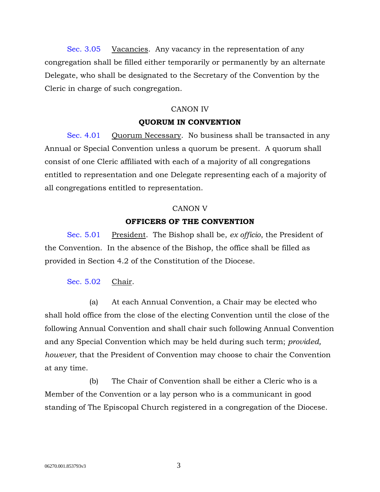Sec. 3.05 Vacancies. Any vacancy in the representation of any congregation shall be filled either temporarily or permanently by an alternate Delegate, who shall be designated to the Secretary of the Convention by the Cleric in charge of such congregation.

### CANON IV

### **QUORUM IN CONVENTION**

Sec. 4.01 Quorum Necessary. No business shall be transacted in any Annual or Special Convention unless a quorum be present. A quorum shall consist of one Cleric affiliated with each of a majority of all congregations entitled to representation and one Delegate representing each of a majority of all congregations entitled to representation.

### CANON V

### **OFFICERS OF THE CONVENTION**

Sec. 5.01 President. The Bishop shall be, *ex officio*, the President of the Convention. In the absence of the Bishop, the office shall be filled as provided in Section 4.2 of the Constitution of the Diocese.

### Sec. 5.02 Chair.

(a) At each Annual Convention, a Chair may be elected who shall hold office from the close of the electing Convention until the close of the following Annual Convention and shall chair such following Annual Convention and any Special Convention which may be held during such term; *provided, however,* that the President of Convention may choose to chair the Convention at any time.

(b) The Chair of Convention shall be either a Cleric who is a Member of the Convention or a lay person who is a communicant in good standing of The Episcopal Church registered in a congregation of the Diocese.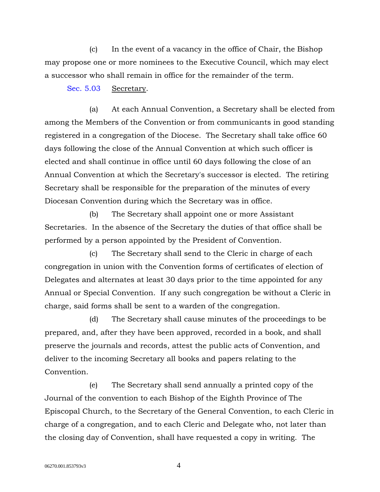(c) In the event of a vacancy in the office of Chair, the Bishop may propose one or more nominees to the Executive Council, which may elect a successor who shall remain in office for the remainder of the term.

Sec. 5.03 Secretary.

(a) At each Annual Convention, a Secretary shall be elected from among the Members of the Convention or from communicants in good standing registered in a congregation of the Diocese. The Secretary shall take office 60 days following the close of the Annual Convention at which such officer is elected and shall continue in office until 60 days following the close of an Annual Convention at which the Secretary's successor is elected. The retiring Secretary shall be responsible for the preparation of the minutes of every Diocesan Convention during which the Secretary was in office.

(b) The Secretary shall appoint one or more Assistant Secretaries. In the absence of the Secretary the duties of that office shall be performed by a person appointed by the President of Convention.

(c) The Secretary shall send to the Cleric in charge of each congregation in union with the Convention forms of certificates of election of Delegates and alternates at least 30 days prior to the time appointed for any Annual or Special Convention. If any such congregation be without a Cleric in charge, said forms shall be sent to a warden of the congregation.

(d) The Secretary shall cause minutes of the proceedings to be prepared, and, after they have been approved, recorded in a book, and shall preserve the journals and records, attest the public acts of Convention, and deliver to the incoming Secretary all books and papers relating to the Convention.

(e) The Secretary shall send annually a printed copy of the Journal of the convention to each Bishop of the Eighth Province of The Episcopal Church, to the Secretary of the General Convention, to each Cleric in charge of a congregation, and to each Cleric and Delegate who, not later than the closing day of Convention, shall have requested a copy in writing. The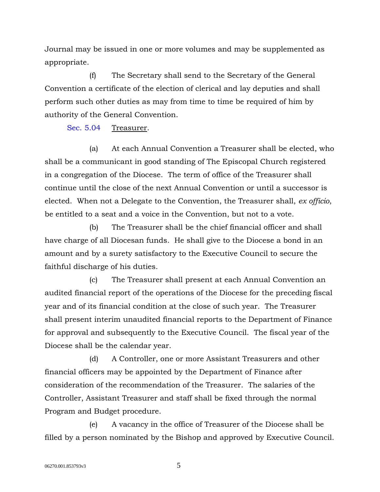Journal may be issued in one or more volumes and may be supplemented as appropriate.

(f) The Secretary shall send to the Secretary of the General Convention a certificate of the election of clerical and lay deputies and shall perform such other duties as may from time to time be required of him by authority of the General Convention.

Sec. 5.04 Treasurer.

(a) At each Annual Convention a Treasurer shall be elected, who shall be a communicant in good standing of The Episcopal Church registered in a congregation of the Diocese. The term of office of the Treasurer shall continue until the close of the next Annual Convention or until a successor is elected. When not a Delegate to the Convention, the Treasurer shall, *ex officio*, be entitled to a seat and a voice in the Convention, but not to a vote.

(b) The Treasurer shall be the chief financial officer and shall have charge of all Diocesan funds. He shall give to the Diocese a bond in an amount and by a surety satisfactory to the Executive Council to secure the faithful discharge of his duties.

(c) The Treasurer shall present at each Annual Convention an audited financial report of the operations of the Diocese for the preceding fiscal year and of its financial condition at the close of such year. The Treasurer shall present interim unaudited financial reports to the Department of Finance for approval and subsequently to the Executive Council. The fiscal year of the Diocese shall be the calendar year.

(d) A Controller, one or more Assistant Treasurers and other financial officers may be appointed by the Department of Finance after consideration of the recommendation of the Treasurer. The salaries of the Controller, Assistant Treasurer and staff shall be fixed through the normal Program and Budget procedure.

(e) A vacancy in the office of Treasurer of the Diocese shall be filled by a person nominated by the Bishop and approved by Executive Council.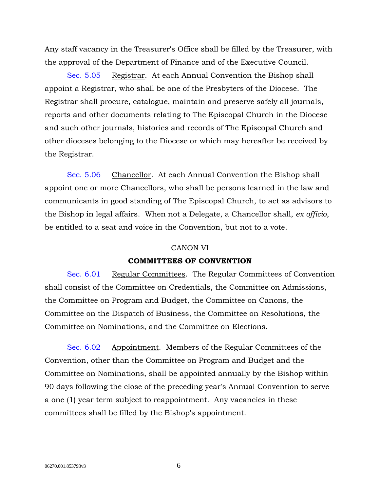Any staff vacancy in the Treasurer's Office shall be filled by the Treasurer, with the approval of the Department of Finance and of the Executive Council.

Sec. 5.05 Registrar. At each Annual Convention the Bishop shall appoint a Registrar, who shall be one of the Presbyters of the Diocese. The Registrar shall procure, catalogue, maintain and preserve safely all journals, reports and other documents relating to The Episcopal Church in the Diocese and such other journals, histories and records of The Episcopal Church and other dioceses belonging to the Diocese or which may hereafter be received by the Registrar.

Sec. 5.06 Chancellor. At each Annual Convention the Bishop shall appoint one or more Chancellors, who shall be persons learned in the law and communicants in good standing of The Episcopal Church, to act as advisors to the Bishop in legal affairs. When not a Delegate, a Chancellor shall, *ex officio*, be entitled to a seat and voice in the Convention, but not to a vote.

### CANON VI

### **COMMITTEES OF CONVENTION**

Sec. 6.01 Regular Committees. The Regular Committees of Convention shall consist of the Committee on Credentials, the Committee on Admissions, the Committee on Program and Budget, the Committee on Canons, the Committee on the Dispatch of Business, the Committee on Resolutions, the Committee on Nominations, and the Committee on Elections.

Sec. 6.02 Appointment. Members of the Regular Committees of the Convention, other than the Committee on Program and Budget and the Committee on Nominations, shall be appointed annually by the Bishop within 90 days following the close of the preceding year's Annual Convention to serve a one (1) year term subject to reappointment. Any vacancies in these committees shall be filled by the Bishop's appointment.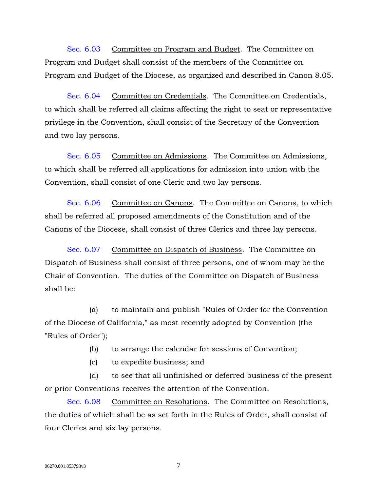Sec. 6.03 Committee on Program and Budget. The Committee on Program and Budget shall consist of the members of the Committee on Program and Budget of the Diocese, as organized and described in Canon 8.05.

Sec. 6.04 Committee on Credentials. The Committee on Credentials, to which shall be referred all claims affecting the right to seat or representative privilege in the Convention, shall consist of the Secretary of the Convention and two lay persons.

Sec. 6.05 Committee on Admissions. The Committee on Admissions, to which shall be referred all applications for admission into union with the Convention, shall consist of one Cleric and two lay persons.

Sec. 6.06 Committee on Canons. The Committee on Canons, to which shall be referred all proposed amendments of the Constitution and of the Canons of the Diocese, shall consist of three Clerics and three lay persons.

Sec. 6.07 Committee on Dispatch of Business. The Committee on Dispatch of Business shall consist of three persons, one of whom may be the Chair of Convention. The duties of the Committee on Dispatch of Business shall be:

(a) to maintain and publish "Rules of Order for the Convention of the Diocese of California," as most recently adopted by Convention (the "Rules of Order");

- (b) to arrange the calendar for sessions of Convention;
- (c) to expedite business; and

(d) to see that all unfinished or deferred business of the present or prior Conventions receives the attention of the Convention.

Sec. 6.08 Committee on Resolutions. The Committee on Resolutions, the duties of which shall be as set forth in the Rules of Order, shall consist of four Clerics and six lay persons.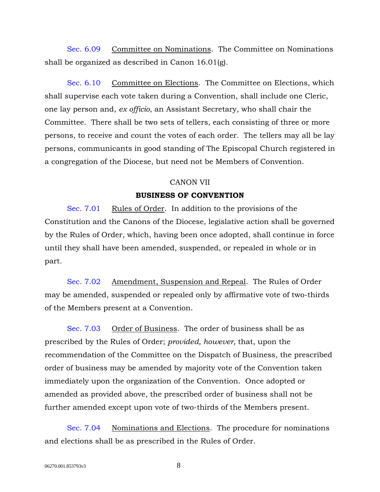Sec. 6.09 Committee on Nominations. The Committee on Nominations shall be organized as described in Canon 16.01(g).

Sec. 6.10 Committee on Elections. The Committee on Elections, which shall supervise each vote taken during a Convention, shall include one Cleric, one lay person and, *ex officio*, an Assistant Secretary, who shall chair the Committee. There shall be two sets of tellers, each consisting of three or more persons, to receive and count the votes of each order. The tellers may all be lay persons, communicants in good standing of The Episcopal Church registered in a congregation of the Diocese, but need not be Members of Convention.

#### CANON VII

### **BUSINESS OF CONVENTION**

Sec. 7.01 Rules of Order. In addition to the provisions of the Constitution and the Canons of the Diocese, legislative action shall be governed by the Rules of Order, which, having been once adopted, shall continue in force until they shall have been amended, suspended, or repealed in whole or in part.

Sec. 7.02 Amendment, Suspension and Repeal. The Rules of Order may be amended, suspended or repealed only by affirmative vote of two-thirds of the Members present at a Convention.

Sec. 7.03 Order of Business. The order of business shall be as prescribed by the Rules of Order; *provided, however,* that, upon the recommendation of the Committee on the Dispatch of Business, the prescribed order of business may be amended by majority vote of the Convention taken immediately upon the organization of the Convention. Once adopted or amended as provided above, the prescribed order of business shall not be further amended except upon vote of two-thirds of the Members present.

Sec. 7.04 Nominations and Elections. The procedure for nominations and elections shall be as prescribed in the Rules of Order.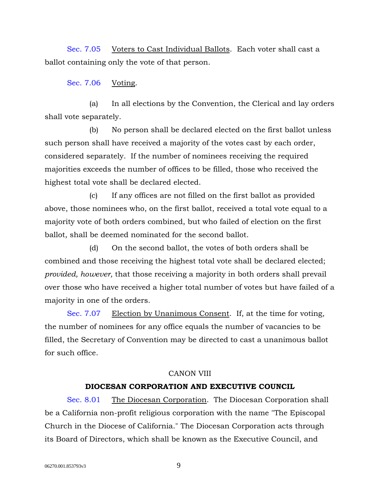Sec. 7.05 Voters to Cast Individual Ballots. Each voter shall cast a ballot containing only the vote of that person.

### Sec. 7.06 Voting.

(a) In all elections by the Convention, the Clerical and lay orders shall vote separately.

(b) No person shall be declared elected on the first ballot unless such person shall have received a majority of the votes cast by each order, considered separately. If the number of nominees receiving the required majorities exceeds the number of offices to be filled, those who received the highest total vote shall be declared elected.

(c) If any offices are not filled on the first ballot as provided above, those nominees who, on the first ballot, received a total vote equal to a majority vote of both orders combined, but who failed of election on the first ballot, shall be deemed nominated for the second ballot.

(d) On the second ballot, the votes of both orders shall be combined and those receiving the highest total vote shall be declared elected; *provided, however,* that those receiving a majority in both orders shall prevail over those who have received a higher total number of votes but have failed of a majority in one of the orders.

Sec. 7.07 Election by Unanimous Consent. If, at the time for voting, the number of nominees for any office equals the number of vacancies to be filled, the Secretary of Convention may be directed to cast a unanimous ballot for such office.

### CANON VIII

### **DIOCESAN CORPORATION AND EXECUTIVE COUNCIL**

Sec. 8.01 The Diocesan Corporation. The Diocesan Corporation shall be a California non-profit religious corporation with the name "The Episcopal Church in the Diocese of California." The Diocesan Corporation acts through its Board of Directors, which shall be known as the Executive Council, and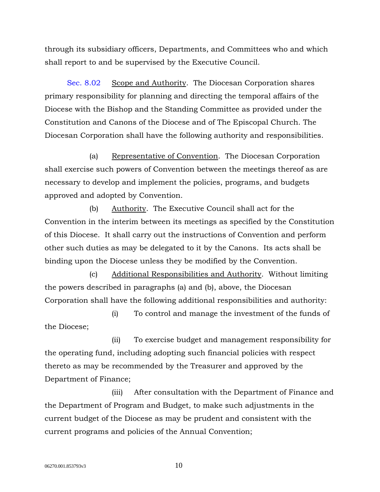through its subsidiary officers, Departments, and Committees who and which shall report to and be supervised by the Executive Council.

Sec. 8.02 Scope and Authority. The Diocesan Corporation shares primary responsibility for planning and directing the temporal affairs of the Diocese with the Bishop and the Standing Committee as provided under the Constitution and Canons of the Diocese and of The Episcopal Church. The Diocesan Corporation shall have the following authority and responsibilities.

(a) Representative of Convention. The Diocesan Corporation shall exercise such powers of Convention between the meetings thereof as are necessary to develop and implement the policies, programs, and budgets approved and adopted by Convention.

(b) Authority. The Executive Council shall act for the Convention in the interim between its meetings as specified by the Constitution of this Diocese. It shall carry out the instructions of Convention and perform other such duties as may be delegated to it by the Canons. Its acts shall be binding upon the Diocese unless they be modified by the Convention.

(c) Additional Responsibilities and Authority. Without limiting the powers described in paragraphs (a) and (b), above, the Diocesan Corporation shall have the following additional responsibilities and authority:

(i) To control and manage the investment of the funds of the Diocese;

(ii) To exercise budget and management responsibility for the operating fund, including adopting such financial policies with respect thereto as may be recommended by the Treasurer and approved by the Department of Finance;

(iii) After consultation with the Department of Finance and the Department of Program and Budget, to make such adjustments in the current budget of the Diocese as may be prudent and consistent with the current programs and policies of the Annual Convention;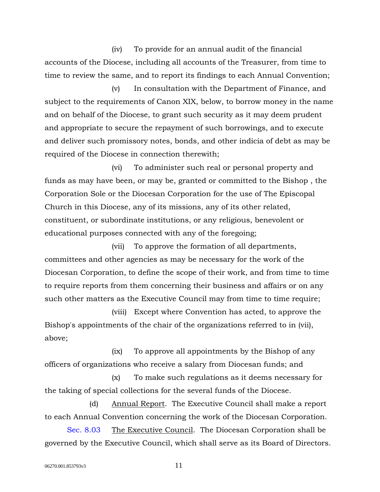(iv) To provide for an annual audit of the financial accounts of the Diocese, including all accounts of the Treasurer, from time to time to review the same, and to report its findings to each Annual Convention;

(v) In consultation with the Department of Finance, and subject to the requirements of Canon XIX, below, to borrow money in the name and on behalf of the Diocese, to grant such security as it may deem prudent and appropriate to secure the repayment of such borrowings, and to execute and deliver such promissory notes, bonds, and other indicia of debt as may be required of the Diocese in connection therewith;

(vi) To administer such real or personal property and funds as may have been, or may be, granted or committed to the Bishop , the Corporation Sole or the Diocesan Corporation for the use of The Episcopal Church in this Diocese, any of its missions, any of its other related, constituent, or subordinate institutions, or any religious, benevolent or educational purposes connected with any of the foregoing;

(vii) To approve the formation of all departments, committees and other agencies as may be necessary for the work of the Diocesan Corporation, to define the scope of their work, and from time to time to require reports from them concerning their business and affairs or on any such other matters as the Executive Council may from time to time require;

(viii) Except where Convention has acted, to approve the Bishop's appointments of the chair of the organizations referred to in (vii), above;

(ix) To approve all appointments by the Bishop of any officers of organizations who receive a salary from Diocesan funds; and

(x) To make such regulations as it deems necessary for the taking of special collections for the several funds of the Diocese.

(d) Annual Report. The Executive Council shall make a report to each Annual Convention concerning the work of the Diocesan Corporation.

Sec. 8.03 The Executive Council. The Diocesan Corporation shall be governed by the Executive Council, which shall serve as its Board of Directors.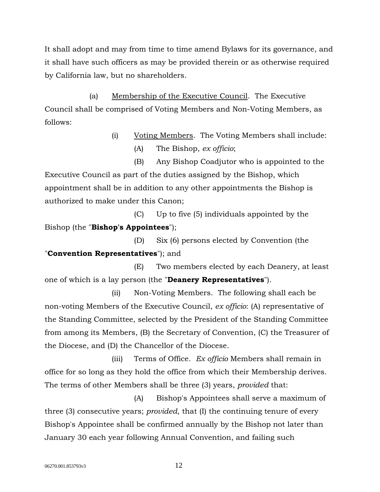It shall adopt and may from time to time amend Bylaws for its governance, and it shall have such officers as may be provided therein or as otherwise required by California law, but no shareholders.

(a) Membership of the Executive Council. The Executive Council shall be comprised of Voting Members and Non-Voting Members, as follows:

> (i) Voting Members. The Voting Members shall include: (A) The Bishop, *ex officio*;

(B) Any Bishop Coadjutor who is appointed to the Executive Council as part of the duties assigned by the Bishop, which appointment shall be in addition to any other appointments the Bishop is authorized to make under this Canon;

(C) Up to five (5) individuals appointed by the Bishop (the "**Bishop's Appointees**");

(D) Six (6) persons elected by Convention (the "**Convention Representatives**"); and

(E) Two members elected by each Deanery, at least one of which is a lay person (the "**Deanery Representatives**").

(ii) Non-Voting Members. The following shall each be non-voting Members of the Executive Council, *ex officio*: (A) representative of the Standing Committee, selected by the President of the Standing Committee from among its Members, (B) the Secretary of Convention, (C) the Treasurer of the Diocese, and (D) the Chancellor of the Diocese.

(iii) Terms of Office. *Ex officio* Members shall remain in office for so long as they hold the office from which their Membership derives. The terms of other Members shall be three (3) years, *provided* that:

(A) Bishop's Appointees shall serve a maximum of three (3) consecutive years; *provided*, that (I) the continuing tenure of every Bishop's Appointee shall be confirmed annually by the Bishop not later than January 30 each year following Annual Convention, and failing such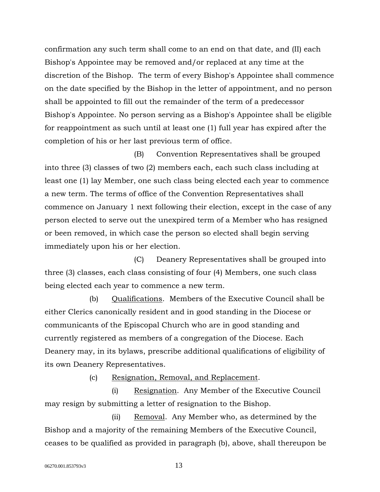confirmation any such term shall come to an end on that date, and (II) each Bishop's Appointee may be removed and/or replaced at any time at the discretion of the Bishop. The term of every Bishop's Appointee shall commence on the date specified by the Bishop in the letter of appointment, and no person shall be appointed to fill out the remainder of the term of a predecessor Bishop's Appointee. No person serving as a Bishop's Appointee shall be eligible for reappointment as such until at least one (1) full year has expired after the completion of his or her last previous term of office.

(B) Convention Representatives shall be grouped into three (3) classes of two (2) members each, each such class including at least one (1) lay Member, one such class being elected each year to commence a new term. The terms of office of the Convention Representatives shall commence on January 1 next following their election, except in the case of any person elected to serve out the unexpired term of a Member who has resigned or been removed, in which case the person so elected shall begin serving immediately upon his or her election.

(C) Deanery Representatives shall be grouped into three (3) classes, each class consisting of four (4) Members, one such class being elected each year to commence a new term.

(b) Qualifications. Members of the Executive Council shall be either Clerics canonically resident and in good standing in the Diocese or communicants of the Episcopal Church who are in good standing and currently registered as members of a congregation of the Diocese. Each Deanery may, in its bylaws, prescribe additional qualifications of eligibility of its own Deanery Representatives.

(c) Resignation, Removal, and Replacement.

(i) Resignation. Any Member of the Executive Council may resign by submitting a letter of resignation to the Bishop.

(ii) Removal. Any Member who, as determined by the Bishop and a majority of the remaining Members of the Executive Council, ceases to be qualified as provided in paragraph (b), above, shall thereupon be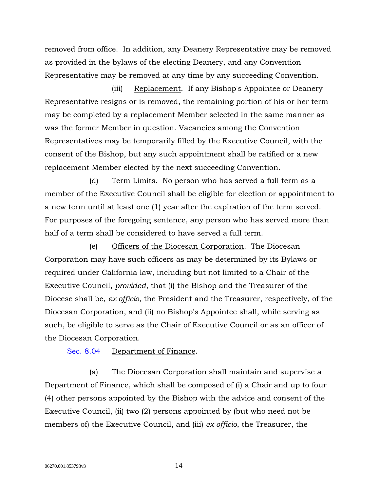removed from office. In addition, any Deanery Representative may be removed as provided in the bylaws of the electing Deanery, and any Convention Representative may be removed at any time by any succeeding Convention.

(iii) Replacement. If any Bishop's Appointee or Deanery Representative resigns or is removed, the remaining portion of his or her term may be completed by a replacement Member selected in the same manner as was the former Member in question. Vacancies among the Convention Representatives may be temporarily filled by the Executive Council, with the consent of the Bishop, but any such appointment shall be ratified or a new replacement Member elected by the next succeeding Convention.

(d) Term Limits. No person who has served a full term as a member of the Executive Council shall be eligible for election or appointment to a new term until at least one (1) year after the expiration of the term served. For purposes of the foregoing sentence, any person who has served more than half of a term shall be considered to have served a full term.

(e) Officers of the Diocesan Corporation. The Diocesan Corporation may have such officers as may be determined by its Bylaws or required under California law, including but not limited to a Chair of the Executive Council, *provided*, that (i) the Bishop and the Treasurer of the Diocese shall be, *ex officio*, the President and the Treasurer, respectively, of the Diocesan Corporation, and (ii) no Bishop's Appointee shall, while serving as such, be eligible to serve as the Chair of Executive Council or as an officer of the Diocesan Corporation.

Sec. 8.04 Department of Finance.

(a) The Diocesan Corporation shall maintain and supervise a Department of Finance, which shall be composed of (i) a Chair and up to four (4) other persons appointed by the Bishop with the advice and consent of the Executive Council, (ii) two (2) persons appointed by (but who need not be members of) the Executive Council, and (iii) *ex officio*, the Treasurer, the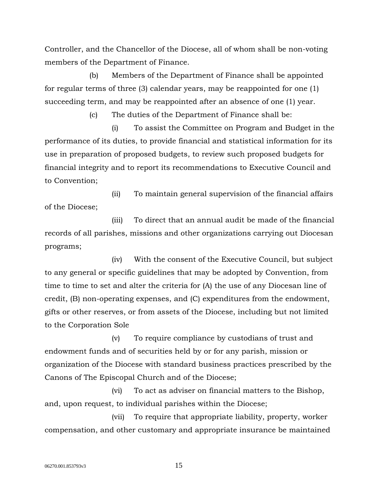Controller, and the Chancellor of the Diocese, all of whom shall be non-voting members of the Department of Finance.

(b) Members of the Department of Finance shall be appointed for regular terms of three (3) calendar years, may be reappointed for one (1) succeeding term, and may be reappointed after an absence of one (1) year.

(c) The duties of the Department of Finance shall be:

(i) To assist the Committee on Program and Budget in the performance of its duties, to provide financial and statistical information for its use in preparation of proposed budgets, to review such proposed budgets for financial integrity and to report its recommendations to Executive Council and to Convention;

(ii) To maintain general supervision of the financial affairs of the Diocese;

(iii) To direct that an annual audit be made of the financial records of all parishes, missions and other organizations carrying out Diocesan programs;

(iv) With the consent of the Executive Council, but subject to any general or specific guidelines that may be adopted by Convention, from time to time to set and alter the criteria for (A) the use of any Diocesan line of credit, (B) non-operating expenses, and (C) expenditures from the endowment, gifts or other reserves, or from assets of the Diocese, including but not limited to the Corporation Sole

(v) To require compliance by custodians of trust and endowment funds and of securities held by or for any parish, mission or organization of the Diocese with standard business practices prescribed by the Canons of The Episcopal Church and of the Diocese;

(vi) To act as adviser on financial matters to the Bishop, and, upon request, to individual parishes within the Diocese;

(vii) To require that appropriate liability, property, worker compensation, and other customary and appropriate insurance be maintained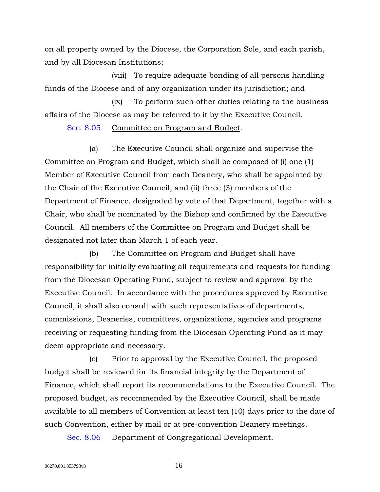on all property owned by the Diocese, the Corporation Sole, and each parish, and by all Diocesan Institutions;

(viii) To require adequate bonding of all persons handling funds of the Diocese and of any organization under its jurisdiction; and

(ix) To perform such other duties relating to the business affairs of the Diocese as may be referred to it by the Executive Council.

Sec. 8.05 Committee on Program and Budget.

(a) The Executive Council shall organize and supervise the Committee on Program and Budget, which shall be composed of (i) one (1) Member of Executive Council from each Deanery, who shall be appointed by the Chair of the Executive Council, and (ii) three (3) members of the Department of Finance, designated by vote of that Department, together with a Chair, who shall be nominated by the Bishop and confirmed by the Executive Council. All members of the Committee on Program and Budget shall be designated not later than March 1 of each year.

(b) The Committee on Program and Budget shall have responsibility for initially evaluating all requirements and requests for funding from the Diocesan Operating Fund, subject to review and approval by the Executive Council. In accordance with the procedures approved by Executive Council, it shall also consult with such representatives of departments, commissions, Deaneries, committees, organizations, agencies and programs receiving or requesting funding from the Diocesan Operating Fund as it may deem appropriate and necessary.

(c) Prior to approval by the Executive Council, the proposed budget shall be reviewed for its financial integrity by the Department of Finance, which shall report its recommendations to the Executive Council. The proposed budget, as recommended by the Executive Council, shall be made available to all members of Convention at least ten (10) days prior to the date of such Convention, either by mail or at pre-convention Deanery meetings.

Sec. 8.06 Department of Congregational Development.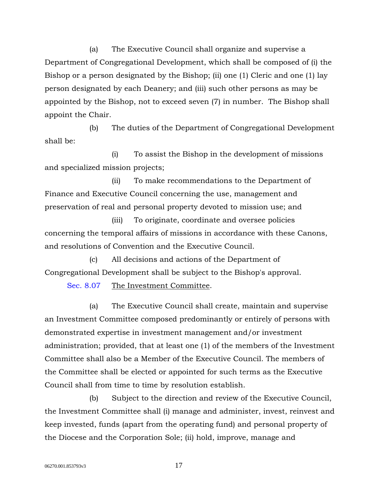(a) The Executive Council shall organize and supervise a Department of Congregational Development, which shall be composed of (i) the Bishop or a person designated by the Bishop; (ii) one (1) Cleric and one (1) lay person designated by each Deanery; and (iii) such other persons as may be appointed by the Bishop, not to exceed seven (7) in number. The Bishop shall appoint the Chair.

(b) The duties of the Department of Congregational Development shall be:

(i) To assist the Bishop in the development of missions and specialized mission projects;

(ii) To make recommendations to the Department of Finance and Executive Council concerning the use, management and preservation of real and personal property devoted to mission use; and

(iii) To originate, coordinate and oversee policies concerning the temporal affairs of missions in accordance with these Canons, and resolutions of Convention and the Executive Council.

(c) All decisions and actions of the Department of Congregational Development shall be subject to the Bishop's approval.

Sec. 8.07 The Investment Committee.

(a) The Executive Council shall create, maintain and supervise an Investment Committee composed predominantly or entirely of persons with demonstrated expertise in investment management and/or investment administration; provided, that at least one (1) of the members of the Investment Committee shall also be a Member of the Executive Council. The members of the Committee shall be elected or appointed for such terms as the Executive Council shall from time to time by resolution establish.

(b) Subject to the direction and review of the Executive Council, the Investment Committee shall (i) manage and administer, invest, reinvest and keep invested, funds (apart from the operating fund) and personal property of the Diocese and the Corporation Sole; (ii) hold, improve, manage and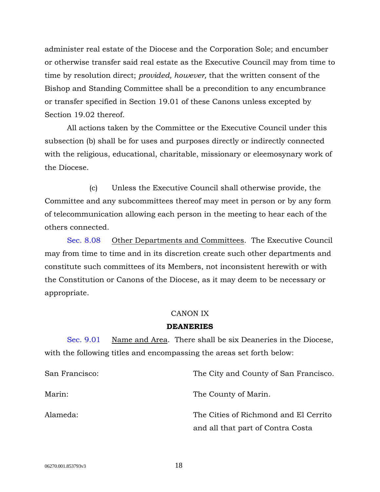administer real estate of the Diocese and the Corporation Sole; and encumber or otherwise transfer said real estate as the Executive Council may from time to time by resolution direct; *provided, however,* that the written consent of the Bishop and Standing Committee shall be a precondition to any encumbrance or transfer specified in Section 19.01 of these Canons unless excepted by Section 19.02 thereof.

All actions taken by the Committee or the Executive Council under this subsection (b) shall be for uses and purposes directly or indirectly connected with the religious, educational, charitable, missionary or eleemosynary work of the Diocese.

(c) Unless the Executive Council shall otherwise provide, the Committee and any subcommittees thereof may meet in person or by any form of telecommunication allowing each person in the meeting to hear each of the others connected.

Sec. 8.08 Other Departments and Committees. The Executive Council may from time to time and in its discretion create such other departments and constitute such committees of its Members, not inconsistent herewith or with the Constitution or Canons of the Diocese, as it may deem to be necessary or appropriate.

# CANON IX

#### **DEANERIES**

Sec. 9.01 Name and Area. There shall be six Deaneries in the Diocese, with the following titles and encompassing the areas set forth below:

| San Francisco: | The City and County of San Francisco. |
|----------------|---------------------------------------|
| Marin:         | The County of Marin.                  |
| Alameda:       | The Cities of Richmond and El Cerrito |
|                | and all that part of Contra Costa     |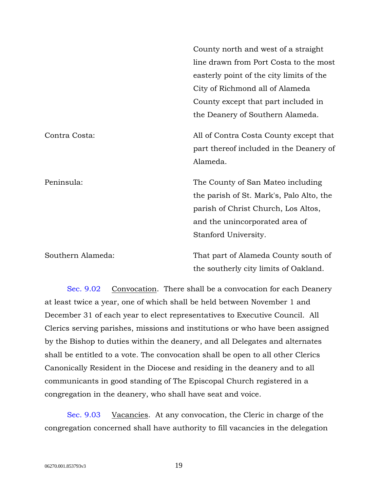|                   | County north and west of a straight      |
|-------------------|------------------------------------------|
|                   | line drawn from Port Costa to the most   |
|                   | easterly point of the city limits of the |
|                   | City of Richmond all of Alameda          |
|                   | County except that part included in      |
|                   | the Deanery of Southern Alameda.         |
| Contra Costa:     | All of Contra Costa County except that   |
|                   | part thereof included in the Deanery of  |
|                   | Alameda.                                 |
| Peninsula:        | The County of San Mateo including        |
|                   | the parish of St. Mark's, Palo Alto, the |
|                   | parish of Christ Church, Los Altos,      |
|                   | and the unincorporated area of           |
|                   | Stanford University.                     |
| Southern Alameda: | That part of Alameda County south of     |
|                   | the southerly city limits of Oakland.    |

Sec. 9.02 Convocation. There shall be a convocation for each Deanery at least twice a year, one of which shall be held between November 1 and December 31 of each year to elect representatives to Executive Council. All Clerics serving parishes, missions and institutions or who have been assigned by the Bishop to duties within the deanery, and all Delegates and alternates shall be entitled to a vote. The convocation shall be open to all other Clerics Canonically Resident in the Diocese and residing in the deanery and to all communicants in good standing of The Episcopal Church registered in a congregation in the deanery, who shall have seat and voice.

Sec. 9.03 Vacancies. At any convocation, the Cleric in charge of the congregation concerned shall have authority to fill vacancies in the delegation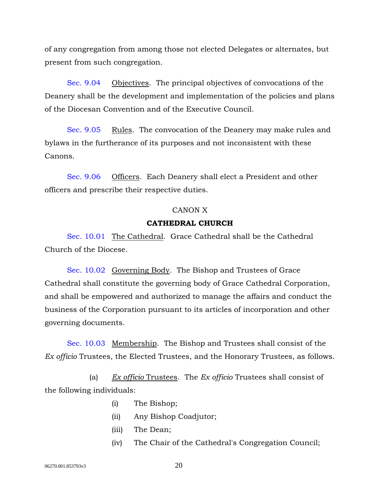of any congregation from among those not elected Delegates or alternates, but present from such congregation.

Sec. 9.04 Objectives. The principal objectives of convocations of the Deanery shall be the development and implementation of the policies and plans of the Diocesan Convention and of the Executive Council.

Sec. 9.05 Rules. The convocation of the Deanery may make rules and bylaws in the furtherance of its purposes and not inconsistent with these Canons.

Sec. 9.06 Officers. Each Deanery shall elect a President and other officers and prescribe their respective duties.

#### CANON X

## **CATHEDRAL CHURCH**

Sec. 10.01 The Cathedral. Grace Cathedral shall be the Cathedral Church of the Diocese.

Sec. 10.02 Governing Body. The Bishop and Trustees of Grace Cathedral shall constitute the governing body of Grace Cathedral Corporation, and shall be empowered and authorized to manage the affairs and conduct the business of the Corporation pursuant to its articles of incorporation and other governing documents.

Sec. 10.03 Membership. The Bishop and Trustees shall consist of the *Ex officio* Trustees, the Elected Trustees, and the Honorary Trustees, as follows.

(a) *Ex officio* Trustees. The *Ex officio* Trustees shall consist of the following individuals:

- (i) The Bishop;
- (ii) Any Bishop Coadjutor;
- (iii) The Dean;
- (iv) The Chair of the Cathedral's Congregation Council;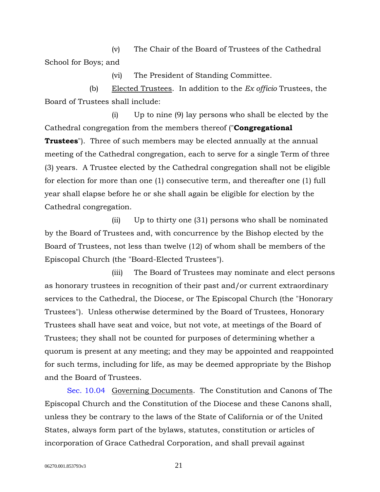(v) The Chair of the Board of Trustees of the Cathedral School for Boys; and

(vi) The President of Standing Committee.

(b) Elected Trustees. In addition to the *Ex officio* Trustees, the Board of Trustees shall include:

(i) Up to nine (9) lay persons who shall be elected by the Cathedral congregation from the members thereof ("**Congregational Trustees**"). Three of such members may be elected annually at the annual meeting of the Cathedral congregation, each to serve for a single Term of three (3) years. A Trustee elected by the Cathedral congregation shall not be eligible for election for more than one (1) consecutive term, and thereafter one (1) full year shall elapse before he or she shall again be eligible for election by the Cathedral congregation.

(ii) Up to thirty one (31) persons who shall be nominated by the Board of Trustees and, with concurrence by the Bishop elected by the Board of Trustees, not less than twelve (12) of whom shall be members of the Episcopal Church (the "Board-Elected Trustees").

(iii) The Board of Trustees may nominate and elect persons as honorary trustees in recognition of their past and/or current extraordinary services to the Cathedral, the Diocese, or The Episcopal Church (the "Honorary Trustees"). Unless otherwise determined by the Board of Trustees, Honorary Trustees shall have seat and voice, but not vote, at meetings of the Board of Trustees; they shall not be counted for purposes of determining whether a quorum is present at any meeting; and they may be appointed and reappointed for such terms, including for life, as may be deemed appropriate by the Bishop and the Board of Trustees.

Sec. 10.04 Governing Documents. The Constitution and Canons of The Episcopal Church and the Constitution of the Diocese and these Canons shall, unless they be contrary to the laws of the State of California or of the United States, always form part of the bylaws, statutes, constitution or articles of incorporation of Grace Cathedral Corporation, and shall prevail against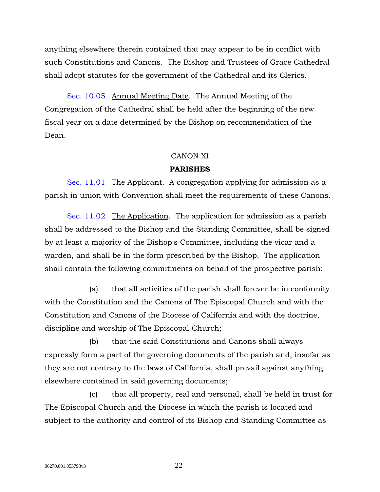anything elsewhere therein contained that may appear to be in conflict with such Constitutions and Canons. The Bishop and Trustees of Grace Cathedral shall adopt statutes for the government of the Cathedral and its Clerics.

Sec. 10.05 Annual Meeting Date. The Annual Meeting of the Congregation of the Cathedral shall be held after the beginning of the new fiscal year on a date determined by the Bishop on recommendation of the Dean.

## CANON XI

#### **PARISHES**

Sec. 11.01 The Applicant. A congregation applying for admission as a parish in union with Convention shall meet the requirements of these Canons.

Sec. 11.02 The Application. The application for admission as a parish shall be addressed to the Bishop and the Standing Committee, shall be signed by at least a majority of the Bishop's Committee, including the vicar and a warden, and shall be in the form prescribed by the Bishop. The application shall contain the following commitments on behalf of the prospective parish:

(a) that all activities of the parish shall forever be in conformity with the Constitution and the Canons of The Episcopal Church and with the Constitution and Canons of the Diocese of California and with the doctrine, discipline and worship of The Episcopal Church;

(b) that the said Constitutions and Canons shall always expressly form a part of the governing documents of the parish and, insofar as they are not contrary to the laws of California, shall prevail against anything elsewhere contained in said governing documents;

(c) that all property, real and personal, shall be held in trust for The Episcopal Church and the Diocese in which the parish is located and subject to the authority and control of its Bishop and Standing Committee as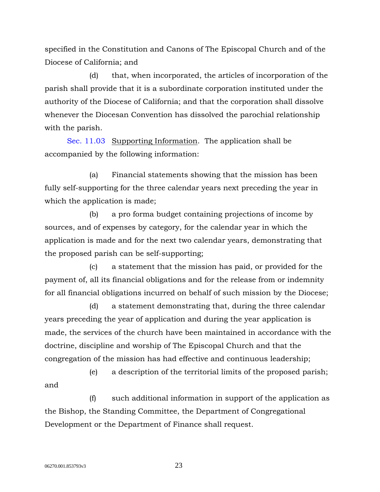specified in the Constitution and Canons of The Episcopal Church and of the Diocese of California; and

(d) that, when incorporated, the articles of incorporation of the parish shall provide that it is a subordinate corporation instituted under the authority of the Diocese of California; and that the corporation shall dissolve whenever the Diocesan Convention has dissolved the parochial relationship with the parish.

Sec. 11.03 Supporting Information. The application shall be accompanied by the following information:

(a) Financial statements showing that the mission has been fully self-supporting for the three calendar years next preceding the year in which the application is made;

(b) a pro forma budget containing projections of income by sources, and of expenses by category, for the calendar year in which the application is made and for the next two calendar years, demonstrating that the proposed parish can be self-supporting;

(c) a statement that the mission has paid, or provided for the payment of, all its financial obligations and for the release from or indemnity for all financial obligations incurred on behalf of such mission by the Diocese;

(d) a statement demonstrating that, during the three calendar years preceding the year of application and during the year application is made, the services of the church have been maintained in accordance with the doctrine, discipline and worship of The Episcopal Church and that the congregation of the mission has had effective and continuous leadership;

(e) a description of the territorial limits of the proposed parish; and

(f) such additional information in support of the application as the Bishop, the Standing Committee, the Department of Congregational Development or the Department of Finance shall request.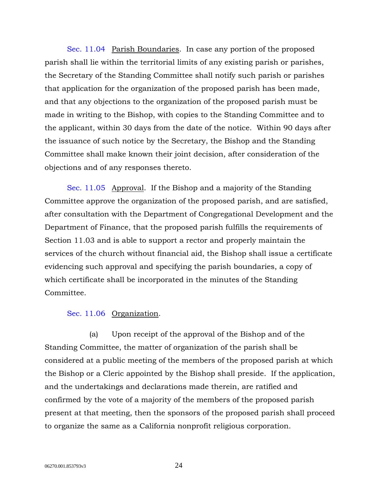Sec. 11.04 Parish Boundaries. In case any portion of the proposed parish shall lie within the territorial limits of any existing parish or parishes, the Secretary of the Standing Committee shall notify such parish or parishes that application for the organization of the proposed parish has been made, and that any objections to the organization of the proposed parish must be made in writing to the Bishop, with copies to the Standing Committee and to the applicant, within 30 days from the date of the notice. Within 90 days after the issuance of such notice by the Secretary, the Bishop and the Standing Committee shall make known their joint decision, after consideration of the objections and of any responses thereto.

Sec. 11.05 Approval. If the Bishop and a majority of the Standing Committee approve the organization of the proposed parish, and are satisfied, after consultation with the Department of Congregational Development and the Department of Finance, that the proposed parish fulfills the requirements of Section 11.03 and is able to support a rector and properly maintain the services of the church without financial aid, the Bishop shall issue a certificate evidencing such approval and specifying the parish boundaries, a copy of which certificate shall be incorporated in the minutes of the Standing Committee.

Sec. 11.06 Organization.

(a) Upon receipt of the approval of the Bishop and of the Standing Committee, the matter of organization of the parish shall be considered at a public meeting of the members of the proposed parish at which the Bishop or a Cleric appointed by the Bishop shall preside. If the application, and the undertakings and declarations made therein, are ratified and confirmed by the vote of a majority of the members of the proposed parish present at that meeting, then the sponsors of the proposed parish shall proceed to organize the same as a California nonprofit religious corporation.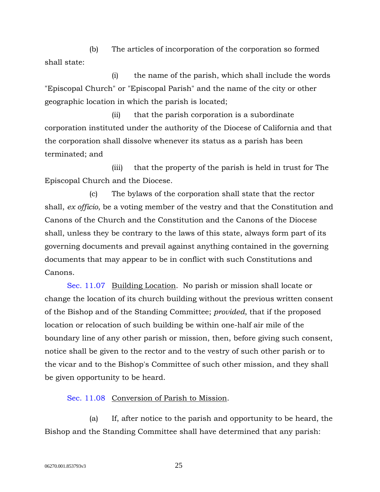(b) The articles of incorporation of the corporation so formed shall state:

(i) the name of the parish, which shall include the words "Episcopal Church" or "Episcopal Parish" and the name of the city or other geographic location in which the parish is located;

(ii) that the parish corporation is a subordinate corporation instituted under the authority of the Diocese of California and that the corporation shall dissolve whenever its status as a parish has been terminated; and

(iii) that the property of the parish is held in trust for The Episcopal Church and the Diocese.

(c) The bylaws of the corporation shall state that the rector shall, *ex officio*, be a voting member of the vestry and that the Constitution and Canons of the Church and the Constitution and the Canons of the Diocese shall, unless they be contrary to the laws of this state, always form part of its governing documents and prevail against anything contained in the governing documents that may appear to be in conflict with such Constitutions and Canons.

Sec. 11.07 Building Location. No parish or mission shall locate or change the location of its church building without the previous written consent of the Bishop and of the Standing Committee; *provided*, that if the proposed location or relocation of such building be within one-half air mile of the boundary line of any other parish or mission, then, before giving such consent, notice shall be given to the rector and to the vestry of such other parish or to the vicar and to the Bishop's Committee of such other mission, and they shall be given opportunity to be heard.

# Sec. 11.08 Conversion of Parish to Mission.

(a) If, after notice to the parish and opportunity to be heard, the Bishop and the Standing Committee shall have determined that any parish: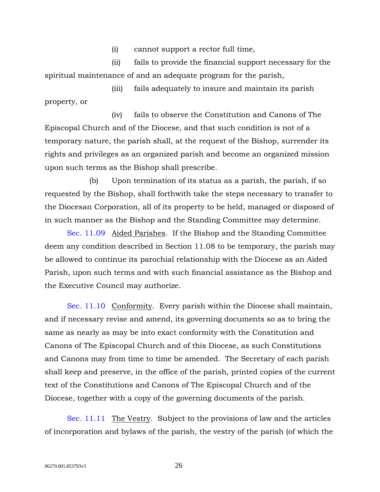(i) cannot support a rector full time,

(ii) fails to provide the financial support necessary for the spiritual maintenance of and an adequate program for the parish,

(iii) fails adequately to insure and maintain its parish property, or

(iv) fails to observe the Constitution and Canons of The Episcopal Church and of the Diocese, and that such condition is not of a temporary nature, the parish shall, at the request of the Bishop, surrender its rights and privileges as an organized parish and become an organized mission upon such terms as the Bishop shall prescribe.

(b) Upon termination of its status as a parish, the parish, if so requested by the Bishop, shall forthwith take the steps necessary to transfer to the Diocesan Corporation, all of its property to be held, managed or disposed of in such manner as the Bishop and the Standing Committee may determine.

Sec. 11.09 Aided Parishes. If the Bishop and the Standing Committee deem any condition described in Section 11.08 to be temporary, the parish may be allowed to continue its parochial relationship with the Diocese as an Aided Parish, upon such terms and with such financial assistance as the Bishop and the Executive Council may authorize.

Sec. 11.10 Conformity. Every parish within the Diocese shall maintain, and if necessary revise and amend, its governing documents so as to bring the same as nearly as may be into exact conformity with the Constitution and Canons of The Episcopal Church and of this Diocese, as such Constitutions and Canons may from time to time be amended. The Secretary of each parish shall keep and preserve, in the office of the parish, printed copies of the current text of the Constitutions and Canons of The Episcopal Church and of the Diocese, together with a copy of the governing documents of the parish.

Sec. 11.11 The Vestry. Subject to the provisions of law and the articles of incorporation and bylaws of the parish, the vestry of the parish (of which the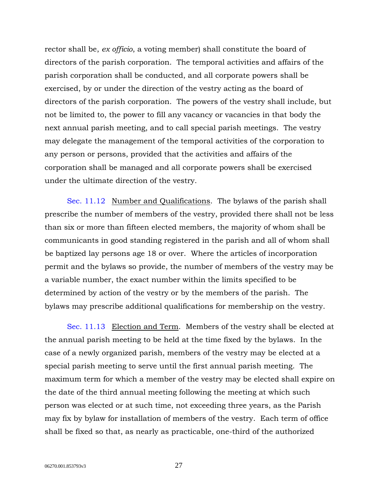rector shall be, *ex officio*, a voting member) shall constitute the board of directors of the parish corporation. The temporal activities and affairs of the parish corporation shall be conducted, and all corporate powers shall be exercised, by or under the direction of the vestry acting as the board of directors of the parish corporation. The powers of the vestry shall include, but not be limited to, the power to fill any vacancy or vacancies in that body the next annual parish meeting, and to call special parish meetings. The vestry may delegate the management of the temporal activities of the corporation to any person or persons, provided that the activities and affairs of the corporation shall be managed and all corporate powers shall be exercised under the ultimate direction of the vestry.

Sec. 11.12 Number and Qualifications. The bylaws of the parish shall prescribe the number of members of the vestry, provided there shall not be less than six or more than fifteen elected members, the majority of whom shall be communicants in good standing registered in the parish and all of whom shall be baptized lay persons age 18 or over. Where the articles of incorporation permit and the bylaws so provide, the number of members of the vestry may be a variable number, the exact number within the limits specified to be determined by action of the vestry or by the members of the parish. The bylaws may prescribe additional qualifications for membership on the vestry.

Sec. 11.13 Election and Term. Members of the vestry shall be elected at the annual parish meeting to be held at the time fixed by the bylaws. In the case of a newly organized parish, members of the vestry may be elected at a special parish meeting to serve until the first annual parish meeting. The maximum term for which a member of the vestry may be elected shall expire on the date of the third annual meeting following the meeting at which such person was elected or at such time, not exceeding three years, as the Parish may fix by bylaw for installation of members of the vestry. Each term of office shall be fixed so that, as nearly as practicable, one-third of the authorized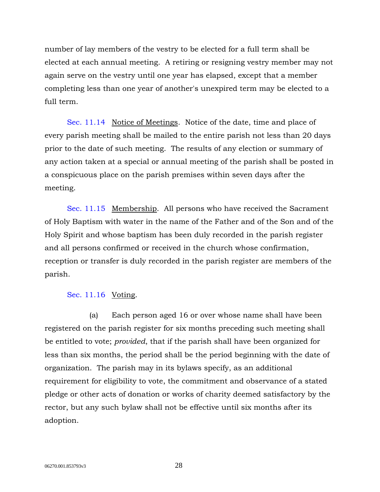number of lay members of the vestry to be elected for a full term shall be elected at each annual meeting. A retiring or resigning vestry member may not again serve on the vestry until one year has elapsed, except that a member completing less than one year of another's unexpired term may be elected to a full term.

Sec. 11.14 Notice of Meetings. Notice of the date, time and place of every parish meeting shall be mailed to the entire parish not less than 20 days prior to the date of such meeting. The results of any election or summary of any action taken at a special or annual meeting of the parish shall be posted in a conspicuous place on the parish premises within seven days after the meeting.

Sec. 11.15 Membership. All persons who have received the Sacrament of Holy Baptism with water in the name of the Father and of the Son and of the Holy Spirit and whose baptism has been duly recorded in the parish register and all persons confirmed or received in the church whose confirmation, reception or transfer is duly recorded in the parish register are members of the parish.

#### Sec. 11.16 Voting.

(a) Each person aged 16 or over whose name shall have been registered on the parish register for six months preceding such meeting shall be entitled to vote; *provided*, that if the parish shall have been organized for less than six months, the period shall be the period beginning with the date of organization. The parish may in its bylaws specify, as an additional requirement for eligibility to vote, the commitment and observance of a stated pledge or other acts of donation or works of charity deemed satisfactory by the rector, but any such bylaw shall not be effective until six months after its adoption.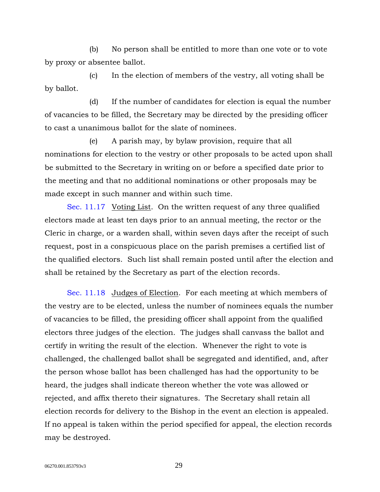(b) No person shall be entitled to more than one vote or to vote by proxy or absentee ballot.

(c) In the election of members of the vestry, all voting shall be by ballot.

(d) If the number of candidates for election is equal the number of vacancies to be filled, the Secretary may be directed by the presiding officer to cast a unanimous ballot for the slate of nominees.

(e) A parish may, by bylaw provision, require that all nominations for election to the vestry or other proposals to be acted upon shall be submitted to the Secretary in writing on or before a specified date prior to the meeting and that no additional nominations or other proposals may be made except in such manner and within such time.

Sec. 11.17 Voting List. On the written request of any three qualified electors made at least ten days prior to an annual meeting, the rector or the Cleric in charge, or a warden shall, within seven days after the receipt of such request, post in a conspicuous place on the parish premises a certified list of the qualified electors. Such list shall remain posted until after the election and shall be retained by the Secretary as part of the election records.

Sec. 11.18 Judges of Election. For each meeting at which members of the vestry are to be elected, unless the number of nominees equals the number of vacancies to be filled, the presiding officer shall appoint from the qualified electors three judges of the election. The judges shall canvass the ballot and certify in writing the result of the election. Whenever the right to vote is challenged, the challenged ballot shall be segregated and identified, and, after the person whose ballot has been challenged has had the opportunity to be heard, the judges shall indicate thereon whether the vote was allowed or rejected, and affix thereto their signatures. The Secretary shall retain all election records for delivery to the Bishop in the event an election is appealed. If no appeal is taken within the period specified for appeal, the election records may be destroyed.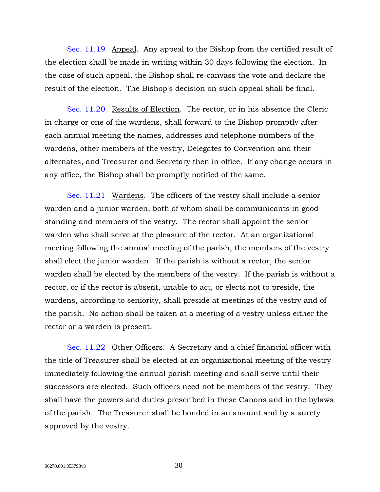Sec. 11.19 Appeal. Any appeal to the Bishop from the certified result of the election shall be made in writing within 30 days following the election. In the case of such appeal, the Bishop shall re-canvass the vote and declare the result of the election. The Bishop's decision on such appeal shall be final.

Sec. 11.20 Results of Election. The rector, or in his absence the Cleric in charge or one of the wardens, shall forward to the Bishop promptly after each annual meeting the names, addresses and telephone numbers of the wardens, other members of the vestry, Delegates to Convention and their alternates, and Treasurer and Secretary then in office. If any change occurs in any office, the Bishop shall be promptly notified of the same.

Sec. 11.21 Wardens. The officers of the vestry shall include a senior warden and a junior warden, both of whom shall be communicants in good standing and members of the vestry. The rector shall appoint the senior warden who shall serve at the pleasure of the rector. At an organizational meeting following the annual meeting of the parish, the members of the vestry shall elect the junior warden. If the parish is without a rector, the senior warden shall be elected by the members of the vestry. If the parish is without a rector, or if the rector is absent, unable to act, or elects not to preside, the wardens, according to seniority, shall preside at meetings of the vestry and of the parish. No action shall be taken at a meeting of a vestry unless either the rector or a warden is present.

Sec. 11.22 Other Officers. A Secretary and a chief financial officer with the title of Treasurer shall be elected at an organizational meeting of the vestry immediately following the annual parish meeting and shall serve until their successors are elected. Such officers need not be members of the vestry. They shall have the powers and duties prescribed in these Canons and in the bylaws of the parish. The Treasurer shall be bonded in an amount and by a surety approved by the vestry.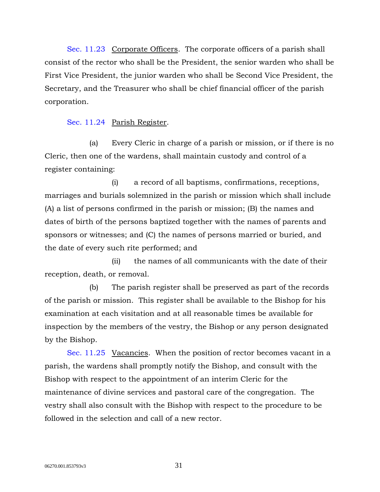Sec. 11.23 Corporate Officers. The corporate officers of a parish shall consist of the rector who shall be the President, the senior warden who shall be First Vice President, the junior warden who shall be Second Vice President, the Secretary, and the Treasurer who shall be chief financial officer of the parish corporation.

#### Sec. 11.24 Parish Register.

(a) Every Cleric in charge of a parish or mission, or if there is no Cleric, then one of the wardens, shall maintain custody and control of a register containing:

(i) a record of all baptisms, confirmations, receptions, marriages and burials solemnized in the parish or mission which shall include (A) a list of persons confirmed in the parish or mission; (B) the names and dates of birth of the persons baptized together with the names of parents and sponsors or witnesses; and (C) the names of persons married or buried, and the date of every such rite performed; and

(ii) the names of all communicants with the date of their reception, death, or removal.

(b) The parish register shall be preserved as part of the records of the parish or mission. This register shall be available to the Bishop for his examination at each visitation and at all reasonable times be available for inspection by the members of the vestry, the Bishop or any person designated by the Bishop.

Sec. 11.25 Vacancies. When the position of rector becomes vacant in a parish, the wardens shall promptly notify the Bishop, and consult with the Bishop with respect to the appointment of an interim Cleric for the maintenance of divine services and pastoral care of the congregation. The vestry shall also consult with the Bishop with respect to the procedure to be followed in the selection and call of a new rector.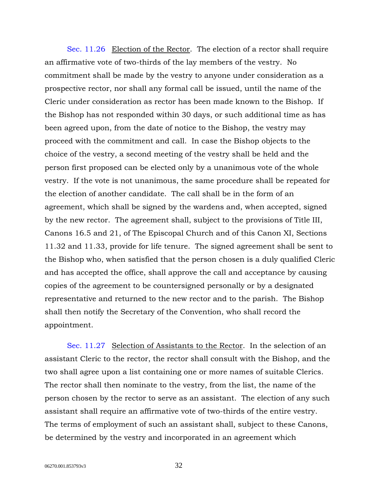Sec. 11.26 Election of the Rector. The election of a rector shall require an affirmative vote of two-thirds of the lay members of the vestry. No commitment shall be made by the vestry to anyone under consideration as a prospective rector, nor shall any formal call be issued, until the name of the Cleric under consideration as rector has been made known to the Bishop. If the Bishop has not responded within 30 days, or such additional time as has been agreed upon, from the date of notice to the Bishop, the vestry may proceed with the commitment and call. In case the Bishop objects to the choice of the vestry, a second meeting of the vestry shall be held and the person first proposed can be elected only by a unanimous vote of the whole vestry. If the vote is not unanimous, the same procedure shall be repeated for the election of another candidate. The call shall be in the form of an agreement, which shall be signed by the wardens and, when accepted, signed by the new rector. The agreement shall, subject to the provisions of Title III, Canons 16.5 and 21, of The Episcopal Church and of this Canon XI, Sections 11.32 and 11.33, provide for life tenure. The signed agreement shall be sent to the Bishop who, when satisfied that the person chosen is a duly qualified Cleric and has accepted the office, shall approve the call and acceptance by causing copies of the agreement to be countersigned personally or by a designated representative and returned to the new rector and to the parish. The Bishop shall then notify the Secretary of the Convention, who shall record the appointment.

Sec. 11.27 Selection of Assistants to the Rector. In the selection of an assistant Cleric to the rector, the rector shall consult with the Bishop, and the two shall agree upon a list containing one or more names of suitable Clerics. The rector shall then nominate to the vestry, from the list, the name of the person chosen by the rector to serve as an assistant. The election of any such assistant shall require an affirmative vote of two-thirds of the entire vestry. The terms of employment of such an assistant shall, subject to these Canons, be determined by the vestry and incorporated in an agreement which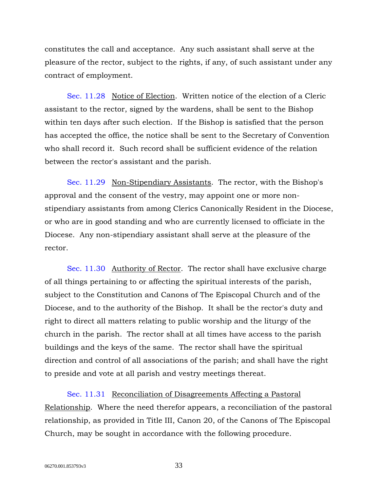constitutes the call and acceptance. Any such assistant shall serve at the pleasure of the rector, subject to the rights, if any, of such assistant under any contract of employment.

Sec. 11.28 Notice of Election. Written notice of the election of a Cleric assistant to the rector, signed by the wardens, shall be sent to the Bishop within ten days after such election. If the Bishop is satisfied that the person has accepted the office, the notice shall be sent to the Secretary of Convention who shall record it. Such record shall be sufficient evidence of the relation between the rector's assistant and the parish.

Sec. 11.29 Non-Stipendiary Assistants. The rector, with the Bishop's approval and the consent of the vestry, may appoint one or more nonstipendiary assistants from among Clerics Canonically Resident in the Diocese, or who are in good standing and who are currently licensed to officiate in the Diocese. Any non-stipendiary assistant shall serve at the pleasure of the rector.

Sec. 11.30 Authority of Rector. The rector shall have exclusive charge of all things pertaining to or affecting the spiritual interests of the parish, subject to the Constitution and Canons of The Episcopal Church and of the Diocese, and to the authority of the Bishop. It shall be the rector's duty and right to direct all matters relating to public worship and the liturgy of the church in the parish. The rector shall at all times have access to the parish buildings and the keys of the same. The rector shall have the spiritual direction and control of all associations of the parish; and shall have the right to preside and vote at all parish and vestry meetings thereat.

Sec. 11.31 Reconciliation of Disagreements Affecting a Pastoral Relationship. Where the need therefor appears, a reconciliation of the pastoral relationship, as provided in Title III, Canon 20, of the Canons of The Episcopal Church, may be sought in accordance with the following procedure.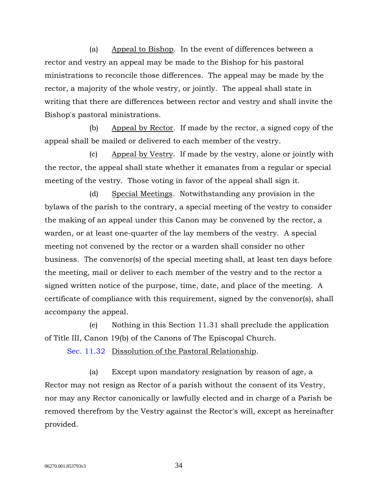(a) Appeal to Bishop. In the event of differences between a rector and vestry an appeal may be made to the Bishop for his pastoral ministrations to reconcile those differences. The appeal may be made by the rector, a majority of the whole vestry, or jointly. The appeal shall state in writing that there are differences between rector and vestry and shall invite the Bishop's pastoral ministrations.

(b) Appeal by Rector. If made by the rector, a signed copy of the appeal shall be mailed or delivered to each member of the vestry.

(c) Appeal by Vestry. If made by the vestry, alone or jointly with the rector, the appeal shall state whether it emanates from a regular or special meeting of the vestry. Those voting in favor of the appeal shall sign it.

(d) Special Meetings. Notwithstanding any provision in the bylaws of the parish to the contrary, a special meeting of the vestry to consider the making of an appeal under this Canon may be convened by the rector, a warden, or at least one-quarter of the lay members of the vestry. A special meeting not convened by the rector or a warden shall consider no other business. The convenor(s) of the special meeting shall, at least ten days before the meeting, mail or deliver to each member of the vestry and to the rector a signed written notice of the purpose, time, date, and place of the meeting. A certificate of compliance with this requirement, signed by the convenor(s), shall accompany the appeal.

(e) Nothing in this Section 11.31 shall preclude the application of Title III, Canon 19(b) of the Canons of The Episcopal Church.

Sec. 11.32 Dissolution of the Pastoral Relationship.

(a) Except upon mandatory resignation by reason of age, a Rector may not resign as Rector of a parish without the consent of its Vestry, nor may any Rector canonically or lawfully elected and in charge of a Parish be removed therefrom by the Vestry against the Rector's will, except as hereinafter provided.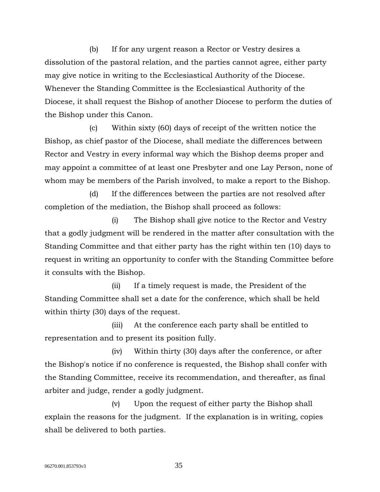(b) If for any urgent reason a Rector or Vestry desires a dissolution of the pastoral relation, and the parties cannot agree, either party may give notice in writing to the Ecclesiastical Authority of the Diocese. Whenever the Standing Committee is the Ecclesiastical Authority of the Diocese, it shall request the Bishop of another Diocese to perform the duties of the Bishop under this Canon.

(c) Within sixty (60) days of receipt of the written notice the Bishop, as chief pastor of the Diocese, shall mediate the differences between Rector and Vestry in every informal way which the Bishop deems proper and may appoint a committee of at least one Presbyter and one Lay Person, none of whom may be members of the Parish involved, to make a report to the Bishop.

(d) If the differences between the parties are not resolved after completion of the mediation, the Bishop shall proceed as follows:

(i) The Bishop shall give notice to the Rector and Vestry that a godly judgment will be rendered in the matter after consultation with the Standing Committee and that either party has the right within ten (10) days to request in writing an opportunity to confer with the Standing Committee before it consults with the Bishop.

(ii) If a timely request is made, the President of the Standing Committee shall set a date for the conference, which shall be held within thirty (30) days of the request.

(iii) At the conference each party shall be entitled to representation and to present its position fully.

(iv) Within thirty (30) days after the conference, or after the Bishop's notice if no conference is requested, the Bishop shall confer with the Standing Committee, receive its recommendation, and thereafter, as final arbiter and judge, render a godly judgment.

(v) Upon the request of either party the Bishop shall explain the reasons for the judgment. If the explanation is in writing, copies shall be delivered to both parties.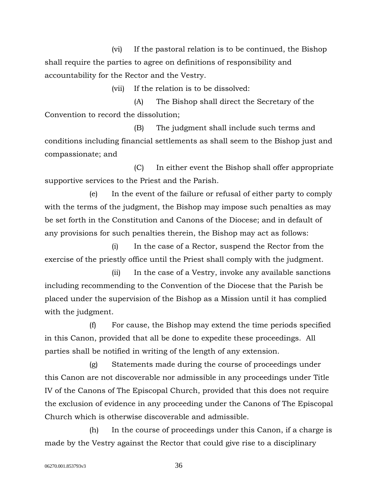(vi) If the pastoral relation is to be continued, the Bishop shall require the parties to agree on definitions of responsibility and accountability for the Rector and the Vestry.

(vii) If the relation is to be dissolved:

(A) The Bishop shall direct the Secretary of the Convention to record the dissolution;

(B) The judgment shall include such terms and conditions including financial settlements as shall seem to the Bishop just and compassionate; and

(C) In either event the Bishop shall offer appropriate supportive services to the Priest and the Parish.

(e) In the event of the failure or refusal of either party to comply with the terms of the judgment, the Bishop may impose such penalties as may be set forth in the Constitution and Canons of the Diocese; and in default of any provisions for such penalties therein, the Bishop may act as follows:

(i) In the case of a Rector, suspend the Rector from the exercise of the priestly office until the Priest shall comply with the judgment.

(ii) In the case of a Vestry, invoke any available sanctions including recommending to the Convention of the Diocese that the Parish be placed under the supervision of the Bishop as a Mission until it has complied with the judgment.

(f) For cause, the Bishop may extend the time periods specified in this Canon, provided that all be done to expedite these proceedings. All parties shall be notified in writing of the length of any extension.

(g) Statements made during the course of proceedings under this Canon are not discoverable nor admissible in any proceedings under Title IV of the Canons of The Episcopal Church, provided that this does not require the exclusion of evidence in any proceeding under the Canons of The Episcopal Church which is otherwise discoverable and admissible.

(h) In the course of proceedings under this Canon, if a charge is made by the Vestry against the Rector that could give rise to a disciplinary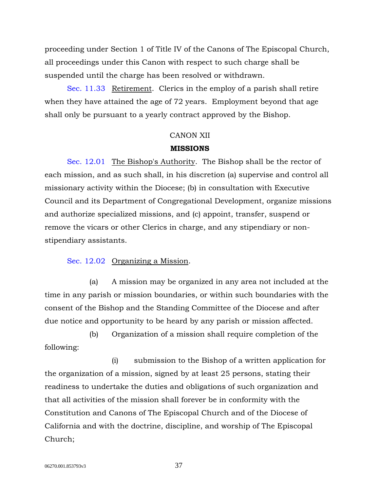proceeding under Section 1 of Title IV of the Canons of The Episcopal Church, all proceedings under this Canon with respect to such charge shall be suspended until the charge has been resolved or withdrawn.

Sec. 11.33 Retirement. Clerics in the employ of a parish shall retire when they have attained the age of 72 years. Employment beyond that age shall only be pursuant to a yearly contract approved by the Bishop.

#### CANON XII

#### **MISSIONS**

Sec. 12.01 The Bishop's Authority. The Bishop shall be the rector of each mission, and as such shall, in his discretion (a) supervise and control all missionary activity within the Diocese; (b) in consultation with Executive Council and its Department of Congregational Development, organize missions and authorize specialized missions, and (c) appoint, transfer, suspend or remove the vicars or other Clerics in charge, and any stipendiary or nonstipendiary assistants.

## Sec. 12.02 Organizing a Mission.

(a) A mission may be organized in any area not included at the time in any parish or mission boundaries, or within such boundaries with the consent of the Bishop and the Standing Committee of the Diocese and after due notice and opportunity to be heard by any parish or mission affected.

(b) Organization of a mission shall require completion of the following:

(i) submission to the Bishop of a written application for the organization of a mission, signed by at least 25 persons, stating their readiness to undertake the duties and obligations of such organization and that all activities of the mission shall forever be in conformity with the Constitution and Canons of The Episcopal Church and of the Diocese of California and with the doctrine, discipline, and worship of The Episcopal Church;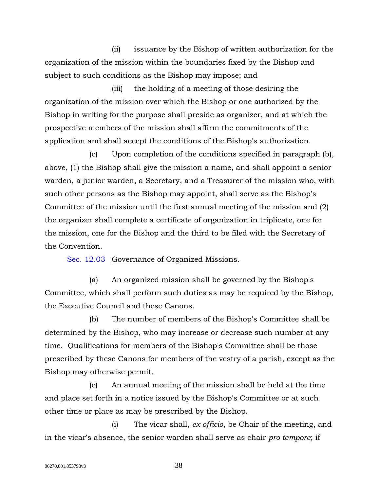(ii) issuance by the Bishop of written authorization for the organization of the mission within the boundaries fixed by the Bishop and subject to such conditions as the Bishop may impose; and

(iii) the holding of a meeting of those desiring the organization of the mission over which the Bishop or one authorized by the Bishop in writing for the purpose shall preside as organizer, and at which the prospective members of the mission shall affirm the commitments of the application and shall accept the conditions of the Bishop's authorization.

(c) Upon completion of the conditions specified in paragraph (b), above, (1) the Bishop shall give the mission a name, and shall appoint a senior warden, a junior warden, a Secretary, and a Treasurer of the mission who, with such other persons as the Bishop may appoint, shall serve as the Bishop's Committee of the mission until the first annual meeting of the mission and (2) the organizer shall complete a certificate of organization in triplicate, one for the mission, one for the Bishop and the third to be filed with the Secretary of the Convention.

Sec. 12.03 Governance of Organized Missions.

(a) An organized mission shall be governed by the Bishop's Committee, which shall perform such duties as may be required by the Bishop, the Executive Council and these Canons.

(b) The number of members of the Bishop's Committee shall be determined by the Bishop, who may increase or decrease such number at any time. Qualifications for members of the Bishop's Committee shall be those prescribed by these Canons for members of the vestry of a parish, except as the Bishop may otherwise permit.

(c) An annual meeting of the mission shall be held at the time and place set forth in a notice issued by the Bishop's Committee or at such other time or place as may be prescribed by the Bishop.

(i) The vicar shall, *ex officio*, be Chair of the meeting, and in the vicar's absence, the senior warden shall serve as chair *pro tempore*; if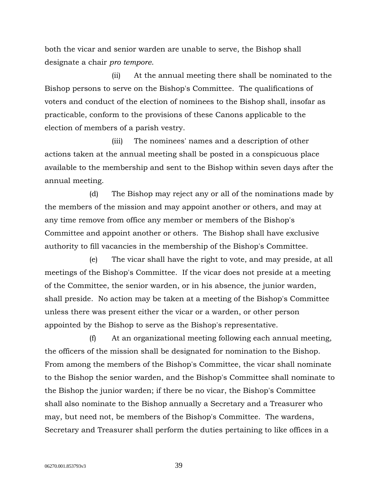both the vicar and senior warden are unable to serve, the Bishop shall designate a chair *pro tempore*.

(ii) At the annual meeting there shall be nominated to the Bishop persons to serve on the Bishop's Committee. The qualifications of voters and conduct of the election of nominees to the Bishop shall, insofar as practicable, conform to the provisions of these Canons applicable to the election of members of a parish vestry.

(iii) The nominees' names and a description of other actions taken at the annual meeting shall be posted in a conspicuous place available to the membership and sent to the Bishop within seven days after the annual meeting.

(d) The Bishop may reject any or all of the nominations made by the members of the mission and may appoint another or others, and may at any time remove from office any member or members of the Bishop's Committee and appoint another or others. The Bishop shall have exclusive authority to fill vacancies in the membership of the Bishop's Committee.

(e) The vicar shall have the right to vote, and may preside, at all meetings of the Bishop's Committee. If the vicar does not preside at a meeting of the Committee, the senior warden, or in his absence, the junior warden, shall preside. No action may be taken at a meeting of the Bishop's Committee unless there was present either the vicar or a warden, or other person appointed by the Bishop to serve as the Bishop's representative.

(f) At an organizational meeting following each annual meeting, the officers of the mission shall be designated for nomination to the Bishop. From among the members of the Bishop's Committee, the vicar shall nominate to the Bishop the senior warden, and the Bishop's Committee shall nominate to the Bishop the junior warden; if there be no vicar, the Bishop's Committee shall also nominate to the Bishop annually a Secretary and a Treasurer who may, but need not, be members of the Bishop's Committee. The wardens, Secretary and Treasurer shall perform the duties pertaining to like offices in a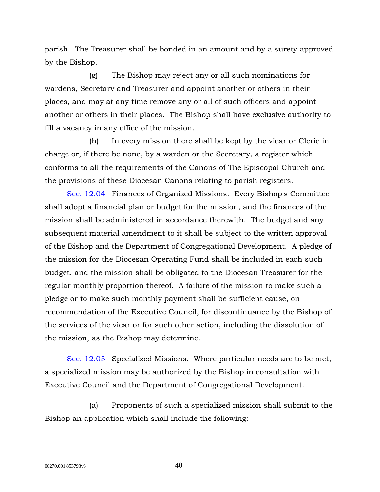parish. The Treasurer shall be bonded in an amount and by a surety approved by the Bishop.

(g) The Bishop may reject any or all such nominations for wardens, Secretary and Treasurer and appoint another or others in their places, and may at any time remove any or all of such officers and appoint another or others in their places. The Bishop shall have exclusive authority to fill a vacancy in any office of the mission.

(h) In every mission there shall be kept by the vicar or Cleric in charge or, if there be none, by a warden or the Secretary, a register which conforms to all the requirements of the Canons of The Episcopal Church and the provisions of these Diocesan Canons relating to parish registers.

Sec. 12.04 Finances of Organized Missions. Every Bishop's Committee shall adopt a financial plan or budget for the mission, and the finances of the mission shall be administered in accordance therewith. The budget and any subsequent material amendment to it shall be subject to the written approval of the Bishop and the Department of Congregational Development. A pledge of the mission for the Diocesan Operating Fund shall be included in each such budget, and the mission shall be obligated to the Diocesan Treasurer for the regular monthly proportion thereof. A failure of the mission to make such a pledge or to make such monthly payment shall be sufficient cause, on recommendation of the Executive Council, for discontinuance by the Bishop of the services of the vicar or for such other action, including the dissolution of the mission, as the Bishop may determine.

Sec. 12.05 Specialized Missions. Where particular needs are to be met, a specialized mission may be authorized by the Bishop in consultation with Executive Council and the Department of Congregational Development.

(a) Proponents of such a specialized mission shall submit to the Bishop an application which shall include the following: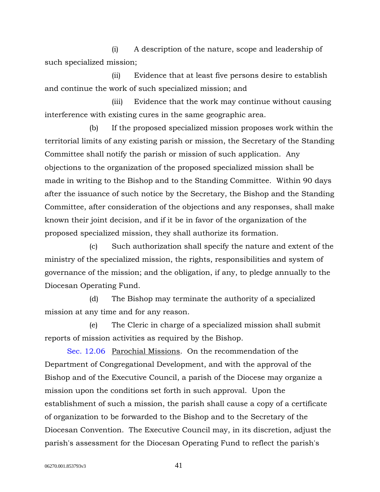(i) A description of the nature, scope and leadership of such specialized mission;

(ii) Evidence that at least five persons desire to establish and continue the work of such specialized mission; and

(iii) Evidence that the work may continue without causing interference with existing cures in the same geographic area.

(b) If the proposed specialized mission proposes work within the territorial limits of any existing parish or mission, the Secretary of the Standing Committee shall notify the parish or mission of such application. Any objections to the organization of the proposed specialized mission shall be made in writing to the Bishop and to the Standing Committee. Within 90 days after the issuance of such notice by the Secretary, the Bishop and the Standing Committee, after consideration of the objections and any responses, shall make known their joint decision, and if it be in favor of the organization of the proposed specialized mission, they shall authorize its formation.

(c) Such authorization shall specify the nature and extent of the ministry of the specialized mission, the rights, responsibilities and system of governance of the mission; and the obligation, if any, to pledge annually to the Diocesan Operating Fund.

(d) The Bishop may terminate the authority of a specialized mission at any time and for any reason.

(e) The Cleric in charge of a specialized mission shall submit reports of mission activities as required by the Bishop.

Sec. 12.06 Parochial Missions. On the recommendation of the Department of Congregational Development, and with the approval of the Bishop and of the Executive Council, a parish of the Diocese may organize a mission upon the conditions set forth in such approval. Upon the establishment of such a mission, the parish shall cause a copy of a certificate of organization to be forwarded to the Bishop and to the Secretary of the Diocesan Convention. The Executive Council may, in its discretion, adjust the parish's assessment for the Diocesan Operating Fund to reflect the parish's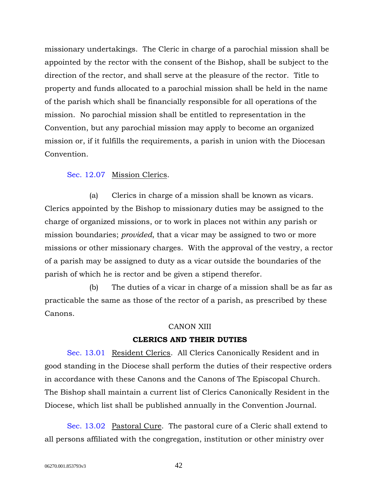missionary undertakings. The Cleric in charge of a parochial mission shall be appointed by the rector with the consent of the Bishop, shall be subject to the direction of the rector, and shall serve at the pleasure of the rector. Title to property and funds allocated to a parochial mission shall be held in the name of the parish which shall be financially responsible for all operations of the mission. No parochial mission shall be entitled to representation in the Convention, but any parochial mission may apply to become an organized mission or, if it fulfills the requirements, a parish in union with the Diocesan Convention.

#### Sec. 12.07 Mission Clerics.

(a) Clerics in charge of a mission shall be known as vicars. Clerics appointed by the Bishop to missionary duties may be assigned to the charge of organized missions, or to work in places not within any parish or mission boundaries; *provided*, that a vicar may be assigned to two or more missions or other missionary charges. With the approval of the vestry, a rector of a parish may be assigned to duty as a vicar outside the boundaries of the parish of which he is rector and be given a stipend therefor.

(b) The duties of a vicar in charge of a mission shall be as far as practicable the same as those of the rector of a parish, as prescribed by these Canons.

#### CANON XIII

## **CLERICS AND THEIR DUTIES**

Sec. 13.01 Resident Clerics. All Clerics Canonically Resident and in good standing in the Diocese shall perform the duties of their respective orders in accordance with these Canons and the Canons of The Episcopal Church. The Bishop shall maintain a current list of Clerics Canonically Resident in the Diocese, which list shall be published annually in the Convention Journal.

Sec. 13.02 Pastoral Cure. The pastoral cure of a Cleric shall extend to all persons affiliated with the congregation, institution or other ministry over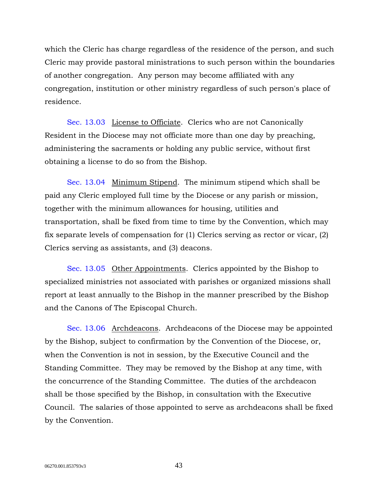which the Cleric has charge regardless of the residence of the person, and such Cleric may provide pastoral ministrations to such person within the boundaries of another congregation. Any person may become affiliated with any congregation, institution or other ministry regardless of such person's place of residence.

Sec. 13.03 License to Officiate. Clerics who are not Canonically Resident in the Diocese may not officiate more than one day by preaching, administering the sacraments or holding any public service, without first obtaining a license to do so from the Bishop.

Sec. 13.04 Minimum Stipend. The minimum stipend which shall be paid any Cleric employed full time by the Diocese or any parish or mission, together with the minimum allowances for housing, utilities and transportation, shall be fixed from time to time by the Convention, which may fix separate levels of compensation for (1) Clerics serving as rector or vicar, (2) Clerics serving as assistants, and (3) deacons.

Sec. 13.05 Other Appointments. Clerics appointed by the Bishop to specialized ministries not associated with parishes or organized missions shall report at least annually to the Bishop in the manner prescribed by the Bishop and the Canons of The Episcopal Church.

Sec. 13.06 Archdeacons. Archdeacons of the Diocese may be appointed by the Bishop, subject to confirmation by the Convention of the Diocese, or, when the Convention is not in session, by the Executive Council and the Standing Committee. They may be removed by the Bishop at any time, with the concurrence of the Standing Committee. The duties of the archdeacon shall be those specified by the Bishop, in consultation with the Executive Council. The salaries of those appointed to serve as archdeacons shall be fixed by the Convention.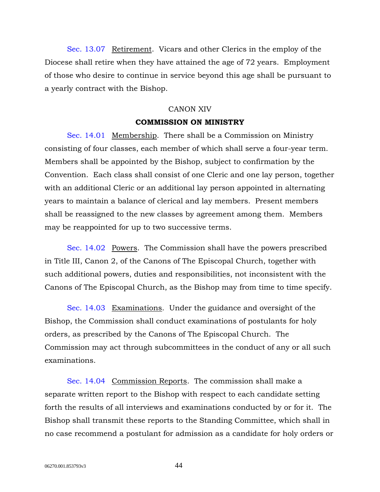Sec. 13.07 Retirement. Vicars and other Clerics in the employ of the Diocese shall retire when they have attained the age of 72 years. Employment of those who desire to continue in service beyond this age shall be pursuant to a yearly contract with the Bishop.

## CANON XIV

#### **COMMISSION ON MINISTRY**

Sec. 14.01 Membership. There shall be a Commission on Ministry consisting of four classes, each member of which shall serve a four-year term. Members shall be appointed by the Bishop, subject to confirmation by the Convention. Each class shall consist of one Cleric and one lay person, together with an additional Cleric or an additional lay person appointed in alternating years to maintain a balance of clerical and lay members. Present members shall be reassigned to the new classes by agreement among them. Members may be reappointed for up to two successive terms.

Sec. 14.02 <u>Powers</u>. The Commission shall have the powers prescribed in Title III, Canon 2, of the Canons of The Episcopal Church, together with such additional powers, duties and responsibilities, not inconsistent with the Canons of The Episcopal Church, as the Bishop may from time to time specify.

Sec. 14.03 Examinations. Under the guidance and oversight of the Bishop, the Commission shall conduct examinations of postulants for holy orders, as prescribed by the Canons of The Episcopal Church. The Commission may act through subcommittees in the conduct of any or all such examinations.

Sec. 14.04 Commission Reports. The commission shall make a separate written report to the Bishop with respect to each candidate setting forth the results of all interviews and examinations conducted by or for it. The Bishop shall transmit these reports to the Standing Committee, which shall in no case recommend a postulant for admission as a candidate for holy orders or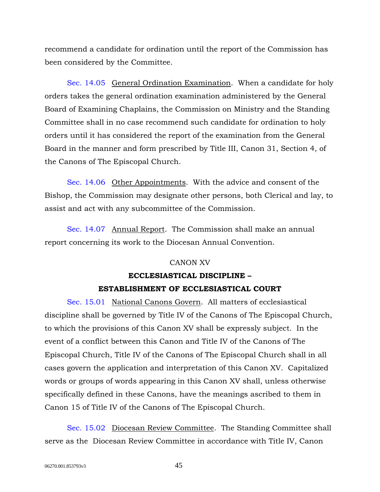recommend a candidate for ordination until the report of the Commission has been considered by the Committee.

Sec. 14.05 General Ordination Examination. When a candidate for holy orders takes the general ordination examination administered by the General Board of Examining Chaplains, the Commission on Ministry and the Standing Committee shall in no case recommend such candidate for ordination to holy orders until it has considered the report of the examination from the General Board in the manner and form prescribed by Title III, Canon 31, Section 4, of the Canons of The Episcopal Church.

Sec. 14.06 Other Appointments. With the advice and consent of the Bishop, the Commission may designate other persons, both Clerical and lay, to assist and act with any subcommittee of the Commission.

Sec. 14.07 Annual Report. The Commission shall make an annual report concerning its work to the Diocesan Annual Convention.

# CANON XV

# **ECCLESIASTICAL DISCIPLINE – ESTABLISHMENT OF ECCLESIASTICAL COURT**

Sec. 15.01 National Canons Govern. All matters of ecclesiastical discipline shall be governed by Title IV of the Canons of The Episcopal Church, to which the provisions of this Canon XV shall be expressly subject. In the event of a conflict between this Canon and Title IV of the Canons of The Episcopal Church, Title IV of the Canons of The Episcopal Church shall in all cases govern the application and interpretation of this Canon XV. Capitalized words or groups of words appearing in this Canon XV shall, unless otherwise specifically defined in these Canons, have the meanings ascribed to them in Canon 15 of Title IV of the Canons of The Episcopal Church.

Sec. 15.02 Diocesan Review Committee. The Standing Committee shall serve as the Diocesan Review Committee in accordance with Title IV, Canon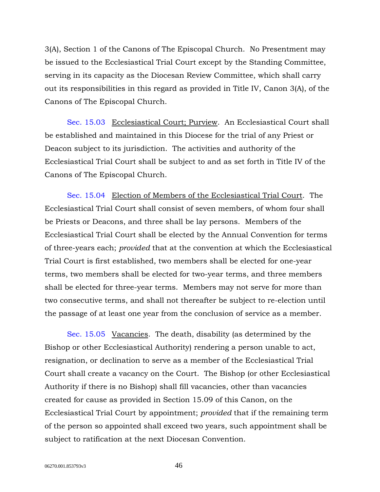3(A), Section 1 of the Canons of The Episcopal Church. No Presentment may be issued to the Ecclesiastical Trial Court except by the Standing Committee, serving in its capacity as the Diocesan Review Committee, which shall carry out its responsibilities in this regard as provided in Title IV, Canon 3(A), of the Canons of The Episcopal Church.

Sec. 15.03 Ecclesiastical Court; Purview. An Ecclesiastical Court shall be established and maintained in this Diocese for the trial of any Priest or Deacon subject to its jurisdiction. The activities and authority of the Ecclesiastical Trial Court shall be subject to and as set forth in Title IV of the Canons of The Episcopal Church.

Sec. 15.04 Election of Members of the Ecclesiastical Trial Court. The Ecclesiastical Trial Court shall consist of seven members, of whom four shall be Priests or Deacons, and three shall be lay persons. Members of the Ecclesiastical Trial Court shall be elected by the Annual Convention for terms of three-years each; *provided* that at the convention at which the Ecclesiastical Trial Court is first established, two members shall be elected for one-year terms, two members shall be elected for two-year terms, and three members shall be elected for three-year terms. Members may not serve for more than two consecutive terms, and shall not thereafter be subject to re-election until the passage of at least one year from the conclusion of service as a member.

Sec. 15.05 Vacancies. The death, disability (as determined by the Bishop or other Ecclesiastical Authority) rendering a person unable to act, resignation, or declination to serve as a member of the Ecclesiastical Trial Court shall create a vacancy on the Court. The Bishop (or other Ecclesiastical Authority if there is no Bishop) shall fill vacancies, other than vacancies created for cause as provided in Section 15.09 of this Canon, on the Ecclesiastical Trial Court by appointment; *provided* that if the remaining term of the person so appointed shall exceed two years, such appointment shall be subject to ratification at the next Diocesan Convention.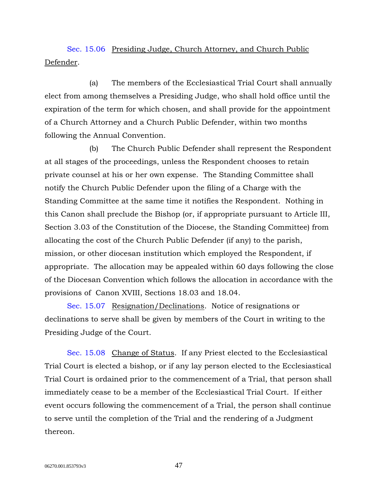Sec. 15.06 Presiding Judge, Church Attorney, and Church Public Defender.

(a) The members of the Ecclesiastical Trial Court shall annually elect from among themselves a Presiding Judge, who shall hold office until the expiration of the term for which chosen, and shall provide for the appointment of a Church Attorney and a Church Public Defender, within two months following the Annual Convention.

(b) The Church Public Defender shall represent the Respondent at all stages of the proceedings, unless the Respondent chooses to retain private counsel at his or her own expense. The Standing Committee shall notify the Church Public Defender upon the filing of a Charge with the Standing Committee at the same time it notifies the Respondent. Nothing in this Canon shall preclude the Bishop (or, if appropriate pursuant to Article III, Section 3.03 of the Constitution of the Diocese, the Standing Committee) from allocating the cost of the Church Public Defender (if any) to the parish, mission, or other diocesan institution which employed the Respondent, if appropriate. The allocation may be appealed within 60 days following the close of the Diocesan Convention which follows the allocation in accordance with the provisions of Canon XVIII, Sections 18.03 and 18.04.

Sec. 15.07 Resignation/Declinations. Notice of resignations or declinations to serve shall be given by members of the Court in writing to the Presiding Judge of the Court.

Sec. 15.08 Change of Status. If any Priest elected to the Ecclesiastical Trial Court is elected a bishop, or if any lay person elected to the Ecclesiastical Trial Court is ordained prior to the commencement of a Trial, that person shall immediately cease to be a member of the Ecclesiastical Trial Court. If either event occurs following the commencement of a Trial, the person shall continue to serve until the completion of the Trial and the rendering of a Judgment thereon.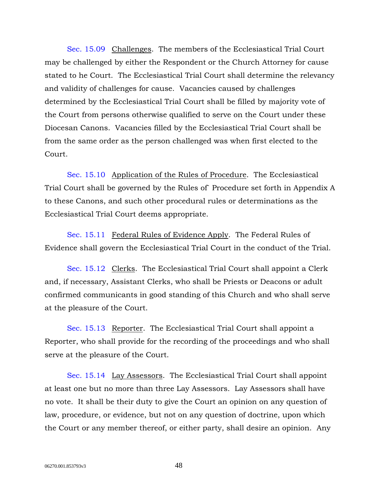Sec. 15.09 Challenges. The members of the Ecclesiastical Trial Court may be challenged by either the Respondent or the Church Attorney for cause stated to he Court. The Ecclesiastical Trial Court shall determine the relevancy and validity of challenges for cause. Vacancies caused by challenges determined by the Ecclesiastical Trial Court shall be filled by majority vote of the Court from persons otherwise qualified to serve on the Court under these Diocesan Canons. Vacancies filled by the Ecclesiastical Trial Court shall be from the same order as the person challenged was when first elected to the Court.

Sec. 15.10 Application of the Rules of Procedure. The Ecclesiastical Trial Court shall be governed by the Rules of` Procedure set forth in Appendix A to these Canons, and such other procedural rules or determinations as the Ecclesiastical Trial Court deems appropriate.

Sec. 15.11 Federal Rules of Evidence Apply. The Federal Rules of Evidence shall govern the Ecclesiastical Trial Court in the conduct of the Trial.

Sec. 15.12 Clerks. The Ecclesiastical Trial Court shall appoint a Clerk and, if necessary, Assistant Clerks, who shall be Priests or Deacons or adult confirmed communicants in good standing of this Church and who shall serve at the pleasure of the Court.

Sec. 15.13 Reporter. The Ecclesiastical Trial Court shall appoint a Reporter, who shall provide for the recording of the proceedings and who shall serve at the pleasure of the Court.

Sec. 15.14 Lay Assessors. The Ecclesiastical Trial Court shall appoint at least one but no more than three Lay Assessors. Lay Assessors shall have no vote. It shall be their duty to give the Court an opinion on any question of law, procedure, or evidence, but not on any question of doctrine, upon which the Court or any member thereof, or either party, shall desire an opinion. Any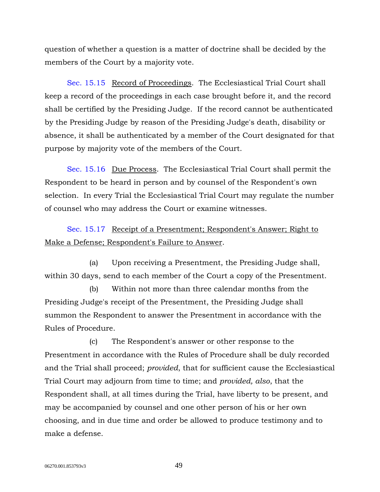question of whether a question is a matter of doctrine shall be decided by the members of the Court by a majority vote.

Sec. 15.15 Record of Proceedings. The Ecclesiastical Trial Court shall keep a record of the proceedings in each case brought before it, and the record shall be certified by the Presiding Judge. If the record cannot be authenticated by the Presiding Judge by reason of the Presiding Judge's death, disability or absence, it shall be authenticated by a member of the Court designated for that purpose by majority vote of the members of the Court.

Sec. 15.16 Due Process. The Ecclesiastical Trial Court shall permit the Respondent to be heard in person and by counsel of the Respondent's own selection. In every Trial the Ecclesiastical Trial Court may regulate the number of counsel who may address the Court or examine witnesses.

Sec. 15.17 Receipt of a Presentment; Respondent's Answer; Right to Make a Defense; Respondent's Failure to Answer.

(a) Upon receiving a Presentment, the Presiding Judge shall, within 30 days, send to each member of the Court a copy of the Presentment.

(b) Within not more than three calendar months from the Presiding Judge's receipt of the Presentment, the Presiding Judge shall summon the Respondent to answer the Presentment in accordance with the Rules of Procedure.

(c) The Respondent's answer or other response to the Presentment in accordance with the Rules of Procedure shall be duly recorded and the Trial shall proceed; *provided*, that for sufficient cause the Ecclesiastical Trial Court may adjourn from time to time; and *provided, also*, that the Respondent shall, at all times during the Trial, have liberty to be present, and may be accompanied by counsel and one other person of his or her own choosing, and in due time and order be allowed to produce testimony and to make a defense.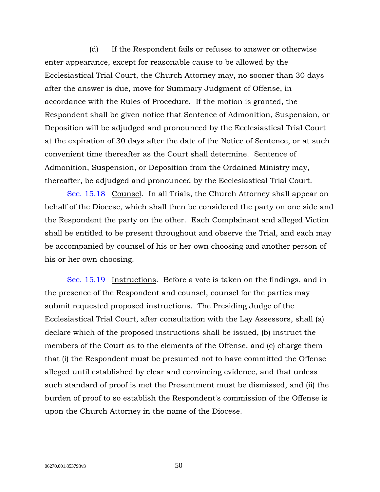(d) If the Respondent fails or refuses to answer or otherwise enter appearance, except for reasonable cause to be allowed by the Ecclesiastical Trial Court, the Church Attorney may, no sooner than 30 days after the answer is due, move for Summary Judgment of Offense, in accordance with the Rules of Procedure. If the motion is granted, the Respondent shall be given notice that Sentence of Admonition, Suspension, or Deposition will be adjudged and pronounced by the Ecclesiastical Trial Court at the expiration of 30 days after the date of the Notice of Sentence, or at such convenient time thereafter as the Court shall determine. Sentence of Admonition, Suspension, or Deposition from the Ordained Ministry may, thereafter, be adjudged and pronounced by the Ecclesiastical Trial Court.

Sec. 15.18 Counsel. In all Trials, the Church Attorney shall appear on behalf of the Diocese, which shall then be considered the party on one side and the Respondent the party on the other. Each Complainant and alleged Victim shall be entitled to be present throughout and observe the Trial, and each may be accompanied by counsel of his or her own choosing and another person of his or her own choosing.

Sec. 15.19 Instructions. Before a vote is taken on the findings, and in the presence of the Respondent and counsel, counsel for the parties may submit requested proposed instructions. The Presiding Judge of the Ecclesiastical Trial Court, after consultation with the Lay Assessors, shall (a) declare which of the proposed instructions shall be issued, (b) instruct the members of the Court as to the elements of the Offense, and (c) charge them that (i) the Respondent must be presumed not to have committed the Offense alleged until established by clear and convincing evidence, and that unless such standard of proof is met the Presentment must be dismissed, and (ii) the burden of proof to so establish the Respondent's commission of the Offense is upon the Church Attorney in the name of the Diocese.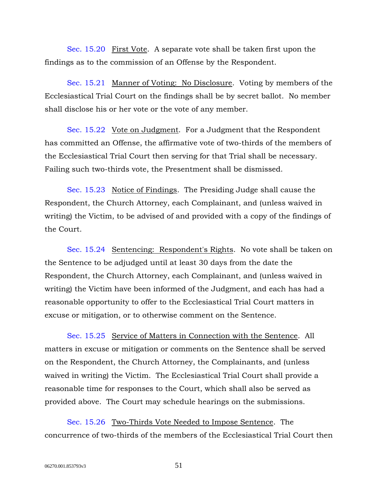Sec. 15.20 First Vote. A separate vote shall be taken first upon the findings as to the commission of an Offense by the Respondent.

Sec. 15.21 Manner of Voting: No Disclosure. Voting by members of the Ecclesiastical Trial Court on the findings shall be by secret ballot. No member shall disclose his or her vote or the vote of any member.

Sec. 15.22 Vote on Judgment. For a Judgment that the Respondent has committed an Offense, the affirmative vote of two-thirds of the members of the Ecclesiastical Trial Court then serving for that Trial shall be necessary. Failing such two-thirds vote, the Presentment shall be dismissed.

Sec. 15.23 Notice of Findings. The Presiding Judge shall cause the Respondent, the Church Attorney, each Complainant, and (unless waived in writing) the Victim, to be advised of and provided with a copy of the findings of the Court.

Sec. 15.24 Sentencing: Respondent's Rights. No vote shall be taken on the Sentence to be adjudged until at least 30 days from the date the Respondent, the Church Attorney, each Complainant, and (unless waived in writing) the Victim have been informed of the Judgment, and each has had a reasonable opportunity to offer to the Ecclesiastical Trial Court matters in excuse or mitigation, or to otherwise comment on the Sentence.

Sec. 15.25 Service of Matters in Connection with the Sentence. All matters in excuse or mitigation or comments on the Sentence shall be served on the Respondent, the Church Attorney, the Complainants, and (unless waived in writing) the Victim. The Ecclesiastical Trial Court shall provide a reasonable time for responses to the Court, which shall also be served as provided above. The Court may schedule hearings on the submissions.

Sec. 15.26 Two-Thirds Vote Needed to Impose Sentence. The concurrence of two-thirds of the members of the Ecclesiastical Trial Court then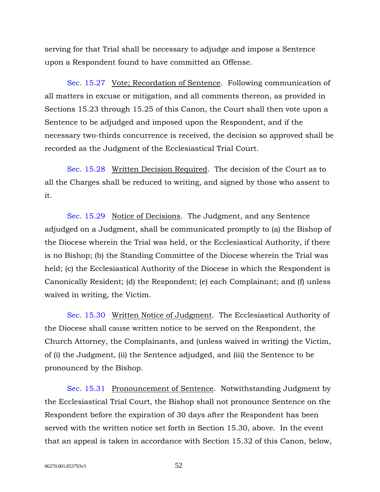serving for that Trial shall be necessary to adjudge and impose a Sentence upon a Respondent found to have committed an Offense.

Sec. 15.27 Vote; Recordation of Sentence. Following communication of all matters in excuse or mitigation, and all comments thereon, as provided in Sections 15.23 through 15.25 of this Canon, the Court shall then vote upon a Sentence to be adjudged and imposed upon the Respondent, and if the necessary two-thirds concurrence is received, the decision so approved shall be recorded as the Judgment of the Ecclesiastical Trial Court.

Sec. 15.28 Written Decision Required. The decision of the Court as to all the Charges shall be reduced to writing, and signed by those who assent to it.

Sec. 15.29 Notice of Decisions. The Judgment, and any Sentence adjudged on a Judgment, shall be communicated promptly to (a) the Bishop of the Diocese wherein the Trial was held, or the Ecclesiastical Authority, if there is no Bishop; (b) the Standing Committee of the Diocese wherein the Trial was held; (c) the Ecclesiastical Authority of the Diocese in which the Respondent is Canonically Resident; (d) the Respondent; (e) each Complainant; and (f) unless waived in writing, the Victim.

Sec. 15.30 Written Notice of Judgment. The Ecclesiastical Authority of the Diocese shall cause written notice to be served on the Respondent, the Church Attorney, the Complainants, and (unless waived in writing) the Victim, of (i) the Judgment, (ii) the Sentence adjudged, and (iii) the Sentence to be pronounced by the Bishop.

Sec. 15.31 Pronouncement of Sentence. Notwithstanding Judgment by the Ecclesiastical Trial Court, the Bishop shall not pronounce Sentence on the Respondent before the expiration of 30 days after the Respondent has been served with the written notice set forth in Section 15.30, above. In the event that an appeal is taken in accordance with Section 15.32 of this Canon, below,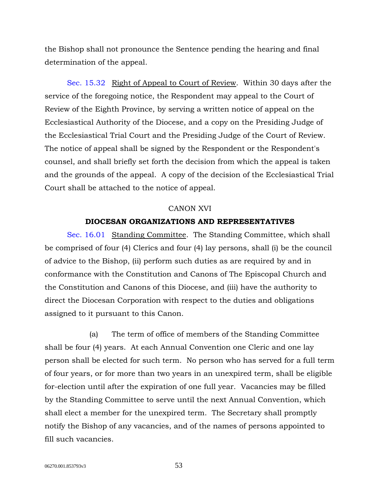the Bishop shall not pronounce the Sentence pending the hearing and final determination of the appeal.

Sec. 15.32 Right of Appeal to Court of Review. Within 30 days after the service of the foregoing notice, the Respondent may appeal to the Court of Review of the Eighth Province, by serving a written notice of appeal on the Ecclesiastical Authority of the Diocese, and a copy on the Presiding Judge of the Ecclesiastical Trial Court and the Presiding Judge of the Court of Review. The notice of appeal shall be signed by the Respondent or the Respondent's counsel, and shall briefly set forth the decision from which the appeal is taken and the grounds of the appeal. A copy of the decision of the Ecclesiastical Trial Court shall be attached to the notice of appeal.

#### CANON XVI

#### **DIOCESAN ORGANIZATIONS AND REPRESENTATIVES**

Sec. 16.01 Standing Committee. The Standing Committee, which shall be comprised of four (4) Clerics and four (4) lay persons, shall (i) be the council of advice to the Bishop, (ii) perform such duties as are required by and in conformance with the Constitution and Canons of The Episcopal Church and the Constitution and Canons of this Diocese, and (iii) have the authority to direct the Diocesan Corporation with respect to the duties and obligations assigned to it pursuant to this Canon.

(a) The term of office of members of the Standing Committee shall be four (4) years. At each Annual Convention one Cleric and one lay person shall be elected for such term. No person who has served for a full term of four years, or for more than two years in an unexpired term, shall be eligible for-election until after the expiration of one full year. Vacancies may be filled by the Standing Committee to serve until the next Annual Convention, which shall elect a member for the unexpired term. The Secretary shall promptly notify the Bishop of any vacancies, and of the names of persons appointed to fill such vacancies.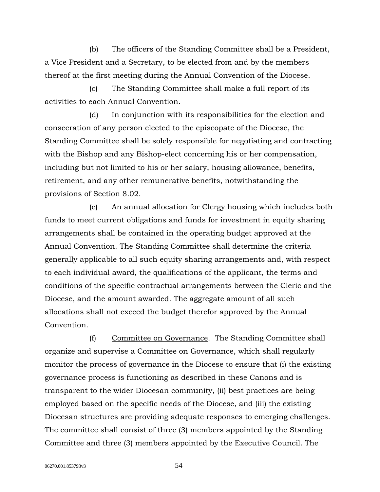(b) The officers of the Standing Committee shall be a President, a Vice President and a Secretary, to be elected from and by the members thereof at the first meeting during the Annual Convention of the Diocese.

(c) The Standing Committee shall make a full report of its activities to each Annual Convention.

(d) In conjunction with its responsibilities for the election and consecration of any person elected to the episcopate of the Diocese, the Standing Committee shall be solely responsible for negotiating and contracting with the Bishop and any Bishop-elect concerning his or her compensation, including but not limited to his or her salary, housing allowance, benefits, retirement, and any other remunerative benefits, notwithstanding the provisions of Section 8.02.

(e) An annual allocation for Clergy housing which includes both funds to meet current obligations and funds for investment in equity sharing arrangements shall be contained in the operating budget approved at the Annual Convention. The Standing Committee shall determine the criteria generally applicable to all such equity sharing arrangements and, with respect to each individual award, the qualifications of the applicant, the terms and conditions of the specific contractual arrangements between the Cleric and the Diocese, and the amount awarded. The aggregate amount of all such allocations shall not exceed the budget therefor approved by the Annual Convention.

(f) Committee on Governance. The Standing Committee shall organize and supervise a Committee on Governance, which shall regularly monitor the process of governance in the Diocese to ensure that (i) the existing governance process is functioning as described in these Canons and is transparent to the wider Diocesan community, (ii) best practices are being employed based on the specific needs of the Diocese, and (iii) the existing Diocesan structures are providing adequate responses to emerging challenges. The committee shall consist of three (3) members appointed by the Standing Committee and three (3) members appointed by the Executive Council. The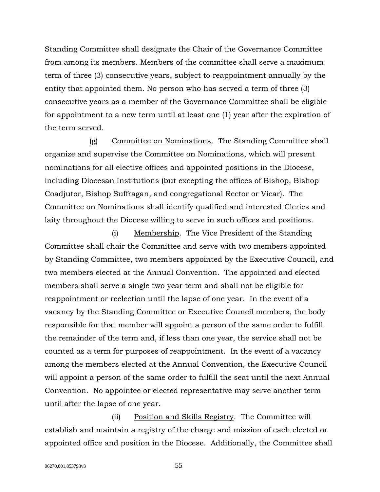Standing Committee shall designate the Chair of the Governance Committee from among its members. Members of the committee shall serve a maximum term of three (3) consecutive years, subject to reappointment annually by the entity that appointed them. No person who has served a term of three (3) consecutive years as a member of the Governance Committee shall be eligible for appointment to a new term until at least one (1) year after the expiration of the term served.

(g) Committee on Nominations. The Standing Committee shall organize and supervise the Committee on Nominations, which will present nominations for all elective offices and appointed positions in the Diocese, including Diocesan Institutions (but excepting the offices of Bishop, Bishop Coadjutor, Bishop Suffragan, and congregational Rector or Vicar). The Committee on Nominations shall identify qualified and interested Clerics and laity throughout the Diocese willing to serve in such offices and positions.

(i) Membership. The Vice President of the Standing Committee shall chair the Committee and serve with two members appointed by Standing Committee, two members appointed by the Executive Council, and two members elected at the Annual Convention. The appointed and elected members shall serve a single two year term and shall not be eligible for reappointment or reelection until the lapse of one year. In the event of a vacancy by the Standing Committee or Executive Council members, the body responsible for that member will appoint a person of the same order to fulfill the remainder of the term and, if less than one year, the service shall not be counted as a term for purposes of reappointment. In the event of a vacancy among the members elected at the Annual Convention, the Executive Council will appoint a person of the same order to fulfill the seat until the next Annual Convention. No appointee or elected representative may serve another term until after the lapse of one year.

(ii) Position and Skills Registry. The Committee will establish and maintain a registry of the charge and mission of each elected or appointed office and position in the Diocese. Additionally, the Committee shall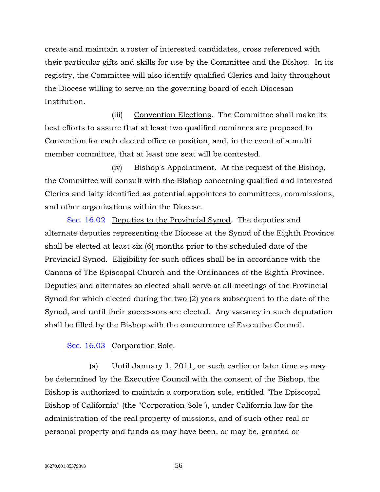create and maintain a roster of interested candidates, cross referenced with their particular gifts and skills for use by the Committee and the Bishop. In its registry, the Committee will also identify qualified Clerics and laity throughout the Diocese willing to serve on the governing board of each Diocesan Institution.

(iii) Convention Elections. The Committee shall make its best efforts to assure that at least two qualified nominees are proposed to Convention for each elected office or position, and, in the event of a multi member committee, that at least one seat will be contested.

(iv) Bishop's Appointment. At the request of the Bishop, the Committee will consult with the Bishop concerning qualified and interested Clerics and laity identified as potential appointees to committees, commissions, and other organizations within the Diocese.

Sec. 16.02 Deputies to the Provincial Synod. The deputies and alternate deputies representing the Diocese at the Synod of the Eighth Province shall be elected at least six (6) months prior to the scheduled date of the Provincial Synod. Eligibility for such offices shall be in accordance with the Canons of The Episcopal Church and the Ordinances of the Eighth Province. Deputies and alternates so elected shall serve at all meetings of the Provincial Synod for which elected during the two (2) years subsequent to the date of the Synod, and until their successors are elected. Any vacancy in such deputation shall be filled by the Bishop with the concurrence of Executive Council.

Sec. 16.03 Corporation Sole.

(a) Until January 1, 2011, or such earlier or later time as may be determined by the Executive Council with the consent of the Bishop, the Bishop is authorized to maintain a corporation sole, entitled "The Episcopal Bishop of California" (the "Corporation Sole"), under California law for the administration of the real property of missions, and of such other real or personal property and funds as may have been, or may be, granted or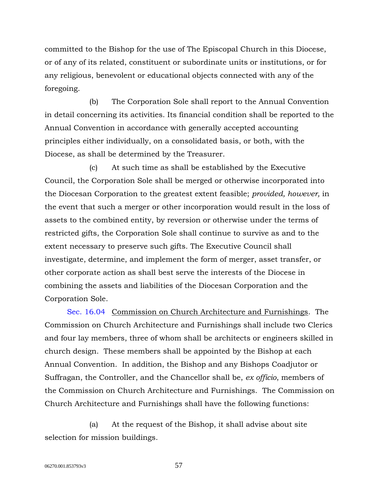committed to the Bishop for the use of The Episcopal Church in this Diocese, or of any of its related, constituent or subordinate units or institutions, or for any religious, benevolent or educational objects connected with any of the foregoing.

(b) The Corporation Sole shall report to the Annual Convention in detail concerning its activities. Its financial condition shall be reported to the Annual Convention in accordance with generally accepted accounting principles either individually, on a consolidated basis, or both, with the Diocese, as shall be determined by the Treasurer.

(c) At such time as shall be established by the Executive Council, the Corporation Sole shall be merged or otherwise incorporated into the Diocesan Corporation to the greatest extent feasible; *provided, however,* in the event that such a merger or other incorporation would result in the loss of assets to the combined entity, by reversion or otherwise under the terms of restricted gifts, the Corporation Sole shall continue to survive as and to the extent necessary to preserve such gifts. The Executive Council shall investigate, determine, and implement the form of merger, asset transfer, or other corporate action as shall best serve the interests of the Diocese in combining the assets and liabilities of the Diocesan Corporation and the Corporation Sole.

Sec. 16.04 Commission on Church Architecture and Furnishings. The Commission on Church Architecture and Furnishings shall include two Clerics and four lay members, three of whom shall be architects or engineers skilled in church design. These members shall be appointed by the Bishop at each Annual Convention. In addition, the Bishop and any Bishops Coadjutor or Suffragan, the Controller, and the Chancellor shall be, *ex officio*, members of the Commission on Church Architecture and Furnishings. The Commission on Church Architecture and Furnishings shall have the following functions:

(a) At the request of the Bishop, it shall advise about site selection for mission buildings.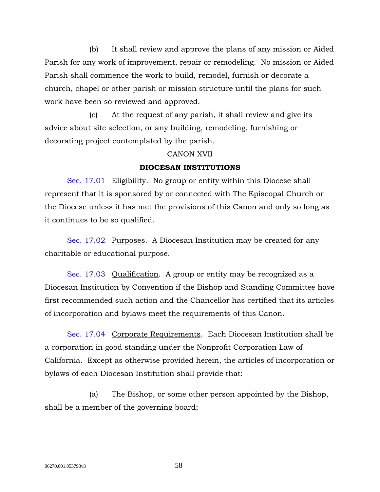(b) It shall review and approve the plans of any mission or Aided Parish for any work of improvement, repair or remodeling. No mission or Aided Parish shall commence the work to build, remodel, furnish or decorate a church, chapel or other parish or mission structure until the plans for such work have been so reviewed and approved.

(c) At the request of any parish, it shall review and give its advice about site selection, or any building, remodeling, furnishing or decorating project contemplated by the parish.

### CANON XVII

#### **DIOCESAN INSTITUTIONS**

Sec. 17.01 Eligibility. No group or entity within this Diocese shall represent that it is sponsored by or connected with The Episcopal Church or the Diocese unless it has met the provisions of this Canon and only so long as it continues to be so qualified.

Sec. 17.02 Purposes. A Diocesan Institution may be created for any charitable or educational purpose.

Sec. 17.03 Qualification. A group or entity may be recognized as a Diocesan Institution by Convention if the Bishop and Standing Committee have first recommended such action and the Chancellor has certified that its articles of incorporation and bylaws meet the requirements of this Canon.

Sec. 17.04 Corporate Requirements. Each Diocesan Institution shall be a corporation in good standing under the Nonprofit Corporation Law of California. Except as otherwise provided herein, the articles of incorporation or bylaws of each Diocesan Institution shall provide that:

(a) The Bishop, or some other person appointed by the Bishop, shall be a member of the governing board;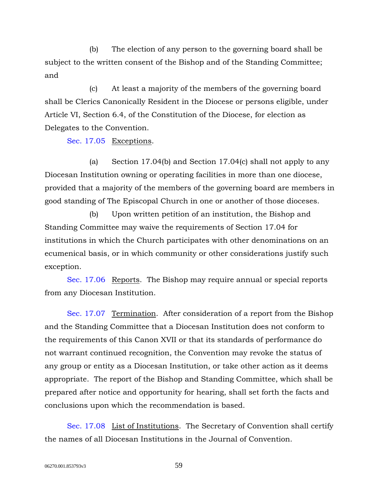(b) The election of any person to the governing board shall be subject to the written consent of the Bishop and of the Standing Committee; and

(c) At least a majority of the members of the governing board shall be Clerics Canonically Resident in the Diocese or persons eligible, under Article VI, Section 6.4, of the Constitution of the Diocese, for election as Delegates to the Convention.

Sec. 17.05 Exceptions.

(a) Section 17.04(b) and Section 17.04(c) shall not apply to any Diocesan Institution owning or operating facilities in more than one diocese, provided that a majority of the members of the governing board are members in good standing of The Episcopal Church in one or another of those dioceses.

(b) Upon written petition of an institution, the Bishop and Standing Committee may waive the requirements of Section 17.04 for institutions in which the Church participates with other denominations on an ecumenical basis, or in which community or other considerations justify such exception.

Sec. 17.06 Reports. The Bishop may require annual or special reports from any Diocesan Institution.

Sec. 17.07 Termination. After consideration of a report from the Bishop and the Standing Committee that a Diocesan Institution does not conform to the requirements of this Canon XVII or that its standards of performance do not warrant continued recognition, the Convention may revoke the status of any group or entity as a Diocesan Institution, or take other action as it deems appropriate. The report of the Bishop and Standing Committee, which shall be prepared after notice and opportunity for hearing, shall set forth the facts and conclusions upon which the recommendation is based.

Sec. 17.08 List of Institutions. The Secretary of Convention shall certify the names of all Diocesan Institutions in the Journal of Convention.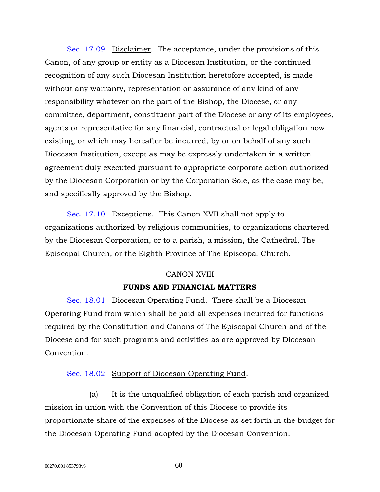Sec. 17.09 Disclaimer. The acceptance, under the provisions of this Canon, of any group or entity as a Diocesan Institution, or the continued recognition of any such Diocesan Institution heretofore accepted, is made without any warranty, representation or assurance of any kind of any responsibility whatever on the part of the Bishop, the Diocese, or any committee, department, constituent part of the Diocese or any of its employees, agents or representative for any financial, contractual or legal obligation now existing, or which may hereafter be incurred, by or on behalf of any such Diocesan Institution, except as may be expressly undertaken in a written agreement duly executed pursuant to appropriate corporate action authorized by the Diocesan Corporation or by the Corporation Sole, as the case may be, and specifically approved by the Bishop.

Sec. 17.10 Exceptions. This Canon XVII shall not apply to organizations authorized by religious communities, to organizations chartered by the Diocesan Corporation, or to a parish, a mission, the Cathedral, The Episcopal Church, or the Eighth Province of The Episcopal Church.

# CANON XVIII

# **FUNDS AND FINANCIAL MATTERS**

Sec. 18.01 Diocesan Operating Fund. There shall be a Diocesan Operating Fund from which shall be paid all expenses incurred for functions required by the Constitution and Canons of The Episcopal Church and of the Diocese and for such programs and activities as are approved by Diocesan Convention.

### Sec. 18.02 Support of Diocesan Operating Fund.

(a) It is the unqualified obligation of each parish and organized mission in union with the Convention of this Diocese to provide its proportionate share of the expenses of the Diocese as set forth in the budget for the Diocesan Operating Fund adopted by the Diocesan Convention.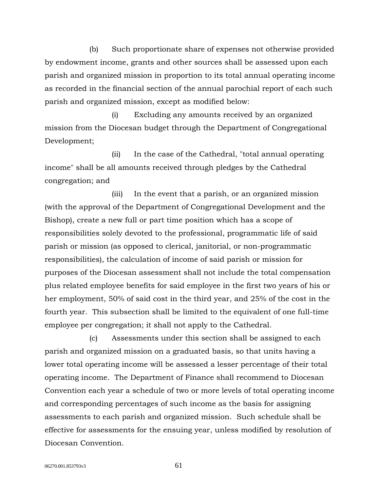(b) Such proportionate share of expenses not otherwise provided by endowment income, grants and other sources shall be assessed upon each parish and organized mission in proportion to its total annual operating income as recorded in the financial section of the annual parochial report of each such parish and organized mission, except as modified below:

(i) Excluding any amounts received by an organized mission from the Diocesan budget through the Department of Congregational Development;

(ii) In the case of the Cathedral, "total annual operating income" shall be all amounts received through pledges by the Cathedral congregation; and

(iii) In the event that a parish, or an organized mission (with the approval of the Department of Congregational Development and the Bishop), create a new full or part time position which has a scope of responsibilities solely devoted to the professional, programmatic life of said parish or mission (as opposed to clerical, janitorial, or non-programmatic responsibilities), the calculation of income of said parish or mission for purposes of the Diocesan assessment shall not include the total compensation plus related employee benefits for said employee in the first two years of his or her employment, 50% of said cost in the third year, and 25% of the cost in the fourth year. This subsection shall be limited to the equivalent of one full-time employee per congregation; it shall not apply to the Cathedral.

(c) Assessments under this section shall be assigned to each parish and organized mission on a graduated basis, so that units having a lower total operating income will be assessed a lesser percentage of their total operating income. The Department of Finance shall recommend to Diocesan Convention each year a schedule of two or more levels of total operating income and corresponding percentages of such income as the basis for assigning assessments to each parish and organized mission. Such schedule shall be effective for assessments for the ensuing year, unless modified by resolution of Diocesan Convention.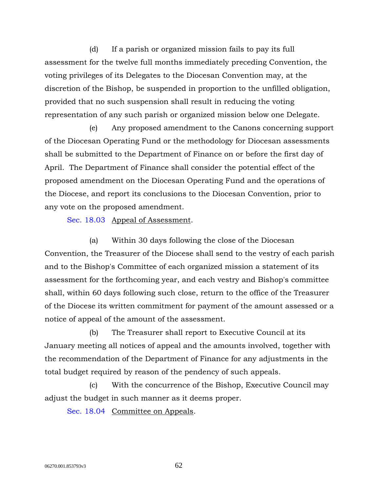(d) If a parish or organized mission fails to pay its full assessment for the twelve full months immediately preceding Convention, the voting privileges of its Delegates to the Diocesan Convention may, at the discretion of the Bishop, be suspended in proportion to the unfilled obligation, provided that no such suspension shall result in reducing the voting representation of any such parish or organized mission below one Delegate.

(e) Any proposed amendment to the Canons concerning support of the Diocesan Operating Fund or the methodology for Diocesan assessments shall be submitted to the Department of Finance on or before the first day of April. The Department of Finance shall consider the potential effect of the proposed amendment on the Diocesan Operating Fund and the operations of the Diocese, and report its conclusions to the Diocesan Convention, prior to any vote on the proposed amendment.

Sec. 18.03 Appeal of Assessment.

(a) Within 30 days following the close of the Diocesan Convention, the Treasurer of the Diocese shall send to the vestry of each parish and to the Bishop's Committee of each organized mission a statement of its assessment for the forthcoming year, and each vestry and Bishop's committee shall, within 60 days following such close, return to the office of the Treasurer of the Diocese its written commitment for payment of the amount assessed or a notice of appeal of the amount of the assessment.

(b) The Treasurer shall report to Executive Council at its January meeting all notices of appeal and the amounts involved, together with the recommendation of the Department of Finance for any adjustments in the total budget required by reason of the pendency of such appeals.

(c) With the concurrence of the Bishop, Executive Council may adjust the budget in such manner as it deems proper.

Sec. 18.04 Committee on Appeals.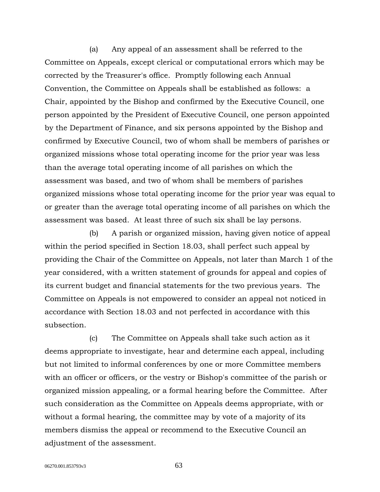(a) Any appeal of an assessment shall be referred to the Committee on Appeals, except clerical or computational errors which may be corrected by the Treasurer's office. Promptly following each Annual Convention, the Committee on Appeals shall be established as follows: a Chair, appointed by the Bishop and confirmed by the Executive Council, one person appointed by the President of Executive Council, one person appointed by the Department of Finance, and six persons appointed by the Bishop and confirmed by Executive Council, two of whom shall be members of parishes or organized missions whose total operating income for the prior year was less than the average total operating income of all parishes on which the assessment was based, and two of whom shall be members of parishes organized missions whose total operating income for the prior year was equal to or greater than the average total operating income of all parishes on which the assessment was based. At least three of such six shall be lay persons.

(b) A parish or organized mission, having given notice of appeal within the period specified in Section 18.03, shall perfect such appeal by providing the Chair of the Committee on Appeals, not later than March 1 of the year considered, with a written statement of grounds for appeal and copies of its current budget and financial statements for the two previous years. The Committee on Appeals is not empowered to consider an appeal not noticed in accordance with Section 18.03 and not perfected in accordance with this subsection.

(c) The Committee on Appeals shall take such action as it deems appropriate to investigate, hear and determine each appeal, including but not limited to informal conferences by one or more Committee members with an officer or officers, or the vestry or Bishop's committee of the parish or organized mission appealing, or a formal hearing before the Committee. After such consideration as the Committee on Appeals deems appropriate, with or without a formal hearing, the committee may by vote of a majority of its members dismiss the appeal or recommend to the Executive Council an adjustment of the assessment.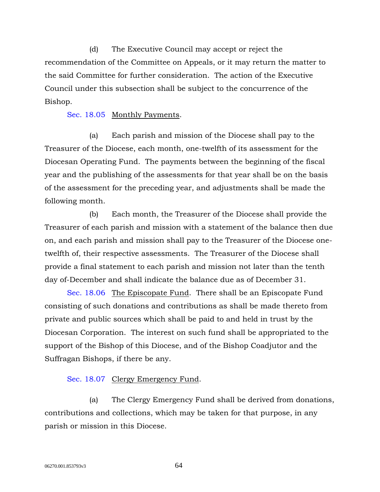(d) The Executive Council may accept or reject the recommendation of the Committee on Appeals, or it may return the matter to the said Committee for further consideration. The action of the Executive Council under this subsection shall be subject to the concurrence of the Bishop.

# Sec. 18.05 Monthly Payments.

(a) Each parish and mission of the Diocese shall pay to the Treasurer of the Diocese, each month, one-twelfth of its assessment for the Diocesan Operating Fund. The payments between the beginning of the fiscal year and the publishing of the assessments for that year shall be on the basis of the assessment for the preceding year, and adjustments shall be made the following month.

(b) Each month, the Treasurer of the Diocese shall provide the Treasurer of each parish and mission with a statement of the balance then due on, and each parish and mission shall pay to the Treasurer of the Diocese onetwelfth of, their respective assessments. The Treasurer of the Diocese shall provide a final statement to each parish and mission not later than the tenth day of-December and shall indicate the balance due as of December 31.

Sec. 18.06 The Episcopate Fund. There shall be an Episcopate Fund consisting of such donations and contributions as shall be made thereto from private and public sources which shall be paid to and held in trust by the Diocesan Corporation. The interest on such fund shall be appropriated to the support of the Bishop of this Diocese, and of the Bishop Coadjutor and the Suffragan Bishops, if there be any.

# Sec. 18.07 Clergy Emergency Fund.

(a) The Clergy Emergency Fund shall be derived from donations, contributions and collections, which may be taken for that purpose, in any parish or mission in this Diocese.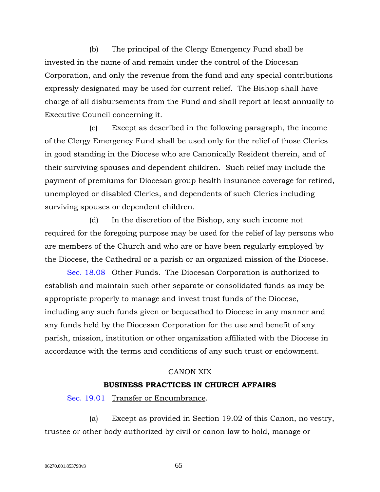(b) The principal of the Clergy Emergency Fund shall be invested in the name of and remain under the control of the Diocesan Corporation, and only the revenue from the fund and any special contributions expressly designated may be used for current relief. The Bishop shall have charge of all disbursements from the Fund and shall report at least annually to Executive Council concerning it.

(c) Except as described in the following paragraph, the income of the Clergy Emergency Fund shall be used only for the relief of those Clerics in good standing in the Diocese who are Canonically Resident therein, and of their surviving spouses and dependent children. Such relief may include the payment of premiums for Diocesan group health insurance coverage for retired, unemployed or disabled Clerics, and dependents of such Clerics including surviving spouses or dependent children.

(d) In the discretion of the Bishop, any such income not required for the foregoing purpose may be used for the relief of lay persons who are members of the Church and who are or have been regularly employed by the Diocese, the Cathedral or a parish or an organized mission of the Diocese.

Sec. 18.08 Other Funds. The Diocesan Corporation is authorized to establish and maintain such other separate or consolidated funds as may be appropriate properly to manage and invest trust funds of the Diocese, including any such funds given or bequeathed to Diocese in any manner and any funds held by the Diocesan Corporation for the use and benefit of any parish, mission, institution or other organization affiliated with the Diocese in accordance with the terms and conditions of any such trust or endowment.

#### CANON XIX

### **BUSINESS PRACTICES IN CHURCH AFFAIRS**

Sec. 19.01 Transfer or Encumbrance.

(a) Except as provided in Section 19.02 of this Canon, no vestry, trustee or other body authorized by civil or canon law to hold, manage or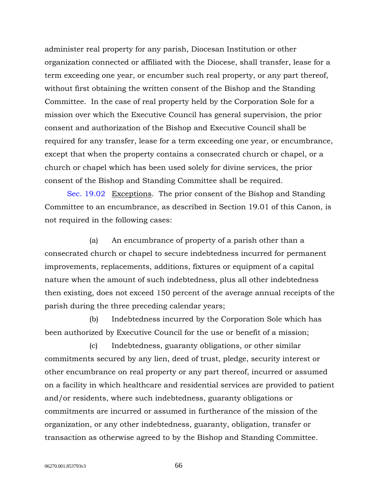administer real property for any parish, Diocesan Institution or other organization connected or affiliated with the Diocese, shall transfer, lease for a term exceeding one year, or encumber such real property, or any part thereof, without first obtaining the written consent of the Bishop and the Standing Committee. In the case of real property held by the Corporation Sole for a mission over which the Executive Council has general supervision, the prior consent and authorization of the Bishop and Executive Council shall be required for any transfer, lease for a term exceeding one year, or encumbrance, except that when the property contains a consecrated church or chapel, or a church or chapel which has been used solely for divine services, the prior consent of the Bishop and Standing Committee shall be required.

Sec. 19.02 Exceptions. The prior consent of the Bishop and Standing Committee to an encumbrance, as described in Section 19.01 of this Canon, is not required in the following cases:

(a) An encumbrance of property of a parish other than a consecrated church or chapel to secure indebtedness incurred for permanent improvements, replacements, additions, fixtures or equipment of a capital nature when the amount of such indebtedness, plus all other indebtedness then existing, does not exceed 150 percent of the average annual receipts of the parish during the three preceding calendar years;

(b) Indebtedness incurred by the Corporation Sole which has been authorized by Executive Council for the use or benefit of a mission;

(c) Indebtedness, guaranty obligations, or other similar commitments secured by any lien, deed of trust, pledge, security interest or other encumbrance on real property or any part thereof, incurred or assumed on a facility in which healthcare and residential services are provided to patient and/or residents, where such indebtedness, guaranty obligations or commitments are incurred or assumed in furtherance of the mission of the organization, or any other indebtedness, guaranty, obligation, transfer or transaction as otherwise agreed to by the Bishop and Standing Committee.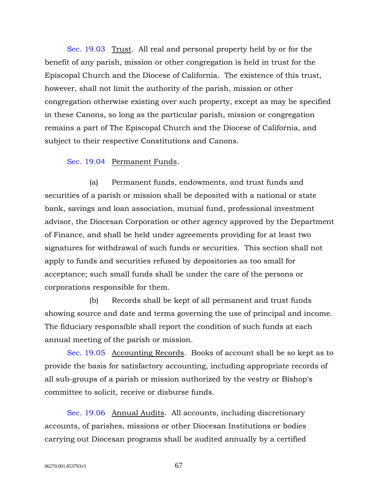Sec. 19.03 Trust. All real and personal property held by or for the benefit of any parish, mission or other congregation is held in trust for the Episcopal Church and the Diocese of California. The existence of this trust, however, shall not limit the authority of the parish, mission or other congregation otherwise existing over such property, except as may be specified in these Canons, so long as the particular parish, mission or congregation remains a part of The Episcopal Church and the Diocese of California, and subject to their respective Constitutions and Canons.

### Sec. 19.04 Permanent Funds.

(a) Permanent funds, endowments, and trust funds and securities of a parish or mission shall be deposited with a national or state bank, savings and loan association, mutual fund, professional investment advisor, the Diocesan Corporation or other agency approved by the Department of Finance, and shall be held under agreements providing for at least two signatures for withdrawal of such funds or securities. This section shall not apply to funds and securities refused by depositories as too small for acceptance; such small funds shall be under the care of the persons or corporations responsible for them.

(b) Records shall be kept of all permanent and trust funds showing source and date and terms governing the use of principal and income. The fiduciary responsible shall report the condition of such funds at each annual meeting of the parish or mission.

Sec. 19.05 Accounting Records. Books of account shall be so kept as to provide the basis for satisfactory accounting, including appropriate records of all sub-groups of a parish or mission authorized by the vestry or Bishop's committee to solicit, receive or disburse funds.

Sec. 19.06 Annual Audits. All accounts, including discretionary accounts, of parishes, missions or other Diocesan Institutions or bodies carrying out Diocesan programs shall be audited annually by a certified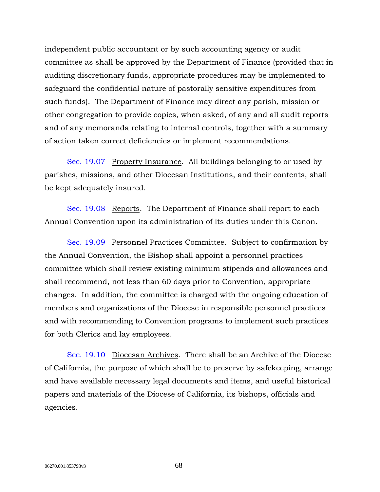independent public accountant or by such accounting agency or audit committee as shall be approved by the Department of Finance (provided that in auditing discretionary funds, appropriate procedures may be implemented to safeguard the confidential nature of pastorally sensitive expenditures from such funds). The Department of Finance may direct any parish, mission or other congregation to provide copies, when asked, of any and all audit reports and of any memoranda relating to internal controls, together with a summary of action taken correct deficiencies or implement recommendations.

Sec. 19.07 Property Insurance. All buildings belonging to or used by parishes, missions, and other Diocesan Institutions, and their contents, shall be kept adequately insured.

Sec. 19.08 Reports. The Department of Finance shall report to each Annual Convention upon its administration of its duties under this Canon.

Sec. 19.09 Personnel Practices Committee. Subject to confirmation by the Annual Convention, the Bishop shall appoint a personnel practices committee which shall review existing minimum stipends and allowances and shall recommend, not less than 60 days prior to Convention, appropriate changes. In addition, the committee is charged with the ongoing education of members and organizations of the Diocese in responsible personnel practices and with recommending to Convention programs to implement such practices for both Clerics and lay employees.

Sec. 19.10 Diocesan Archives. There shall be an Archive of the Diocese of California, the purpose of which shall be to preserve by safekeeping, arrange and have available necessary legal documents and items, and useful historical papers and materials of the Diocese of California, its bishops, officials and agencies.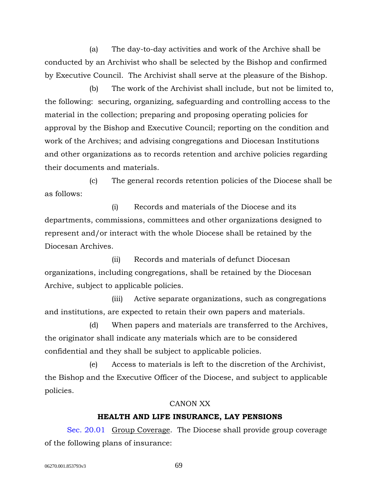(a) The day-to-day activities and work of the Archive shall be conducted by an Archivist who shall be selected by the Bishop and confirmed by Executive Council. The Archivist shall serve at the pleasure of the Bishop.

(b) The work of the Archivist shall include, but not be limited to, the following: securing, organizing, safeguarding and controlling access to the material in the collection; preparing and proposing operating policies for approval by the Bishop and Executive Council; reporting on the condition and work of the Archives; and advising congregations and Diocesan Institutions and other organizations as to records retention and archive policies regarding their documents and materials.

(c) The general records retention policies of the Diocese shall be as follows:

(i) Records and materials of the Diocese and its departments, commissions, committees and other organizations designed to represent and/or interact with the whole Diocese shall be retained by the Diocesan Archives.

(ii) Records and materials of defunct Diocesan organizations, including congregations, shall be retained by the Diocesan Archive, subject to applicable policies.

(iii) Active separate organizations, such as congregations and institutions, are expected to retain their own papers and materials.

(d) When papers and materials are transferred to the Archives, the originator shall indicate any materials which are to be considered confidential and they shall be subject to applicable policies.

(e) Access to materials is left to the discretion of the Archivist, the Bishop and the Executive Officer of the Diocese, and subject to applicable policies.

# CANON XX

#### **HEALTH AND LIFE INSURANCE, LAY PENSIONS**

Sec. 20.01 Group Coverage. The Diocese shall provide group coverage of the following plans of insurance: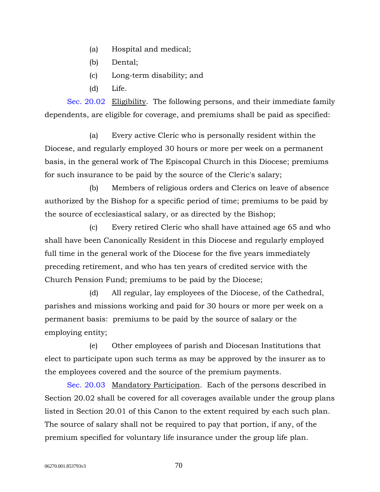- (a) Hospital and medical;
- (b) Dental;
- (c) Long-term disability; and
- (d) Life.

Sec. 20.02 Eligibility. The following persons, and their immediate family dependents, are eligible for coverage, and premiums shall be paid as specified:

(a) Every active Cleric who is personally resident within the Diocese, and regularly employed 30 hours or more per week on a permanent basis, in the general work of The Episcopal Church in this Diocese; premiums for such insurance to be paid by the source of the Cleric's salary;

(b) Members of religious orders and Clerics on leave of absence authorized by the Bishop for a specific period of time; premiums to be paid by the source of ecclesiastical salary, or as directed by the Bishop;

(c) Every retired Cleric who shall have attained age 65 and who shall have been Canonically Resident in this Diocese and regularly employed full time in the general work of the Diocese for the five years immediately preceding retirement, and who has ten years of credited service with the Church Pension Fund; premiums to be paid by the Diocese;

(d) All regular, lay employees of the Diocese, of the Cathedral, parishes and missions working and paid for 30 hours or more per week on a permanent basis: premiums to be paid by the source of salary or the employing entity;

(e) Other employees of parish and Diocesan Institutions that elect to participate upon such terms as may be approved by the insurer as to the employees covered and the source of the premium payments.

Sec. 20.03 Mandatory Participation. Each of the persons described in Section 20.02 shall be covered for all coverages available under the group plans listed in Section 20.01 of this Canon to the extent required by each such plan. The source of salary shall not be required to pay that portion, if any, of the premium specified for voluntary life insurance under the group life plan.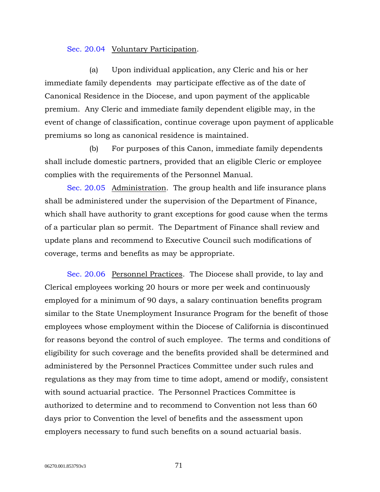#### Sec. 20.04 Voluntary Participation.

(a) Upon individual application, any Cleric and his or her immediate family dependents may participate effective as of the date of Canonical Residence in the Diocese, and upon payment of the applicable premium. Any Cleric and immediate family dependent eligible may, in the event of change of classification, continue coverage upon payment of applicable premiums so long as canonical residence is maintained.

(b) For purposes of this Canon, immediate family dependents shall include domestic partners, provided that an eligible Cleric or employee complies with the requirements of the Personnel Manual.

Sec. 20.05 Administration. The group health and life insurance plans shall be administered under the supervision of the Department of Finance, which shall have authority to grant exceptions for good cause when the terms of a particular plan so permit. The Department of Finance shall review and update plans and recommend to Executive Council such modifications of coverage, terms and benefits as may be appropriate.

Sec. 20.06 Personnel Practices. The Diocese shall provide, to lay and Clerical employees working 20 hours or more per week and continuously employed for a minimum of 90 days, a salary continuation benefits program similar to the State Unemployment Insurance Program for the benefit of those employees whose employment within the Diocese of California is discontinued for reasons beyond the control of such employee. The terms and conditions of eligibility for such coverage and the benefits provided shall be determined and administered by the Personnel Practices Committee under such rules and regulations as they may from time to time adopt, amend or modify, consistent with sound actuarial practice. The Personnel Practices Committee is authorized to determine and to recommend to Convention not less than 60 days prior to Convention the level of benefits and the assessment upon employers necessary to fund such benefits on a sound actuarial basis.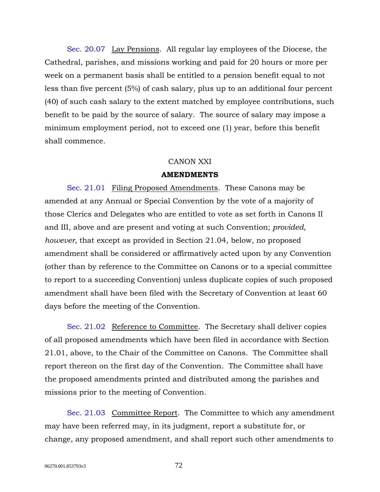Sec. 20.07 Lay Pensions. All regular lay employees of the Diocese, the Cathedral, parishes, and missions working and paid for 20 hours or more per week on a permanent basis shall be entitled to a pension benefit equal to not less than five percent (5%) of cash salary, plus up to an additional four percent (40) of such cash salary to the extent matched by employee contributions, such benefit to be paid by the source of salary. The source of salary may impose a minimum employment period, not to exceed one (1) year, before this benefit shall commence.

### CANON XXI

# **AMENDMENTS**

Sec. 21.01 Filing Proposed Amendments. These Canons may be amended at any Annual or Special Convention by the vote of a majority of those Clerics and Delegates who are entitled to vote as set forth in Canons II and III, above and are present and voting at such Convention; *provided, however,* that except as provided in Section 21.04, below, no proposed amendment shall be considered or affirmatively acted upon by any Convention (other than by reference to the Committee on Canons or to a special committee to report to a succeeding Convention) unless duplicate copies of such proposed amendment shall have been filed with the Secretary of Convention at least 60 days before the meeting of the Convention.

Sec. 21.02 Reference to Committee. The Secretary shall deliver copies of all proposed amendments which have been filed in accordance with Section 21.01, above, to the Chair of the Committee on Canons. The Committee shall report thereon on the first day of the Convention. The Committee shall have the proposed amendments printed and distributed among the parishes and missions prior to the meeting of Convention.

Sec. 21.03 Committee Report. The Committee to which any amendment may have been referred may, in its judgment, report a substitute for, or change, any proposed amendment, and shall report such other amendments to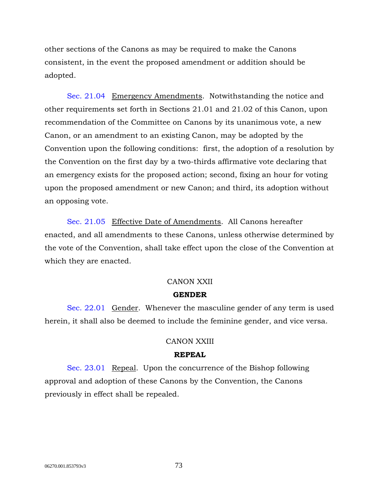other sections of the Canons as may be required to make the Canons consistent, in the event the proposed amendment or addition should be adopted.

Sec. 21.04 Emergency Amendments. Notwithstanding the notice and other requirements set forth in Sections 21.01 and 21.02 of this Canon, upon recommendation of the Committee on Canons by its unanimous vote, a new Canon, or an amendment to an existing Canon, may be adopted by the Convention upon the following conditions: first, the adoption of a resolution by the Convention on the first day by a two-thirds affirmative vote declaring that an emergency exists for the proposed action; second, fixing an hour for voting upon the proposed amendment or new Canon; and third, its adoption without an opposing vote.

Sec. 21.05 Effective Date of Amendments. All Canons hereafter enacted, and all amendments to these Canons, unless otherwise determined by the vote of the Convention, shall take effect upon the close of the Convention at which they are enacted.

# CANON XXII

#### **GENDER**

Sec. 22.01 Gender. Whenever the masculine gender of any term is used herein, it shall also be deemed to include the feminine gender, and vice versa.

#### CANON XXIII

#### **REPEAL**

Sec. 23.01 Repeal. Upon the concurrence of the Bishop following approval and adoption of these Canons by the Convention, the Canons previously in effect shall be repealed.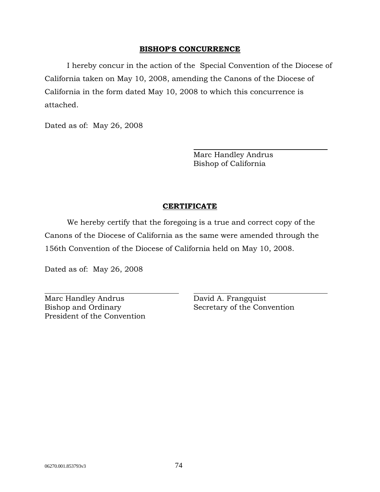# **BISHOP'S CONCURRENCE**

I hereby concur in the action of the Special Convention of the Diocese of California taken on May 10, 2008, amending the Canons of the Diocese of California in the form dated May 10, 2008 to which this concurrence is attached.

Dated as of: May 26, 2008

Marc Handley Andrus Bishop of California

# **CERTIFICATE**

We hereby certify that the foregoing is a true and correct copy of the Canons of the Diocese of California as the same were amended through the 156th Convention of the Diocese of California held on May 10, 2008.

Dated as of: May 26, 2008

Marc Handley Andrus Bishop and Ordinary President of the Convention David A. Frangquist Secretary of the Convention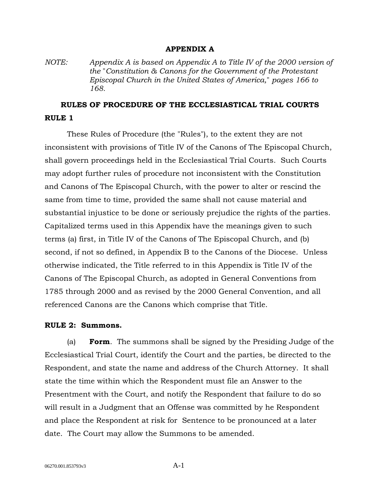### **APPENDIX A**

*NOTE: Appendix A is based on Appendix A to Title IV of the 2000 version of the* "*Constitution & Canons for the Government of the Protestant Episcopal Church in the United States of America,*" *pages 166 to 168.*

# **RULES OF PROCEDURE OF THE ECCLESIASTICAL TRIAL COURTS RULE 1**

These Rules of Procedure (the "Rules"), to the extent they are not inconsistent with provisions of Title IV of the Canons of The Episcopal Church, shall govern proceedings held in the Ecclesiastical Trial Courts. Such Courts may adopt further rules of procedure not inconsistent with the Constitution and Canons of The Episcopal Church, with the power to alter or rescind the same from time to time, provided the same shall not cause material and substantial injustice to be done or seriously prejudice the rights of the parties. Capitalized terms used in this Appendix have the meanings given to such terms (a) first, in Title IV of the Canons of The Episcopal Church, and (b) second, if not so defined, in Appendix B to the Canons of the Diocese. Unless otherwise indicated, the Title referred to in this Appendix is Title IV of the Canons of The Episcopal Church, as adopted in General Conventions from 1785 through 2000 and as revised by the 2000 General Convention, and all referenced Canons are the Canons which comprise that Title.

# **RULE 2: Summons.**

(a) **Form**. The summons shall be signed by the Presiding Judge of the Ecclesiastical Trial Court, identify the Court and the parties, be directed to the Respondent, and state the name and address of the Church Attorney. It shall state the time within which the Respondent must file an Answer to the Presentment with the Court, and notify the Respondent that failure to do so will result in a Judgment that an Offense was committed by he Respondent and place the Respondent at risk for Sentence to be pronounced at a later date. The Court may allow the Summons to be amended.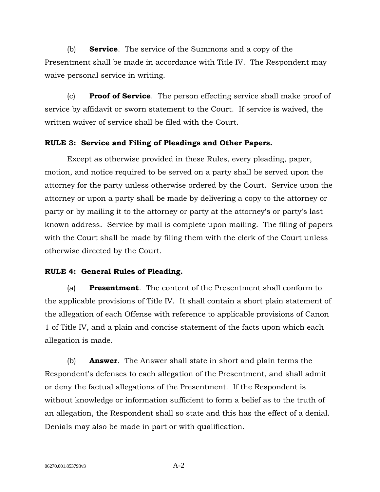(b) **Service**. The service of the Summons and a copy of the Presentment shall be made in accordance with Title IV. The Respondent may waive personal service in writing.

(c) **Proof of Service**. The person effecting service shall make proof of service by affidavit or sworn statement to the Court. If service is waived, the written waiver of service shall be filed with the Court.

# **RULE 3: Service and Filing of Pleadings and Other Papers.**

Except as otherwise provided in these Rules, every pleading, paper, motion, and notice required to be served on a party shall be served upon the attorney for the party unless otherwise ordered by the Court. Service upon the attorney or upon a party shall be made by delivering a copy to the attorney or party or by mailing it to the attorney or party at the attorney's or party's last known address. Service by mail is complete upon mailing. The filing of papers with the Court shall be made by filing them with the clerk of the Court unless otherwise directed by the Court.

# **RULE 4: General Rules of Pleading.**

(a) **Presentment**. The content of the Presentment shall conform to the applicable provisions of Title IV. It shall contain a short plain statement of the allegation of each Offense with reference to applicable provisions of Canon 1 of Title IV, and a plain and concise statement of the facts upon which each allegation is made.

(b) **Answer**. The Answer shall state in short and plain terms the Respondent's defenses to each allegation of the Presentment, and shall admit or deny the factual allegations of the Presentment. If the Respondent is without knowledge or information sufficient to form a belief as to the truth of an allegation, the Respondent shall so state and this has the effect of a denial. Denials may also be made in part or with qualification.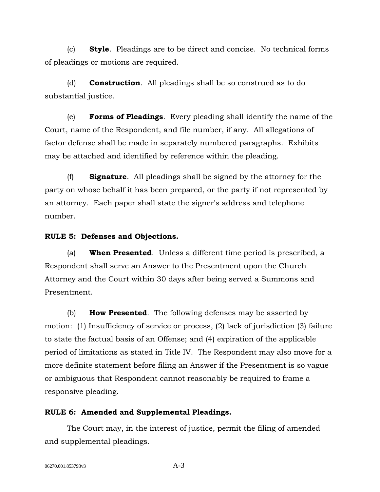(c) **Style**. Pleadings are to be direct and concise. No technical forms of pleadings or motions are required.

(d) **Construction**. All pleadings shall be so construed as to do substantial justice.

(e) **Forms of Pleadings**. Every pleading shall identify the name of the Court, name of the Respondent, and file number, if any. All allegations of factor defense shall be made in separately numbered paragraphs. Exhibits may be attached and identified by reference within the pleading.

(f) **Signature**. All pleadings shall be signed by the attorney for the party on whose behalf it has been prepared, or the party if not represented by an attorney. Each paper shall state the signer's address and telephone number.

# **RULE 5: Defenses and Objections.**

(a) **When Presented**. Unless a different time period is prescribed, a Respondent shall serve an Answer to the Presentment upon the Church Attorney and the Court within 30 days after being served a Summons and Presentment.

(b) **How Presented**. The following defenses may be asserted by motion: (1) Insufficiency of service or process, (2) lack of jurisdiction (3) failure to state the factual basis of an Offense; and (4) expiration of the applicable period of limitations as stated in Title IV. The Respondent may also move for a more definite statement before filing an Answer if the Presentment is so vague or ambiguous that Respondent cannot reasonably be required to frame a responsive pleading.

# **RULE 6: Amended and Supplemental Pleadings.**

The Court may, in the interest of justice, permit the filing of amended and supplemental pleadings.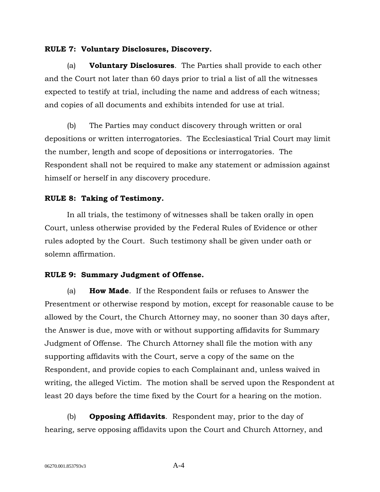# **RULE 7: Voluntary Disclosures, Discovery.**

(a) **Voluntary Disclosures**. The Parties shall provide to each other and the Court not later than 60 days prior to trial a list of all the witnesses expected to testify at trial, including the name and address of each witness; and copies of all documents and exhibits intended for use at trial.

(b) The Parties may conduct discovery through written or oral depositions or written interrogatories. The Ecclesiastical Trial Court may limit the number, length and scope of depositions or interrogatories. The Respondent shall not be required to make any statement or admission against himself or herself in any discovery procedure.

# **RULE 8: Taking of Testimony.**

In all trials, the testimony of witnesses shall be taken orally in open Court, unless otherwise provided by the Federal Rules of Evidence or other rules adopted by the Court. Such testimony shall be given under oath or solemn affirmation.

# **RULE 9: Summary Judgment of Offense.**

(a) **How Made**. If the Respondent fails or refuses to Answer the Presentment or otherwise respond by motion, except for reasonable cause to be allowed by the Court, the Church Attorney may, no sooner than 30 days after, the Answer is due, move with or without supporting affidavits for Summary Judgment of Offense. The Church Attorney shall file the motion with any supporting affidavits with the Court, serve a copy of the same on the Respondent, and provide copies to each Complainant and, unless waived in writing, the alleged Victim. The motion shall be served upon the Respondent at least 20 days before the time fixed by the Court for a hearing on the motion.

(b) **Opposing Affidavits**. Respondent may, prior to the day of hearing, serve opposing affidavits upon the Court and Church Attorney, and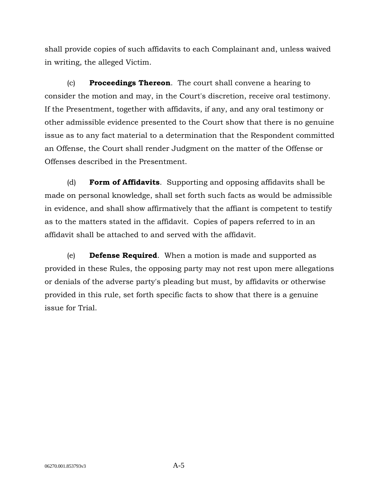shall provide copies of such affidavits to each Complainant and, unless waived in writing, the alleged Victim.

(c) **Proceedings Thereon**. The court shall convene a hearing to consider the motion and may, in the Court's discretion, receive oral testimony. If the Presentment, together with affidavits, if any, and any oral testimony or other admissible evidence presented to the Court show that there is no genuine issue as to any fact material to a determination that the Respondent committed an Offense, the Court shall render Judgment on the matter of the Offense or Offenses described in the Presentment.

(d) **Form of Affidavits**. Supporting and opposing affidavits shall be made on personal knowledge, shall set forth such facts as would be admissible in evidence, and shall show affirmatively that the affiant is competent to testify as to the matters stated in the affidavit. Copies of papers referred to in an affidavit shall be attached to and served with the affidavit.

(e) **Defense Required**. When a motion is made and supported as provided in these Rules, the opposing party may not rest upon mere allegations or denials of the adverse party's pleading but must, by affidavits or otherwise provided in this rule, set forth specific facts to show that there is a genuine issue for Trial.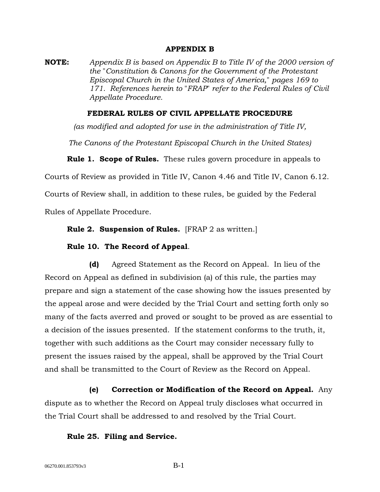### **APPENDIX B**

**NOTE:** *Appendix B is based on Appendix B to Title IV of the 2000 version of the* "*Constitution & Canons for the Government of the Protestant Episcopal Church in the United States of America,*" *pages 169 to 171. References herein to* "*FRAP*" *refer to the Federal Rules of Civil Appellate Procedure.*

# **FEDERAL RULES OF CIVIL APPELLATE PROCEDURE**

*(as modified and adopted for use in the administration of Title IV,* 

*The Canons of the Protestant Episcopal Church in the United States)*

**Rule 1. Scope of Rules.** These rules govern procedure in appeals to

Courts of Review as provided in Title IV, Canon 4.46 and Title IV, Canon 6.12.

Courts of Review shall, in addition to these rules, be guided by the Federal

Rules of Appellate Procedure.

**Rule 2. Suspension of Rules.** [FRAP 2 as written.]

# **Rule 10. The Record of Appeal**.

**(d)** Agreed Statement as the Record on Appeal. In lieu of the Record on Appeal as defined in subdivision (a) of this rule, the parties may prepare and sign a statement of the case showing how the issues presented by the appeal arose and were decided by the Trial Court and setting forth only so many of the facts averred and proved or sought to be proved as are essential to a decision of the issues presented. If the statement conforms to the truth, it, together with such additions as the Court may consider necessary fully to present the issues raised by the appeal, shall be approved by the Trial Court and shall be transmitted to the Court of Review as the Record on Appeal.

**(e) Correction or Modification of the Record on Appeal.** Any dispute as to whether the Record on Appeal truly discloses what occurred in the Trial Court shall be addressed to and resolved by the Trial Court.

# **Rule 25. Filing and Service.**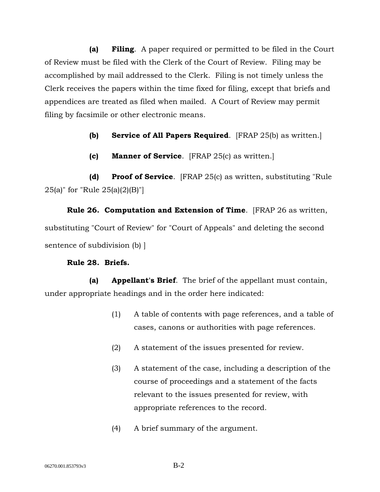**(a) Filing**. A paper required or permitted to be filed in the Court of Review must be filed with the Clerk of the Court of Review. Filing may be accomplished by mail addressed to the Clerk. Filing is not timely unless the Clerk receives the papers within the time fixed for filing, except that briefs and appendices are treated as filed when mailed. A Court of Review may permit filing by facsimile or other electronic means.

- **(b) Service of All Papers Required**. [FRAP 25(b) as written.]
- **(c) Manner of Service**. [FRAP 25(c) as written.]

**(d) Proof of Service**. [FRAP 25(c) as written, substituting "Rule 25(a)" for "Rule 25(a)(2)(B)"]

**Rule 26. Computation and Extension of Time**. [FRAP 26 as written, substituting "Court of Review" for "Court of Appeals" and deleting the second sentence of subdivision (b) ]

# **Rule 28. Briefs.**

**(a) Appellant's Brief**. The brief of the appellant must contain, under appropriate headings and in the order here indicated:

- (1) A table of contents with page references, and a table of cases, canons or authorities with page references.
- (2) A statement of the issues presented for review.
- (3) A statement of the case, including a description of the course of proceedings and a statement of the facts relevant to the issues presented for review, with appropriate references to the record.
- (4) A brief summary of the argument.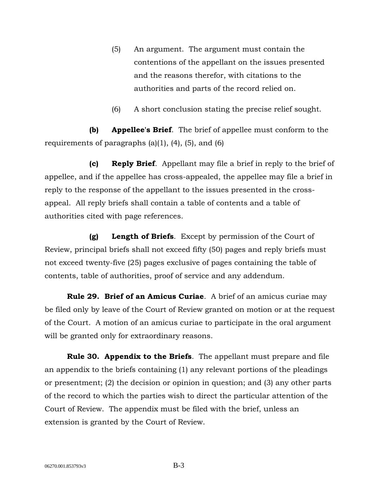- (5) An argument. The argument must contain the contentions of the appellant on the issues presented and the reasons therefor, with citations to the authorities and parts of the record relied on.
- (6) A short conclusion stating the precise relief sought.

**(b) Appellee's Brief**. The brief of appellee must conform to the requirements of paragraphs  $(a)(1)$ ,  $(4)$ ,  $(5)$ , and  $(6)$ 

**(c) Reply Brief**. Appellant may file a brief in reply to the brief of appellee, and if the appellee has cross-appealed, the appellee may file a brief in reply to the response of the appellant to the issues presented in the crossappeal. All reply briefs shall contain a table of contents and a table of authorities cited with page references.

**(g) Length of Briefs**. Except by permission of the Court of Review, principal briefs shall not exceed fifty (50) pages and reply briefs must not exceed twenty-five (25) pages exclusive of pages containing the table of contents, table of authorities, proof of service and any addendum.

**Rule 29. Brief of an Amicus Curiae**. A brief of an amicus curiae may be filed only by leave of the Court of Review granted on motion or at the request of the Court. A motion of an amicus curiae to participate in the oral argument will be granted only for extraordinary reasons.

**Rule 30. Appendix to the Briefs**. The appellant must prepare and file an appendix to the briefs containing (1) any relevant portions of the pleadings or presentment; (2) the decision or opinion in question; and (3) any other parts of the record to which the parties wish to direct the particular attention of the Court of Review. The appendix must be filed with the brief, unless an extension is granted by the Court of Review.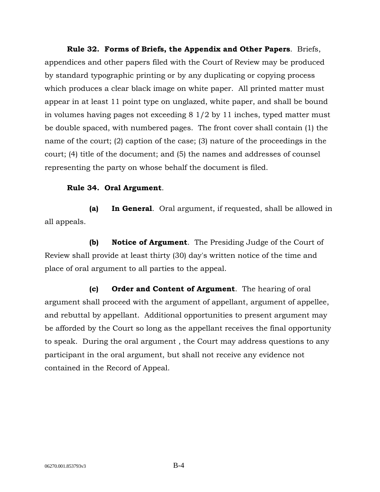**Rule 32. Forms of Briefs, the Appendix and Other Papers**. Briefs, appendices and other papers filed with the Court of Review may be produced by standard typographic printing or by any duplicating or copying process which produces a clear black image on white paper. All printed matter must appear in at least 11 point type on unglazed, white paper, and shall be bound in volumes having pages not exceeding 8 1/2 by 11 inches, typed matter must be double spaced, with numbered pages. The front cover shall contain (1) the name of the court; (2) caption of the case; (3) nature of the proceedings in the court; (4) title of the document; and (5) the names and addresses of counsel representing the party on whose behalf the document is filed.

# **Rule 34. Oral Argument**.

**(a) In General**. Oral argument, if requested, shall be allowed in all appeals.

**(b) Notice of Argument**. The Presiding Judge of the Court of Review shall provide at least thirty (30) day's written notice of the time and place of oral argument to all parties to the appeal.

**(c) Order and Content of Argument**. The hearing of oral argument shall proceed with the argument of appellant, argument of appellee, and rebuttal by appellant. Additional opportunities to present argument may be afforded by the Court so long as the appellant receives the final opportunity to speak. During the oral argument , the Court may address questions to any participant in the oral argument, but shall not receive any evidence not contained in the Record of Appeal.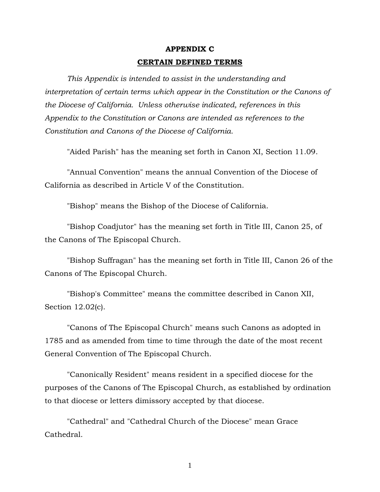## **APPENDIX C CERTAIN DEFINED TERMS**

*This Appendix is intended to assist in the understanding and interpretation of certain terms which appear in the Constitution or the Canons of the Diocese of California. Unless otherwise indicated, references in this Appendix to the Constitution or Canons are intended as references to the Constitution and Canons of the Diocese of California.*

"Aided Parish" has the meaning set forth in Canon XI, Section 11.09.

"Annual Convention" means the annual Convention of the Diocese of California as described in Article V of the Constitution.

"Bishop" means the Bishop of the Diocese of California.

"Bishop Coadjutor" has the meaning set forth in Title III, Canon 25, of the Canons of The Episcopal Church.

"Bishop Suffragan" has the meaning set forth in Title III, Canon 26 of the Canons of The Episcopal Church.

"Bishop's Committee" means the committee described in Canon XII, Section 12.02(c).

"Canons of The Episcopal Church" means such Canons as adopted in 1785 and as amended from time to time through the date of the most recent General Convention of The Episcopal Church.

"Canonically Resident" means resident in a specified diocese for the purposes of the Canons of The Episcopal Church, as established by ordination to that diocese or letters dimissory accepted by that diocese.

"Cathedral" and "Cathedral Church of the Diocese" mean Grace Cathedral.

1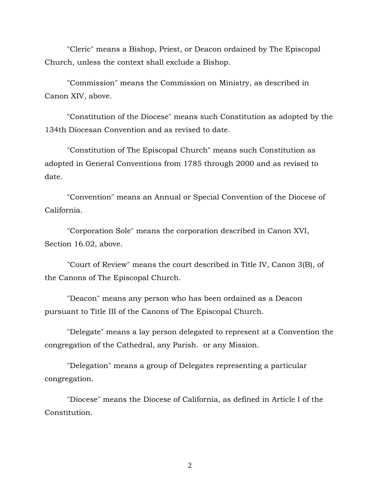"Cleric" means a Bishop, Priest, or Deacon ordained by The Episcopal Church, unless the context shall exclude a Bishop.

"Commission" means the Commission on Ministry, as described in Canon XIV, above.

"Constitution of the Diocese" means such Constitution as adopted by the 134th Diocesan Convention and as revised to date.

"Constitution of The Episcopal Church" means such Constitution as adopted in General Conventions from 1785 through 2000 and as revised to date.

"Convention" means an Annual or Special Convention of the Diocese of California.

"Corporation Sole" means the corporation described in Canon XVI, Section 16.02, above.

"Court of Review" means the court described in Title IV, Canon 3(B), of the Canons of The Episcopal Church.

"Deacon" means any person who has been ordained as a Deacon pursuant to Title III of the Canons of The Episcopal Church.

"Delegate" means a lay person delegated to represent at a Convention the congregation of the Cathedral, any Parish. or any Mission.

"Delegation" means a group of Delegates representing a particular congregation.

"Diocese" means the Diocese of California, as defined in Article I of the Constitution.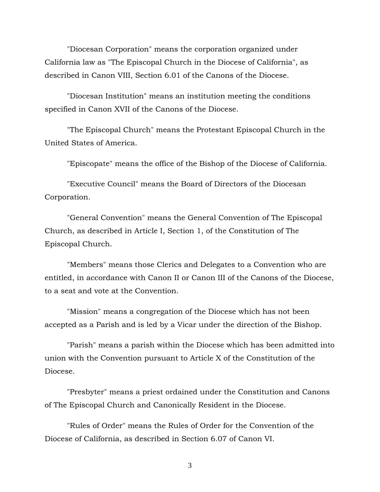"Diocesan Corporation" means the corporation organized under California law as "The Episcopal Church in the Diocese of California", as described in Canon VIII, Section 6.01 of the Canons of the Diocese.

"Diocesan Institution" means an institution meeting the conditions specified in Canon XVII of the Canons of the Diocese.

"The Episcopal Church" means the Protestant Episcopal Church in the United States of America.

"Episcopate" means the office of the Bishop of the Diocese of California.

"Executive Council" means the Board of Directors of the Diocesan Corporation.

"General Convention" means the General Convention of The Episcopal Church, as described in Article I, Section 1, of the Constitution of The Episcopal Church.

"Members" means those Clerics and Delegates to a Convention who are entitled, in accordance with Canon II or Canon III of the Canons of the Diocese, to a seat and vote at the Convention.

"Mission" means a congregation of the Diocese which has not been accepted as a Parish and is led by a Vicar under the direction of the Bishop.

"Parish" means a parish within the Diocese which has been admitted into union with the Convention pursuant to Article X of the Constitution of the Diocese.

"Presbyter" means a priest ordained under the Constitution and Canons of The Episcopal Church and Canonically Resident in the Diocese.

"Rules of Order" means the Rules of Order for the Convention of the Diocese of California, as described in Section 6.07 of Canon VI.

3